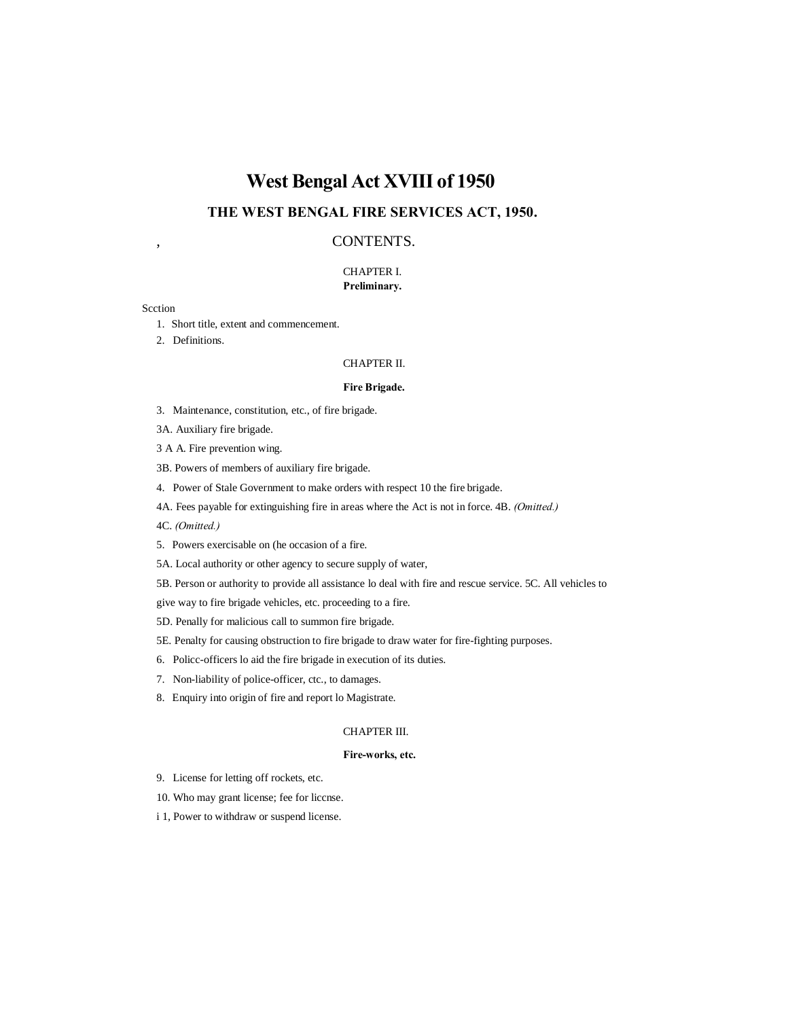# **West Bengal Act XVIII of 1950**

## **THE WEST BENGAL FIRE SERVICES ACT, 1950.**

## , CONTENTS.

## CHAPTER I. **Preliminary.**

#### Scction

- 1. Short title, extent and commencement.
- 2. Definitions.

#### CHAPTER II.

#### **Fire Brigade.**

- 3. Maintenance, constitution, etc., of fire brigade.
- 3A. Auxiliary fire brigade.
- 3 A A. Fire prevention wing.
- 3B. Powers of members of auxiliary fire brigade.
- 4. Power of Stale Government to make orders with respect 10 the fire brigade.
- 4A. Fees payable for extinguishing fire in areas where the Act is not in force. 4B. *(Omitted.)*
- 4C. *(Omitted.)*
- 5. Powers exercisable on (he occasion of a fire.
- 5A. Local authority or other agency to secure supply of water,
- 5B. Person or authority to provide all assistance lo deal with fire and rescue service. 5C. All vehicles to

give way to fire brigade vehicles, etc. proceeding to a fire.

- 5D. Penally for malicious call to summon fire brigade.
- 5E. Penalty for causing obstruction to fire brigade to draw water for fire-fighting purposes.
- 6. Policc-officers lo aid the fire brigade in execution of its duties.
- 7. Non-liability of police-officer, ctc., to damages.
- 8. Enquiry into origin of fire and report lo Magistrate.

## CHAPTER III.

## **Fire-works, etc.**

- 9. License for letting off rockets, etc.
- 10. Who may grant license; fee for liccnse.
- i 1, Power to withdraw or suspend license.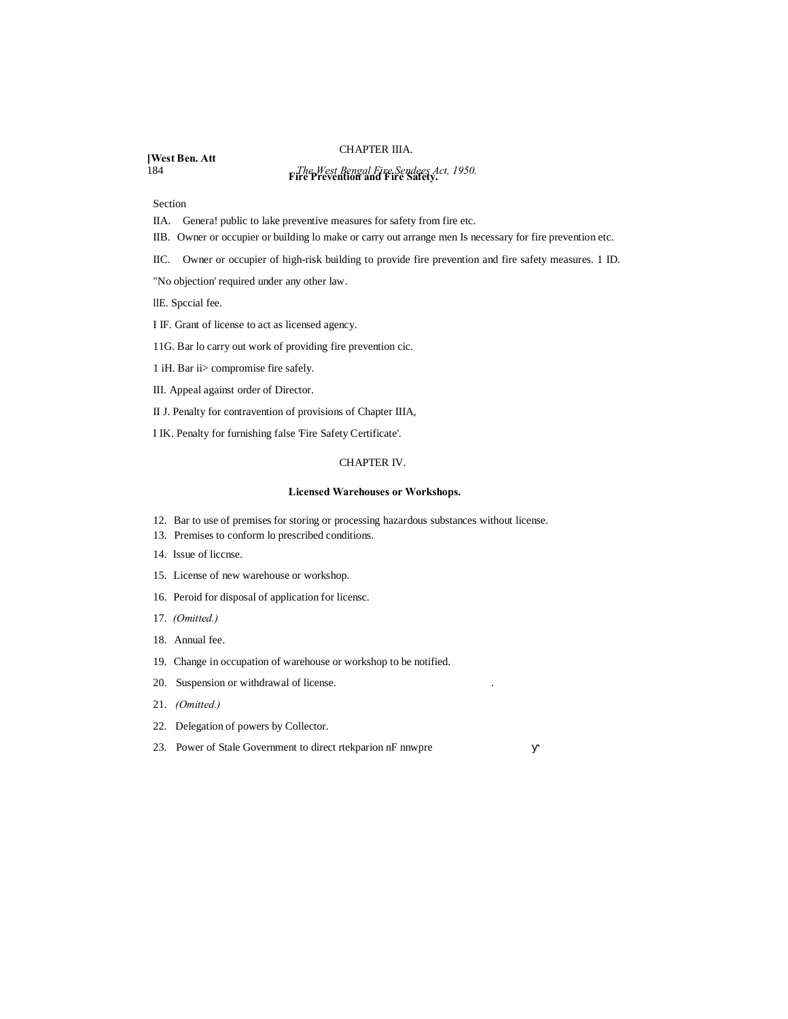#### CHAPTER IIIA.

**[West Ben. Att**

# 184 *The West Bengal Fire Sendees Act, 1950.* **Fire Prevention and Fire Safety.**

Section

IIA. Genera! public to lake preventive measures for safety from fire etc.

- IIB. Owner or occupier or building lo make or carry out arrange men Is necessary for fire prevention etc.
- IIC. Owner or occupier of high-risk building to provide fire prevention and fire safety measures. 1 ID.

"No objection' required under any other law.

llE. Spccial fee.

I IF. Grant of license to act as licensed agency.

11G. Bar lo carry out work of providing fire prevention cic.

- 1 iH. Bar ii> compromise fire safely.
- III. Appeal against order of Director.

II J. Penalty for contravention of provisions of Chapter IIIA,

I IK. Penalty for furnishing false 'Fire Safety Certificate'.

#### CHAPTER IV.

#### **Licensed Warehouses or Workshops.**

- 12. Bar to use of premises for storing or processing hazardous substances without license.
- 13. Premises to conform lo prescribed conditions.
- 14. Issue of liccnse.
- 15. License of new warehouse or workshop.
- 16. Peroid for disposal of application for licensc.
- 17. *(Omitted.)*
- 18. Annual fee.
- 19. Change in occupation of warehouse or workshop to be notified.
- 20. Suspension or withdrawal of license. .
- 21. *(Omitted.)*
- 22. Delegation of powers by Collector.
- 23. Power of Stale Government to direct rtekparion nF nnwpre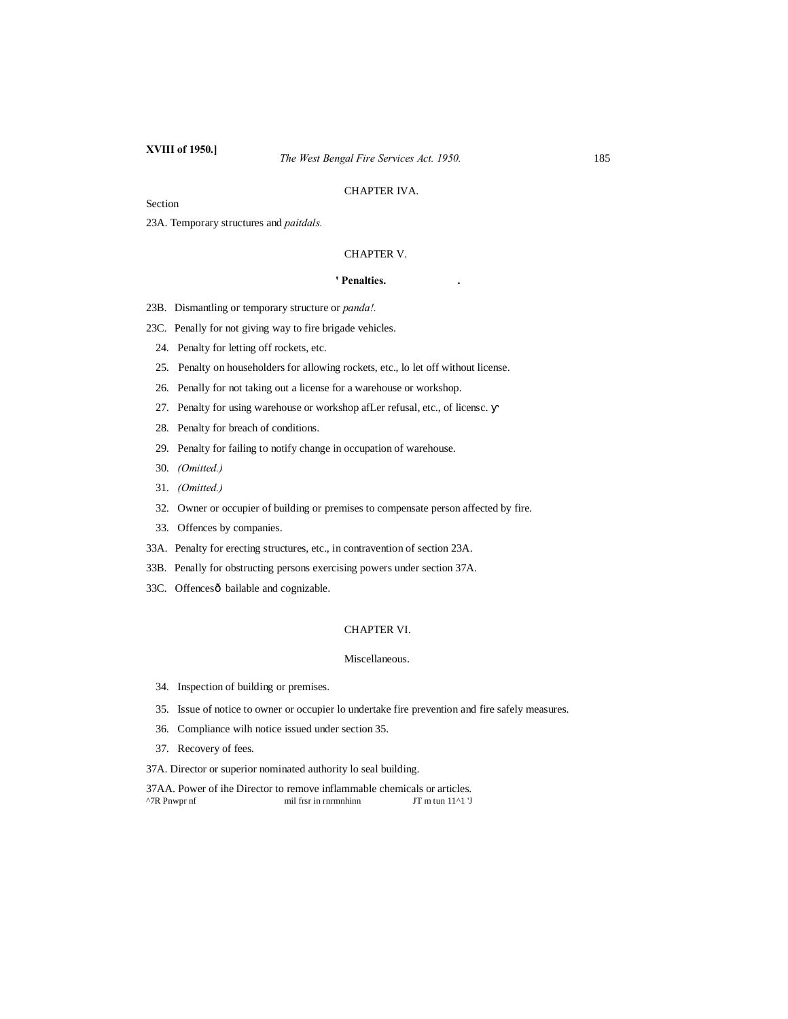## CHAPTER IVA.

Section

23A. Temporary structures and *paitdals.*

## CHAPTER V.

#### **' Penalties. .**

23B. Dismantling or temporary structure or *panda!.*

23C. Penally for not giving way to fire brigade vehicles.

24. Penalty for letting off rockets, etc.

25. Penalty on householders for allowing rockets, etc., lo let off without license.

26. Penally for not taking out a license for a warehouse or workshop.

27. Penalty for using warehouse or workshop afLer refusal, etc., of licensc.

28. Penalty for breach of conditions.

29. Penalty for failing to notify change in occupation of warehouse.

- 30. *(Omitted.)*
- 31. *(Omitted.)*
- 32. Owner or occupier of building or premises to compensate person affected by fire.
- 33. Offences by companies.
- 33A. Penalty for erecting structures, etc., in contravention of section 23A.
- 33B. Penally for obstructing persons exercising powers under section 37A.
- 33C. Offencesô bailable and cognizable.

## CHAPTER VI.

#### Miscellaneous.

- 34. Inspection of building or premises.
- 35. Issue of notice to owner or occupier lo undertake fire prevention and fire safely measures.
- 36. Compliance wilh notice issued under section 35.
- 37. Recovery of fees.

37A. Director or superior nominated authority lo seal building.

37AA. Power of ihe Director to remove inflammable chemicals or articles.  $^{\wedge}$ 7R Pnwpr nf mil frsr in rnrmnhinn JT m tun 11^1 'J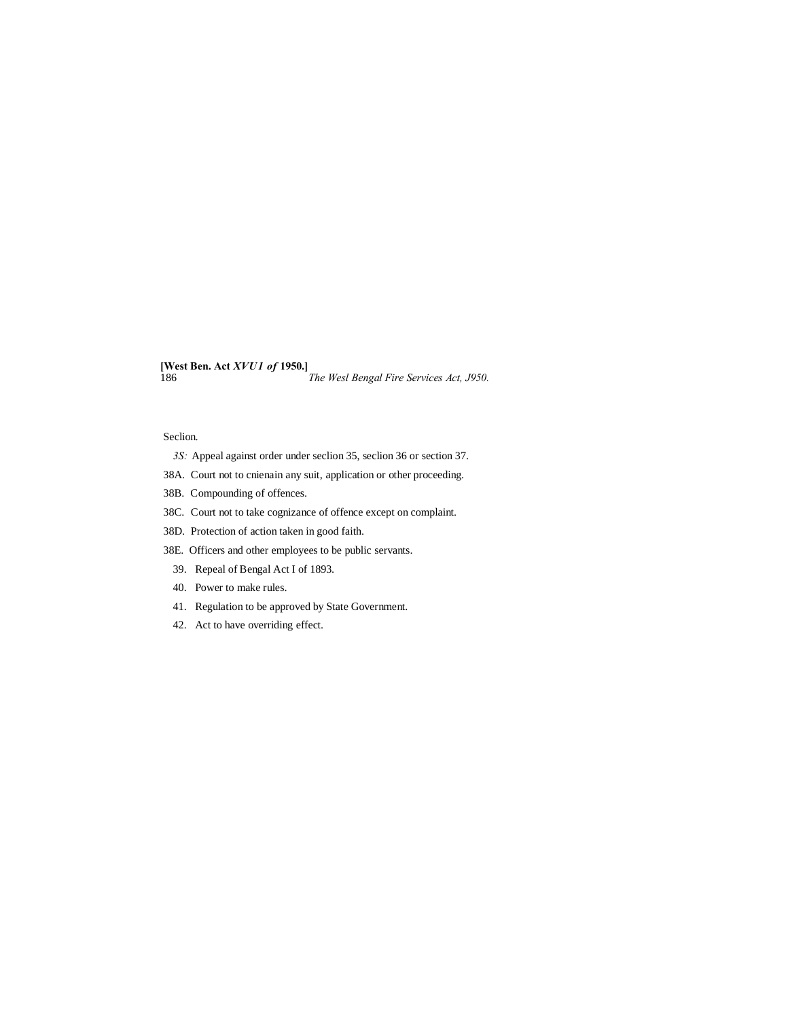**[West Ben. Act** *XVU1 of* **1950.]** 186 *The Wesl Bengal Fire Services Act, J950.*

#### Seclion.

- *3S:* Appeal against order under seclion 35, seclion 36 or section 37.
- 38A. Court not to cnienain any suit, application or other proceeding.
- 38B. Compounding of offences.
- 38C. Court not to take cognizance of offence except on complaint.
- 38D. Protection of action taken in good faith.
- 38E. Officers and other employees to be public servants.
- 39. Repeal of Bengal Act I of 1893.
- 40. Power to make rules.
- 41. Regulation to be approved by State Government.
- 42. Act to have overriding effect.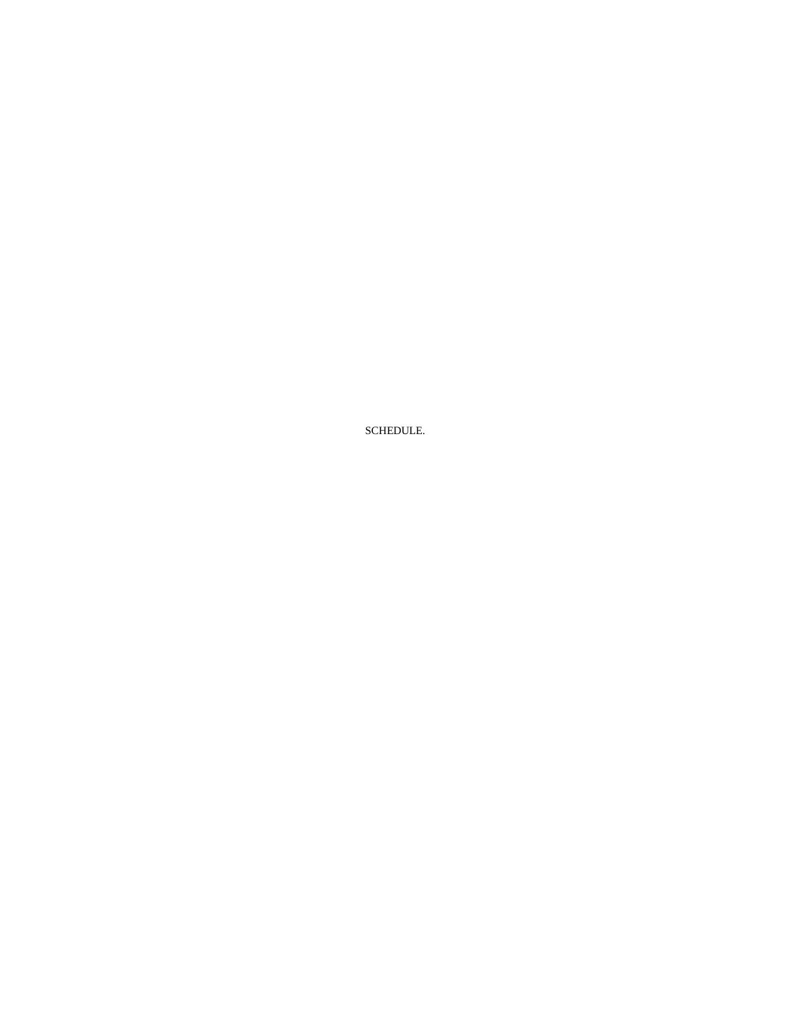SCHEDULE.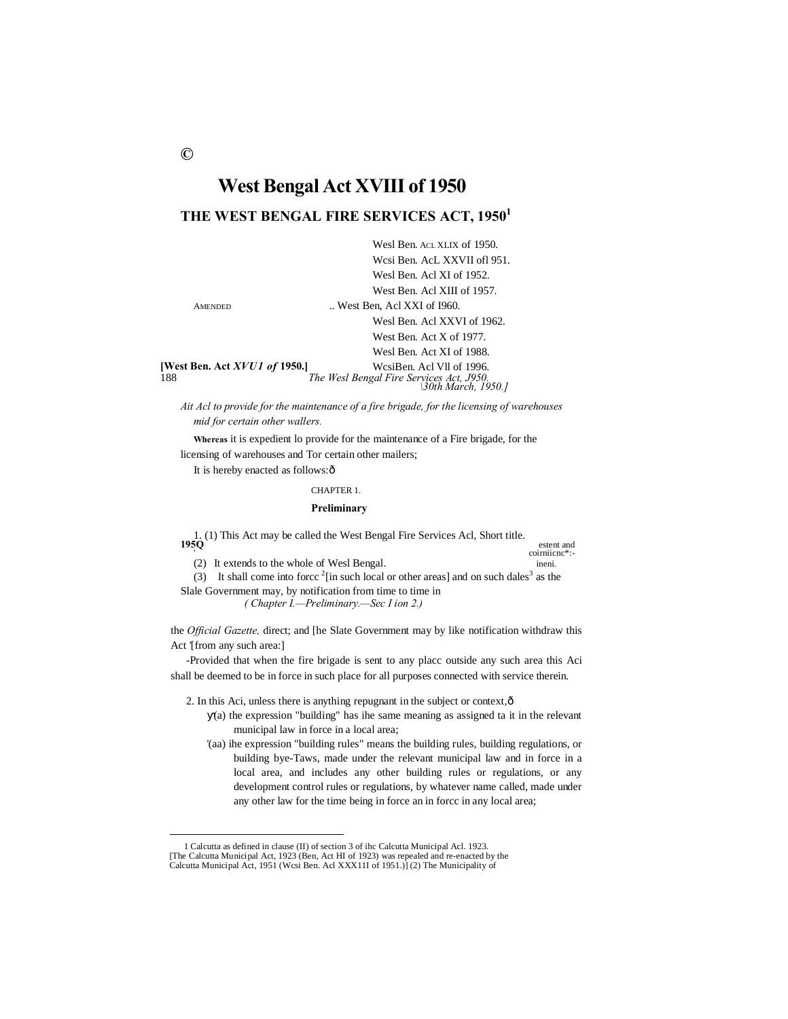## **West Bengal Act XVIII of 1950**

## **THE WEST BENGAL FIRE SERVICES ACT, 19501**

|                                             | Wesl Ben. ACL XLIX of 1950.                                                                  |
|---------------------------------------------|----------------------------------------------------------------------------------------------|
|                                             | Wesi Ben. AcL XXVII of 1951.                                                                 |
|                                             | Wesl Ben. Acl XI of 1952.                                                                    |
|                                             | West Ben. Acl XIII of 1957.                                                                  |
| <b>AMENDED</b>                              | West Ben, Acl XXI of 1960.                                                                   |
|                                             | Wesl Ben. Acl XXVI of 1962.                                                                  |
|                                             | West Ben. Act $X$ of 1977.                                                                   |
|                                             | Wesl Ben. Act XI of 1988.                                                                    |
| <b>[West Ben. Act XVU1 of 1950.]</b><br>188 | WesiBen. Acl Vll of 1996.<br>The Wesl Bengal Fire Services Act, J950.<br> 30th March, 1950.] |

*Ait Acl to provide for the maintenance of a fire brigade, for the licensing of warehouses mid for certain other wallers.*

**Whereas** it is expedient lo provide for the maintenance of a Fire brigade, for the licensing of warehouses and Tor certain other mailers;

It is hereby enacted as follows: $\hat{o}$ 

## CHAPTER 1.

#### **Preliminary**

1. (1) This Act may be called the West Bengal Fire Services Acl, Short title. **195Q** estent and

(2) It extends to the whole of Wesl Bengal.

coirniicnc\*:<br>ineni.

(3) It shall come into force  $2$  [in such local or other areas] and on such dales<sup>3</sup> as the Slale Government may, by notification from time to time in

*( Chapter I.—Preliminary.—Sec I ion 2.)*

the *Official Gazette,* direct; and [he Slate Government may by like notification withdraw this Act '[from any such area:]

-Provided that when the fire brigade is sent to any placc outside any such area this Aci shall be deemed to be in force in such place for all purposes connected with service therein.

2. In this Aci, unless there is anything repugnant in the subject or context,  $\hat{o}$ 

- (a) the expression "building" has ihe same meaning as assigned ta it in the relevant municipal law in force in a local area;
- '(aa) ihe expression "building rules" means the building rules, building regulations, or building bye-Taws, made under the relevant municipal law and in force in a local area, and includes any other building rules or regulations, or any development control rules or regulations, by whatever name called, made under any other law for the time being in force an in forcc in any local area;

 <sup>1</sup> Calcutta as defined in clause (II) of section 3 of ihc Calcutta Municipal Acl. 1923. [The Calcutta Municipal Act, 1923 (Ben, Act HI of 1923) was repealed and re-enacted by the Calcutta Municipal Act, 1951 (Wcsi Ben. Acl XXX11I of 1951.)] (2) The Municipality of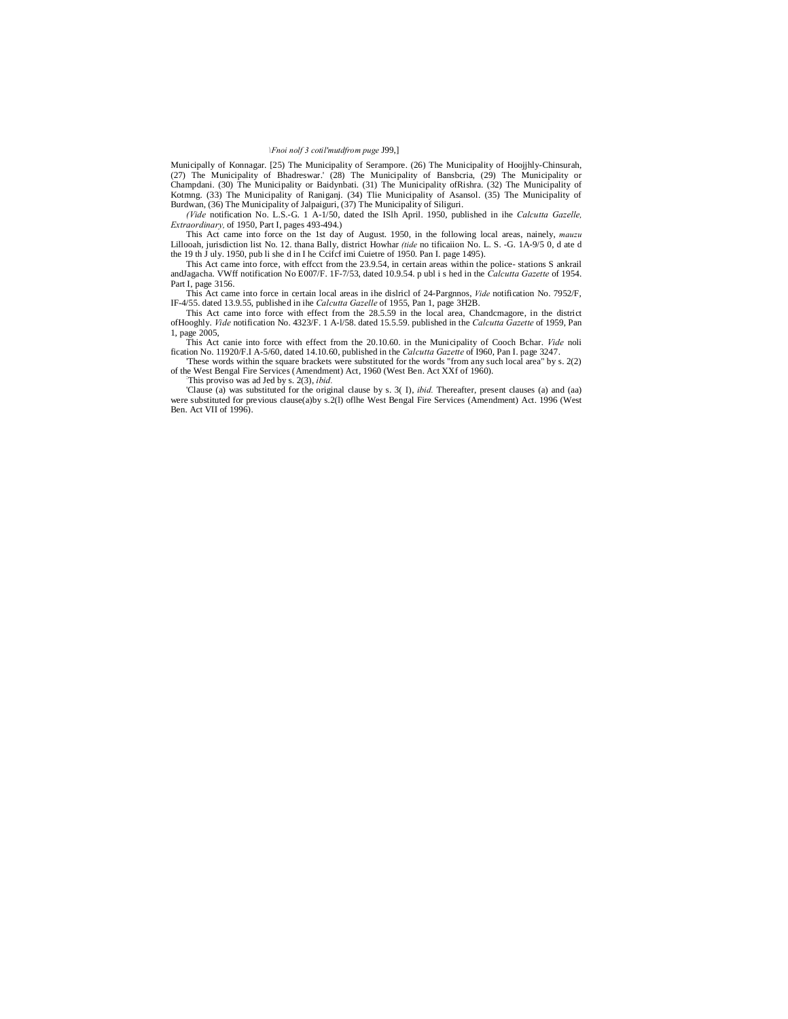#### *\Fnoi nolf 3 cotil'mutdfrom puge* J99,]

Municipally of Konnagar. [25) The Municipality of Serampore. (26) The Municipality of Hoojjhly-Chinsurah, (27) The Municipality of Bhadreswar.' (28) The Municipality of Bansbcria, (29) The Municipality or Champdani. (30) The Municipality or Baidynbati. (31) The Municipality of Rishra. (32) The Municipality of Kotmng. (33) The Municipality of Raniganj. (34) Tlie Municipality of Sansol. (35) The Municipality of Burdwan, (36)

*(Vide* notification No. L.S.-G. 1 A-1/50, dated the ISlh April. 1950, published in ihe *Calcutta Gazelle, Extraordinary,* of 1950, Part I, pages 493-494.)

This Act came into force on the 1st day of August. 1950, in the following local areas, nainely, *mauzu* Lillooah, jurisdiction list No. 12. thana Bally, district Howhar *(tide* no tificaiion No. L. S. -G. 1A-9/5 0, d ate d the 19 th J uly. 1950, pub li she d in I he Ccifcf imi Cuietre of 1950. Pan I. page 1495).

This Act came into force, with effect from the 23.9.54, in certain areas within the police-stations S ankrail and Jagacha. VWff notification No E007/F. 1F-7/53, dated 10.9.54. p ubl i s hed in the Calcutta Gazette of 1954. Part I, page 3156.

This Act came into force in certain local areas in ihe dislricl of 24-Pargnnos, *Vide* notification No. 7952/F, IF-4/55. dated 13.9.55, published in ihe *Calcutta Gazelle* of 1955, Pan 1, page 3H2B.

This Act came into force with effect from the 28.5.59 in the local area, Chandcmagore, in the district ofHooghly. *Vide* notification No. 4323/F. 1 A-l/58. dated 15.5.59. published in the *Calcutta Gazette* of 1959, Pan 1, page 2005,

This Act canie into force with effect from the 20.10.60. in the Municipality of Cooch Bchar. *Vide* noli fication No. 11920/F.I A-5/60, dated 14.10.60, published in the *Calcutta Gazette* of I960, Pan I. page 3247.

These words within the square brackets were substituted for the words "from any such local area" by s. 2(2) of the West Bengal Fire Services (Amendment) Act, 1960 (West Ben. Act XXf of 1960). ::

This proviso was ad Jed by s. 2(3), *ibid.*

'Clause (a) was substituted for the original clause by s. 3( I), *ibid.* Thereafter, present clauses (a) and (aa) were substituted for previous clause(a)by s.2(l) oflhe West Bengal Fire Services (Amendment) Act. 1996 (West Ben. Act VII of 1996).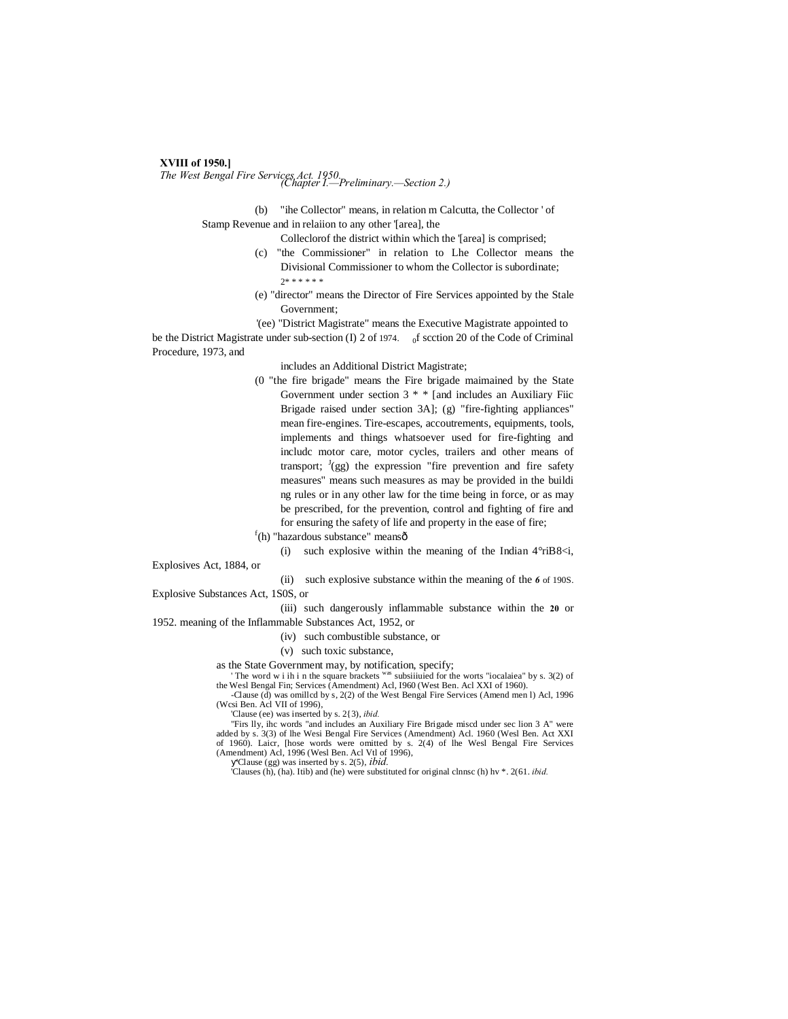## **XVIII of 1950.]**

*The West Bengal Fire Services Act. 1950. (Chapter I.—Preliminary.—Section 2.)*

(b) "ihe Collector" means, in relation m Calcutta, the Collector ' of Stamp Revenue and in relaiion to any other '[area], the

Colleclorof the district within which the '[area] is comprised;

- (c) "the Commissioner" in relation to Lhe Collector means the Divisional Commissioner to whom the Collector is subordinate; 2\* \* \* \* \* \*
- (e) "director" means the Director of Fire Services appointed by the Stale Government;

'(ee) "District Magistrate" means the Executive Magistrate appointed to be the District Magistrate under sub-section (I) 2 of 1974.  $_0$  f scction 20 of the Code of Criminal Procedure, 1973, and

includes an Additional District Magistrate;

- (0 "the fire brigade" means the Fire brigade maimained by the State Government under section  $3$  \* \* [and includes an Auxiliary Fiic Brigade raised under section 3A]; (g) "fire-fighting appliances" mean fire-engines. Tire-escapes, accoutrements, equipments, tools, implements and things whatsoever used for fire-fighting and includc motor care, motor cycles, trailers and other means of transport;  $J(gg)$  the expression "fire prevention and fire safety measures" means such measures as may be provided in the buildi ng rules or in any other law for the time being in force, or as may be prescribed, for the prevention, control and fighting of fire and for ensuring the safety of life and property in the ease of fire;
- $f(h)$  "hazardous substance" meansô

(i) such explosive within the meaning of the Indian  $4^{\circ}$ riB8 $\leq i$ ,

Explosives Act, 1884, or

(ii) such explosive substance within the meaning of the *6* of 190S.

Explosive Substances Act, 1S0S, or

(iii) such dangerously inflammable substance within the **20** or 1952. meaning of the Inflammable Substances Act, 1952, or

- (iv) such combustible substance, or
- (v) such toxic substance,

as the State Government may, by notification, specify;

The word w i ih i n the square brackets was subsiiiuied for the worts "iocalaiea" by s. 3(2) of the Wesl Bengal Fin; Services (Amendment) Acl, I960 (West Ben. Acl XXI of 1960).

-Clause (d) was omillcd by s, 2(2) of the West Bengal Fire Services (Amend men l) Acl, 1996 (Wcsi Ben. Acl VII of 1996),

'Clause (ee) was inserted by s. 2{3), *ibid.*

"Firs lly, ihc words "and includes an Auxiliary Fire Brigade miscd under sec lion 3 A" were added by s. 3(3) of lhe Wesi Bengal Fire Services (Amendment) Acl. 1960 (Wesl Ben. Act XXI of 1960). Laicr, [hose words were omitted by s. 2(4) of lhe Wesl Bengal Fire Services (Amendment) Acl, 1996 (Wesl Ben. Acl Vtl of 1996),

'Clause (gg) was inserted by s. 2(5), *ibid.*

'Clauses (h), (ha). Itib) and (he) were substituted for original clnnsc (h) hv \*. 2(61. *ibid.*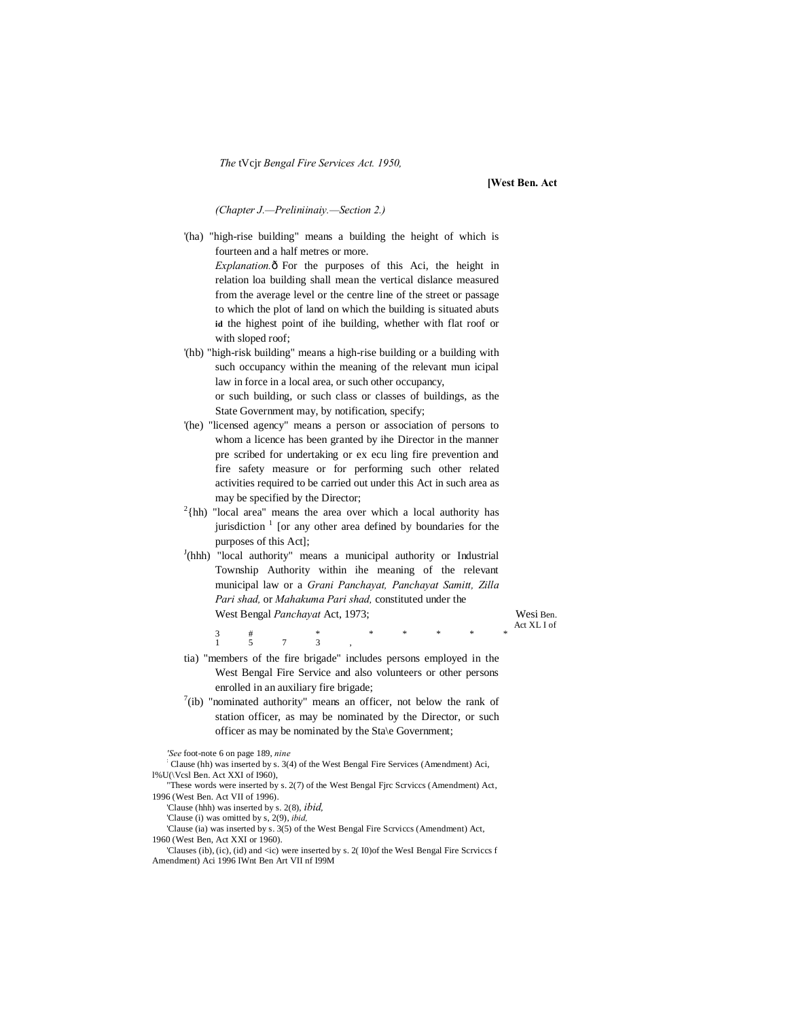*The* tVcjr *Bengal Fire Services Act. 1950,*

**[West Ben. Act**

*(Chapter J.—Preliniinaiy.—Section 2.)*

'(ha) "high-rise building" means a building the height of which is fourteen and a half metres or more. *Explanation.* $\delta$  For the purposes of this Aci, the height in relation loa building shall mean the vertical dislance measured from the average level or the centre line of the street or passage to which the plot of land on which the building is situated abuts **id** the highest point of ihe building, whether with flat roof or with sloped roof; '(hb) "high-risk building" means a high-rise building or a building with

such occupancy within the meaning of the relevant mun icipal law in force in a local area, or such other occupancy, or such building, or such class or classes of buildings, as the State Government may, by notification, specify;

- '(he) "licensed agency" means a person or association of persons to whom a licence has been granted by ihe Director in the manner pre scribed for undertaking or ex ecu ling fire prevention and fire safety measure or for performing such other related activities required to be carried out under this Act in such area as may be specified by the Director;
- $2$ {hh) "local area" means the area over which a local authority has jurisdiction  $\frac{1}{1}$  [or any other area defined by boundaries for the purposes of this Act];
- <sup>J</sup>(hhh) "local authority" means a municipal authority or Industrial Township Authority within ihe meaning of the relevant municipal law or a *Grani Panchayat, Panchayat Samitt, Zilla Pari shad,* or *Mahakuma Pari shad,* constituted under the West Bengal *Panchayat* Act, 1973; Wesi Ben.

Act XL I of 3 # \* \* \* \* \* \* \*

- tia) "members of the fire brigade" includes persons employed in the West Bengal Fire Service and also volunteers or other persons enrolled in an auxiliary fire brigade;
- $7$ (ib) "nominated authority" means an officer, not below the rank of station officer, as may be nominated by the Director, or such officer as may be nominated by the Sta\e Government;

*'See* foot-note 6 on page 189, *nine* :

Clause (hh) was inserted by s. 3(4) of the West Bengal Fire Services (Amendment) Aci, l%U(\Vcsl Ben. Act XXI of I960),

1 5 7 3 ,

- "These words were inserted by s. 2(7) of the West Bengal Fjrc Scrviccs (Amendment) Act, 1996 (West Ben. Act VII of 1996).
	- 'Clause (hhh) was inserted by s. 2(8), *ibid,*
	- 'Clause (i) was omitted by s, 2(9), *ibid,*
- 'Clause (ia) was inserted by s. 3(5) of the West Bengal Fire Scrviccs (Amendment) Act, 1960 (West Ben, Act XXI or 1960).
	-
- 'Clauses (ib), (ic), (id) and <ic) were inserted by s. 2( I0)of the WesI Bengal Fire Scrviccs f Amendment) Aci 1996 IWnt Ben Art VII nf I99M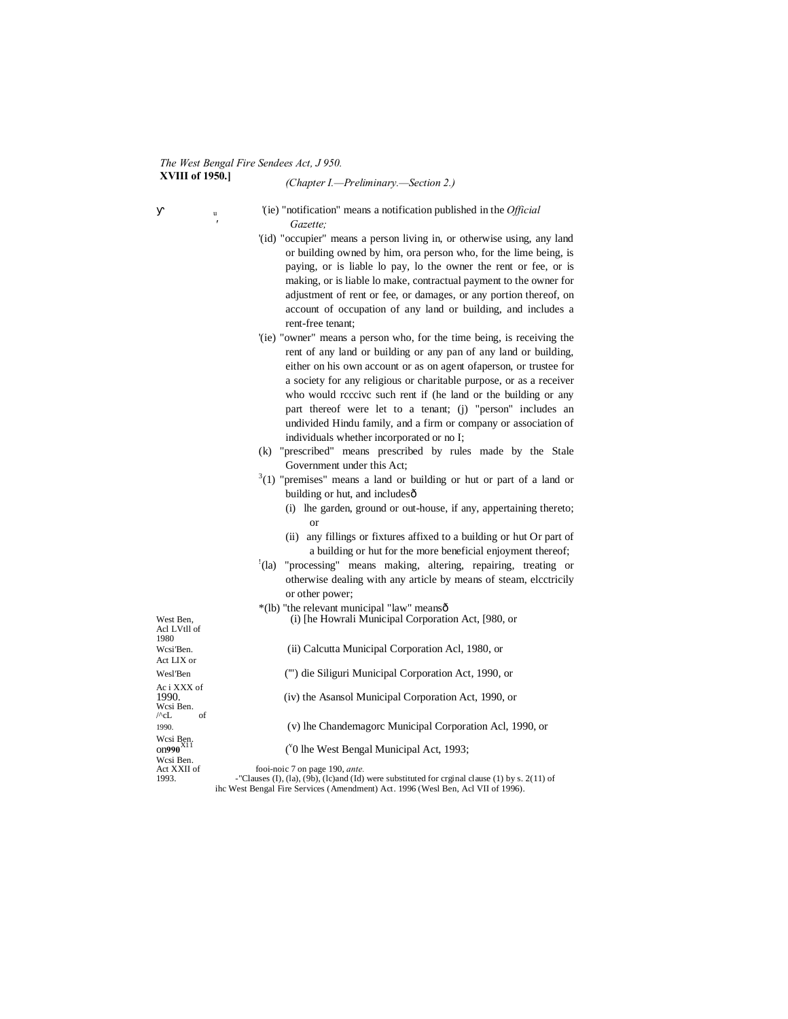## *The West Bengal Fire Sendees Act, J 950.* **XVIII of 1950.]** *(Chapter I.—Preliminary.—Section 2.)*

*'*

<sup>u</sup> '(ie) "notification" means a notification published in the *Official Gazette;*

- '(id) "occupier" means a person living in, or otherwise using, any land or building owned by him, ora person who, for the lime being, is paying, or is liable lo pay, lo the owner the rent or fee, or is making, or is liable lo make, contractual payment to the owner for adjustment of rent or fee, or damages, or any portion thereof, on account of occupation of any land or building, and includes a rent-free tenant;
- '(ie) "owner" means a person who, for the time being, is receiving the rent of any land or building or any pan of any land or building, either on his own account or as on agent ofaperson, or trustee for a society for any religious or charitable purpose, or as a receiver who would reccive such rent if (he land or the building or any part thereof were let to a tenant; (j) "person" includes an undivided Hindu family, and a firm or company or association of individuals whether incorporated or no I;
- (k) "prescribed" means prescribed by rules made by the Stale Government under this Act;
- $3(1)$  "premises" means a land or building or hut or part of a land or building or hut, and includes—
	- (i) lhe garden, ground or out-house, if any, appertaining thereto; or
	- (ii) any fillings or fixtures affixed to a building or hut Or part of a building or hut for the more beneficial enjoyment thereof;
- ! (la) "processing" means making, altering, repairing, treating or otherwise dealing with any article by means of steam, elcctricily or other power;
- \*(lb) "the relevant municipal "law" means—
- West Ben, (i) [he Howrali Municipal Corporation Act, [980, or

(ii) Calcutta Municipal Corporation Acl, 1980, or

1990. (iv) the Asansol Municipal Corporation Act, 1990, or

Acl LVtll of 1980<br>Wcsi Ben. Act LIX or Wesl'Ben ('") die Siliguri Municipal Corporation Act, 1990, or Ac i XXX of Wcsi Ben.  $\sqrt{c}L$  of 1990. (v) lhe Chandemagorc Municipal Corporation Acl, 1990, or Wcsi Ben.<br>0**01990**<sup>X11</sup> ( Wcsi Ben.<br>Act XXII of

v 0 lhe West Bengal Municipal Act, 1993;

Act XXII of fooi-noic 7 on page 190, *ante*.<br>
1993. **Causes (I), (Ia), (9b), (Ic)and (Id) were substituted for crginal clause (1) by s. 2(11) of** ihc West Bengal Fire Services (Amendment) Act. 1996 (Wesl Ben, Acl VII of 1996).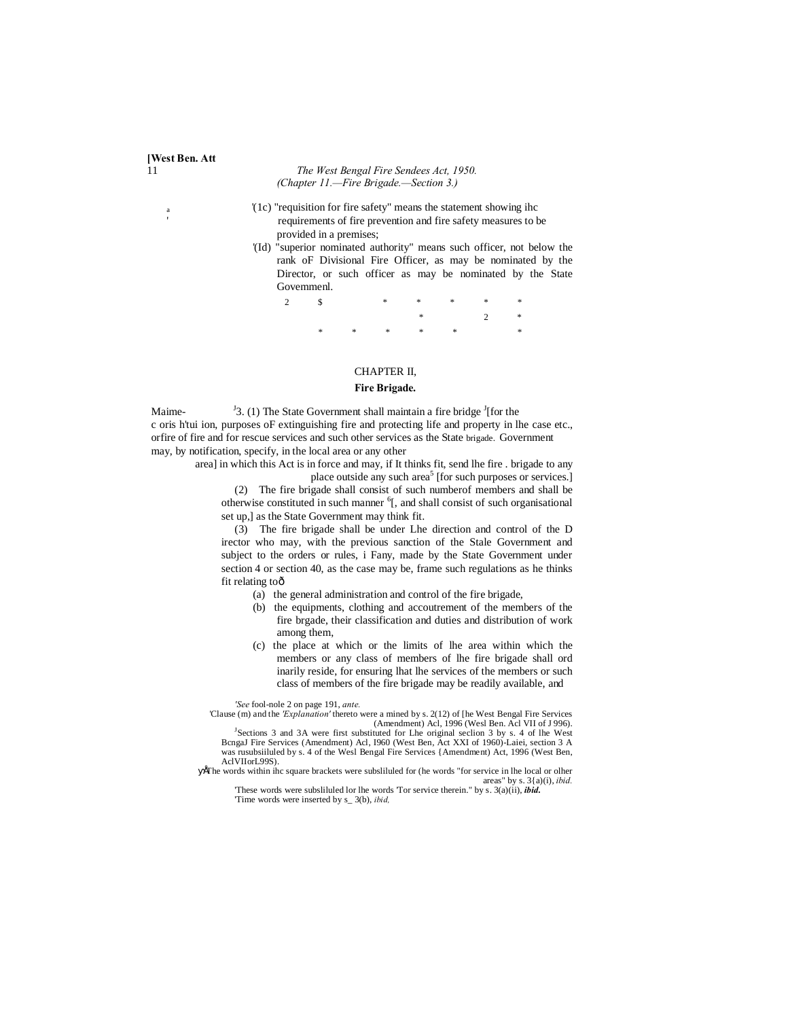#### 11 *The West Bengal Fire Sendees Act, 1950. (Chapter 11.—Fire Brigade.—Section 3.)*

**[West Ben. Att**

'(1c) "requisition for fire safety" means the statement showing ihc requirements of fire prevention and fire safety measures to be provided in a premises;

'(Id) "superior nominated authority" means such officer, not below the rank oF Divisional Fire Officer, as may be nominated by the Director, or such officer as may be nominated by the State Govemmenl.

| 2 $\qquad$ \$ |  |  |  |                 |
|---------------|--|--|--|-----------------|
|               |  |  |  | $\ast$ 2 $\ast$ |
|               |  |  |  |                 |

## CHAPTER II,

#### **Fire Brigade.**

Maime-3. (1) The State Government shall maintain a fire bridge  $\frac{1}{2}$  [for the c oris h'tui ion, purposes oF extinguishing fire and protecting life and property in lhe case etc., orfire of fire and for rescue services and such other services as the State brigade. Government may, by notification, specify, in the local area or any other

> area] in which this Act is in force and may, if It thinks fit, send lhe fire . brigade to any place outside any such area<sup>5</sup> [for such purposes or services.]

(2) The fire brigade shall consist of such numberof members and shall be otherwise constituted in such manner <sup>6</sup>[, and shall consist of such organisational set up,] as the State Government may think fit.

(3) The fire brigade shall be under Lhe direction and control of the D irector who may, with the previous sanction of the Stale Government and subject to the orders or rules, i Fany, made by the State Government under section 4 or section 40, as the case may be, frame such regulations as he thinks fit relating toô

- (a) the general administration and control of the fire brigade,
- (b) the equipments, clothing and accoutrement of the members of the fire brgade, their classification and duties and distribution of work among them,
- (c) the place at which or the limits of lhe area within which the members or any class of members of lhe fire brigade shall ord inarily reside, for ensuring lhat lhe services of the members or such class of members of the fire brigade may be readily available, and

*'See* fool-nole 2 on page 191, *ante.*

'Clause (m) and the *'Explanation'* thereto were a mined by s. 2(12) of [he West Bengal Fire Services (Amendment) Acl, 1996 (Wesl Ben. Acl VII of J 996).

<sup>J</sup>Sections 3 and 3A were first substituted for Lhe original seclion 3 by s. 4 of lhe West BcngaJ Fire Services (Amendment) Acl, I960 (West Ben, Act XXI of 1960)-Laiei, section 3 A was rusubsiiluled by s. 4 of the Wesl Bengal Fire Services {Amendment) Act, 1996 (West Ben, AclVIIorL99S).

•The words within ihc square brackets were subsliluled for (he words "for service in lhe local or olher areas" by s. 3{a)(i), *ibid.* 'These words were subsliluled lor lhe words 'Tor service therein." by s. 3(a)(ii), *ibid.*

'Time words were inserted by s\_ 3(b), *ibid,*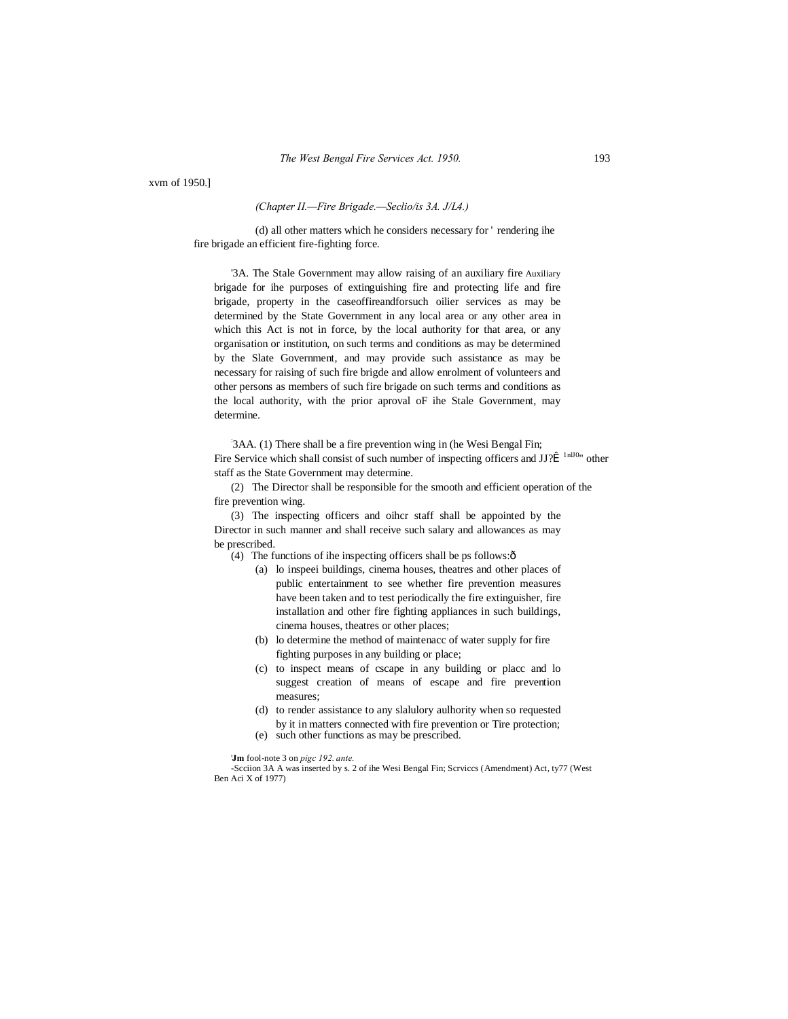xvm of 1950.]

#### *(Chapter II.—Fire Brigade.—Seclio/is 3A. J/L4.)*

(d) all other matters which he considers necessary for ' rendering ihe fire brigade an efficient fire-fighting force.

'3A. The Stale Government may allow raising of an auxiliary fire Auxiliary brigade for ihe purposes of extinguishing fire and protecting life and fire brigade, property in the caseoffireandforsuch oilier services as may be determined by the State Government in any local area or any other area in which this Act is not in force, by the local authority for that area, or any organisation or institution, on such terms and conditions as may be determined by the Slate Government, and may provide such assistance as may be necessary for raising of such fire brigde and allow enrolment of volunteers and other persons as members of such fire brigade on such terms and conditions as the local authority, with the prior aproval oF ihe Stale Government, may determine.

: 3AA. (1) There shall be a fire prevention wing in (he Wesi Bengal Fin; Fire Service which shall consist of such number of inspecting officers and  $JJ\hat{T}^{-1nJ0}$  other staff as the State Government may determine.

(2) The Director shall be responsible for the smooth and efficient operation of the fire prevention wing.

(3) The inspecting officers and oihcr staff shall be appointed by the Director in such manner and shall receive such salary and allowances as may be prescribed.

(4) The functions of ihe inspecting officers shall be ps follows: $\hat{o}$ 

- (a) lo inspeei buildings, cinema houses, theatres and other places of public entertainment to see whether fire prevention measures have been taken and to test periodically the fire extinguisher, fire installation and other fire fighting appliances in such buildings, cinema houses, theatres or other places;
- (b) lo determine the method of maintenacc of water supply for fire fighting purposes in any building or place;
- (c) to inspect means of cscape in any building or placc and lo suggest creation of means of escape and fire prevention measures;
- (d) to render assistance to any slalulory aulhority when so requested by it in matters connected with fire prevention or Tire protection;
- (e) such other functions as may be prescribed.

'**Jm** fool-note 3 on *pigc 192. ante.*

-Scciion 3A A was inserted by s. 2 of ihe Wesi Bengal Fin; Scrviccs (Amendment) Act, ty77 (West Ben Aci X of 1977)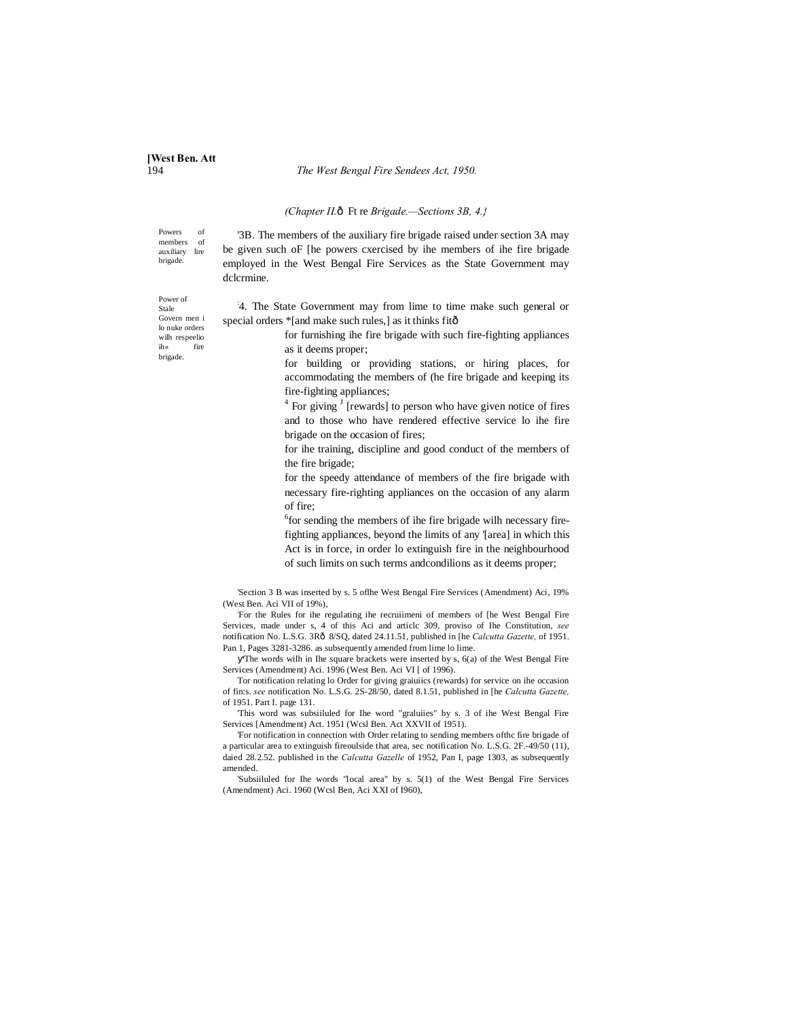# **[West Ben. Att**

**The West Bengal Fire Sendees Act, 1950.** 

#### *(Chapter II.*ô Ft re *Brigade.*—*Sections 3B, 4.*}

Powers of members of<br>auxiliary lire auxiliary brigade.

'3B. The members of the auxiliary fire brigade raised under section 3A may be given such oF [he powers cxercised by ihe members of ihe fire brigade employed in the West Bengal Fire Services as the State Government may dclcrmine.

: 4. The State Government may from lime to time make such general or special orders \*[and make such rules,] as it thinks fitô

> for furnishing ihe fire brigade with such fire-fighting appliances as it deems proper;

for building or providing stations, or hiring places, for accommodating the members of (he fire brigade and keeping its fire-fighting appliances;

 $4$  For giving  $\frac{1}{2}$  [rewards] to person who have given notice of fires and to those who have rendered effective service lo ihe fire brigade on the occasion of fires;

for ihe training, discipline and good conduct of the members of the fire brigade;

for the speedy attendance of members of the fire brigade with necessary fire-righting appliances on the occasion of any alarm of fire;

6 for sending the members of ihe fire brigade wilh necessary firefighting appliances, beyond the limits of any '[area] in which this Act is in force, in order lo extinguish fire in the neighbourhood of such limits on such terms andcondilions as it deems proper;

'Section 3 B was inserted by s. 5 oflhe West Bengal Fire Services (Amendment) Aci, 19% (West Ben. Aci VII of 19%),

For the Rules for ihe regulating ihe recruiimeni of members of [he West Bengal Fire Services, made under s, 4 of this Aci and articlc 309, proviso of Ihe Constitution, *see*  notification No. L.S.G. 3R—8/SQ, dated 24.11.51, published in [he *Calcutta Gazette,* of 1951. Pan 1, Pages 3281-3286. as subsequently amended from lime lo lime.

The words wilh in Ihe square brackets were inserted by s, 6(a) of the West Bengal Fire Services (Amendment) Aci. 1996 (West Ben. Aci VI [ of 1996).

Tor notification relating lo Order for giving graiuiics (rewards) for service on ihe occasion of fin:s. *see* notification No. L.S.G. 2S-28/50, dated 8.1.51, published in [he *Calcutta Gazette,* of 1951. Part I. page 131.

'This word was subsiiluled for Ihe word "graluiies" by s. 3 of ihe West Bengal Fire Services [Amendment) Act. 1951 (Wcsl Ben. Act XXVII of 1951).

'For notification in connection with Order relating to sending members ofthc fire brigade of a particular area to extinguish fireoulside that area, sec notification No. L.S.G. 2F.-49/50 (11), daied 28.2.52. published in the *Calcutta Gazelle* of 1952, Pan I, page 1303, as subsequently amended.

'Subsiiluled for Ihe words "local area" by s. 5(1) of the West Bengal Fire Services (Amendment) Aci. 1960 (Wcsl Ben, Aci XXI of I960),

Power of Stale Govern men i lo nuke orders wilh respeelio ih« fire brigade.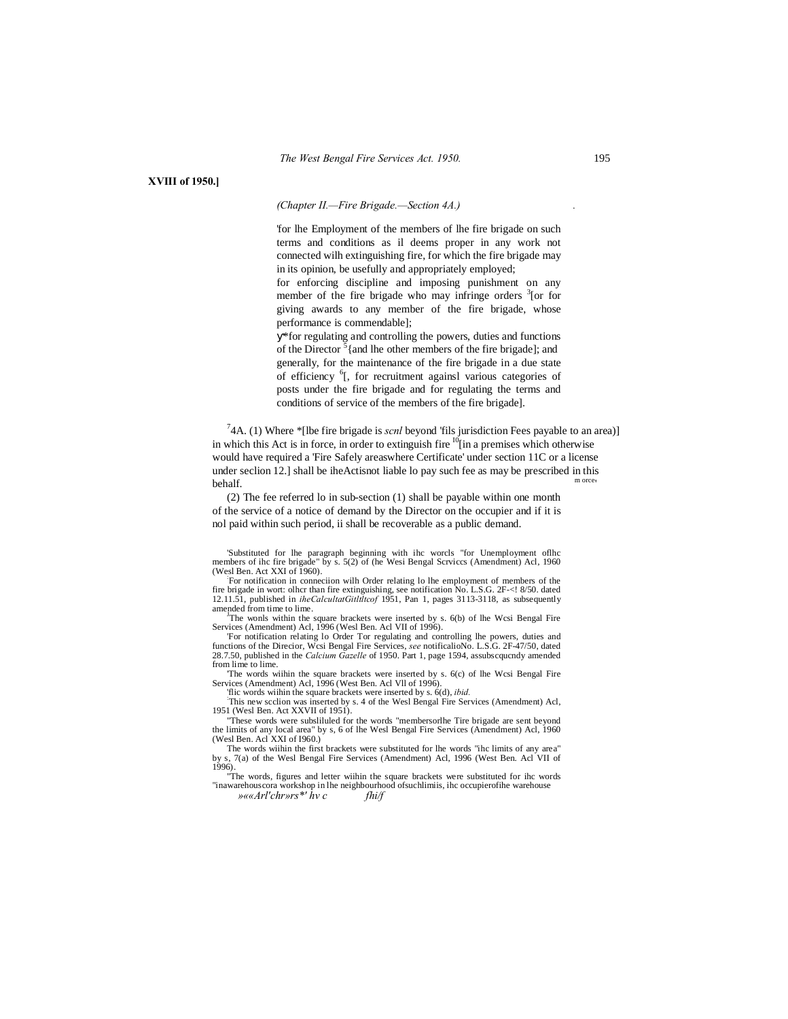**XVIII of 1950.]**

## *(Chapter II.—Fire Brigade.—Section 4A.) .*

'for lhe Employment of the members of lhe fire brigade on such terms and conditions as il deems proper in any work not connected wilh extinguishing fire, for which the fire brigade may in its opinion, be usefully and appropriately employed;

for enforcing discipline and imposing punishment on any member of the fire brigade who may infringe orders  $3$ [or for giving awards to any member of the fire brigade, whose performance is commendable];

\*for regulating and controlling the powers, duties and functions of the Director  $5$ {and lhe other members of the fire brigade]; and generally, for the maintenance of the fire brigade in a due state of efficiency <sup>6</sup>[, for recruitment againsl various categories of posts under the fire brigade and for regulating the terms and conditions of service of the members of the fire brigade].

<sup>7</sup>4A. (1) Where \*[lbe fire brigade is *scnl* beyond 'fils jurisdiction Fees payable to an area)] in which this Act is in force, in order to extinguish fire  $\frac{10}{10}$  a premises which otherwise would have required a 'Fire Safely areaswhere Certificate' under section 11C or a license under seclion 12.] shall be iheActisnot liable lo pay such fee as may be prescribed in this behalf. more,

(2) The fee referred lo in sub-section (1) shall be payable within one month of the service of a notice of demand by the Director on the occupier and if it is nol paid within such period, ii shall be recoverable as a public demand.

'Substituted for lhe paragraph beginning with ihc worcls "for Unemployment oflhc members of ihc fire brigade" by s. 5(2) of (he Wesi Bengal Scrviccs (Amendment) Acl, 1960<br>(Wesl Ben. Act XXI of 1960).<br>
The notification in connection with Order relation In the complement of members of the

For notification in conneciion wilh Order relating lo lhe employment of members of the fire brigade in wort: olhcr than fire extinguishing, see notification No. L.S.G. 2F-<! 8/50. dated 12.11.51, published in *iheCalcultatGitltltcof* 1951, Pan 1, pages 3113-3118, as subsequently amended from time to lime.

The wonls within the square brackets were inserted by s. 6(b) of lhe Wcsi Bengal Fire Services (Amendment) Acl, 1996 (Wesl Ben. Acl VII of 1996).

'For notification relating lo Order Tor regulating and controlling lhe powers, duties and functions of the Direcior, Wcsi Bengal Fire Services, *see* notificalioNo. L.S.G. 2F-47/50, dated 28.7.50, published in the *Calcium Gazelle* of 1950. Part 1, page 1594, assubscqucndy amended from lime to lime. 'The words wiihin the square brackets were inserted by s. 6(c) of lhe Wcsi Bengal Fire

Services (Amendment) Acl, 1996 (West Ben. Acl Vll of 1996).

'flic words wiihin the square brackets were inserted by s. 6(d), *ibid.* :

This new scclion was inserted by s. 4 of the Wesl Bengal Fire Services (Amendment) Acl, 1951 (Wesl Ben. Act XXVII of 1951).

"These words were subsliluled for the words "membersorlhe Tire brigade are sent beyond the limits of any local area" by s, 6 of lhe Wesl Bengal Fire Services (Amendment) Acl, 1960 (Wesl Ben. Acl XXI of I960.)

The words wiihin the first brackets were substituted for lhe words "ihc limits of any area" by s, 7(a) of the Wesl Bengal Fire Services (Amendment) Acl, 1996 (West Ben. Acl VII of 1996).

"The words, figures and letter wiihin the square brackets were substituted for ihc words "inawarehouscora workshop in lhe neighbourhood ofsuchlimiis, ihc occupierofihe warehouse *»««Arl'chr»rs\*' hv c fhi/f*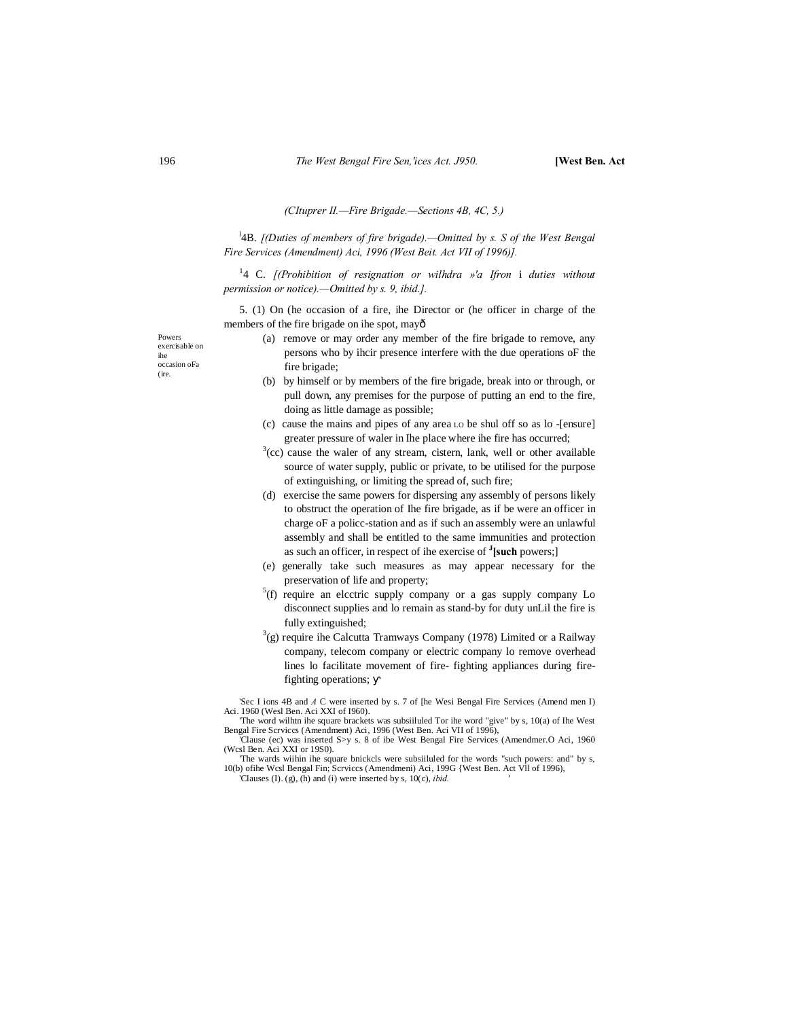#### *(CItuprer II.—Fire Brigade.—Sections 4B, 4C, 5.)*

l 4B. *[(Duties of members of fire brigade).—Omitted by s. S of the West Bengal Fire Services (Amendment) Aci, 1996 (West Beit. Act VII of 1996)].*

<sup>1</sup>4 C. *[(Prohibition of resignation or wilhdra »'a Ifron i duties without permission or notice).—Omitted by s. 9, ibid.].*

5. (1) On (he occasion of a fire, ihe Director or (he officer in charge of the members of the fire brigade on ihe spot, may—

- Powers exercisable on ihe occasion oFa (ire.
- (a) remove or may order any member of the fire brigade to remove, any persons who by ihcir presence interfere with the due operations oF the fire brigade;
- (b) by himself or by members of the fire brigade, break into or through, or pull down, any premises for the purpose of putting an end to the fire, doing as little damage as possible;
- (c) cause the mains and pipes of any area LO be shul off so as lo -[ensure] greater pressure of waler in Ihe place where ihe fire has occurred;
- $3$ (cc) cause the waler of any stream, cistern, lank, well or other available source of water supply, public or private, to be utilised for the purpose of extinguishing, or limiting the spread of, such fire;
- (d) exercise the same powers for dispersing any assembly of persons likely to obstruct the operation of Ihe fire brigade, as if be were an officer in charge oF a policc-station and as if such an assembly were an unlawful assembly and shall be entitled to the same immunities and protection as such an officer, in respect of ihe exercise of **<sup>J</sup> [such** powers;]
- (e) generally take such measures as may appear necessary for the preservation of life and property;
- $5(f)$  require an electric supply company or a gas supply company Lo disconnect supplies and lo remain as stand-by for duty unLil the fire is fully extinguished;
- $3$ (g) require ihe Calcutta Tramways Company (1978) Limited or a Railway company, telecom company or electric company lo remove overhead lines lo facilitate movement of fire- fighting appliances during firefighting operations;

'Sec I ions 4B and *A* C were inserted by s. 7 of [he Wesi Bengal Fire Services (Amend men I) Aci. 1960 (Wesl Ben. Aci XXI of I960). 'The word wilhtn ihe square brackets was subsiiluled Tor ihe word "give" by s, 10(a) of Ihe West

Bengal Fire Scrviccs (Amendment) Aci, 1996 (West Ben. Aci VII of 1996), 'Clause (ec) was inserted S>y s. 8 of ibe West Bengal Fire Services (Amendmer.O Aci, 1960

(Wcsl Ben. Aci XXI or 19S0). 'The wards wiihin ihe square bnickcls were subsiiluled for the words "such powers: and" by s,

10(b) ofihe Wcsl Bengal Fin; Scrviccs (Amendmeni) Aci, 199G {West Ben. Act Vll of 1996), 'Clauses (I). (g), (h) and (i) were inserted by s, 10(c), *ibid. '*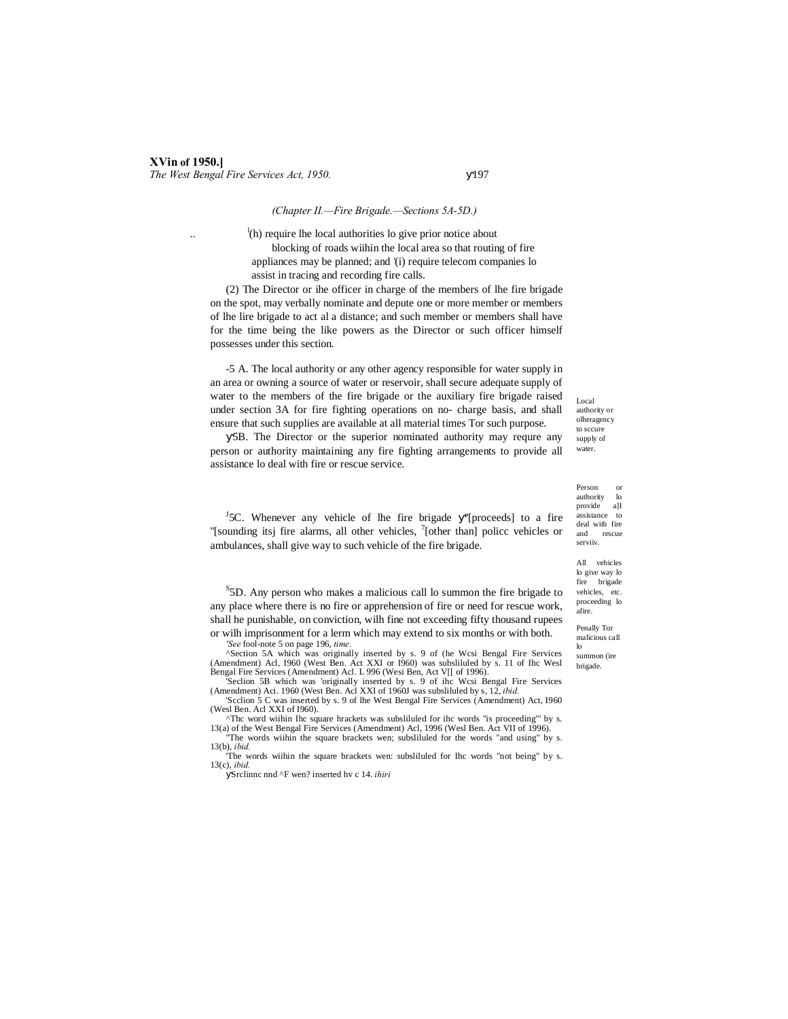#### *(Chapter II.—Fire Brigade.—Sections 5A-5D.)*

 $\ldots$  let  $<sup>1</sup>(h)$  require lhe local authorities lo give prior notice about</sup> blocking of roads wiihin the local area so that routing of fire appliances may be planned; and '(i) require telecom companies lo assist in tracing and recording fire calls.

(2) The Director or ihe officer in charge of the members of lhe fire brigade on the spot, may verbally nominate and depute one or more member or members of lhe lire brigade to act al a distance; and such member or members shall have for the time being the like powers as the Director or such officer himself possesses under this section.

-5 A. The local authority or any other agency responsible for water supply in an area or owning a source of water or reservoir, shall secure adequate supply of water to the members of the fire brigade or the auxiliary fire brigade raised under section 3A for fire fighting operations on no- charge basis, and shall ensure that such supplies are available at all material times Tor such purpose.

5B. The Director or the superior nominated authority may requre any person or authority maintaining any fire fighting arrangements to provide all assistance lo deal with fire or rescue service.

Local authority or olheragency to sccure supply of water.

Person or<br>authority lo authority lo<br>provide all provide assistance to deal with fire<br>and rescue rescue serviiv.

All vehicles lo give way lo fire brigade vehicles, etc. proceeding lo afire.

Penally Tor malicious call lo

summon (ire brigade.

<sup>J</sup>5C. Whenever any vehicle of lhe fire brigade "[proceeds] to a fire "[sounding itsj fire alarms, all other vehicles,  $\frac{7}{1}$ [other than] police vehicles or ambulances, shall give way to such vehicle of the fire brigade.

<sup>S</sup>5D. Any person who makes a malicious call lo summon the fire brigade to any place where there is no fire or apprehension of fire or need for rescue work, shall he punishable, on conviction, wilh fine not exceeding fifty thousand rupees or wilh imprisonment for a lerm which may extend to six months or with both.

*'See* fool-note 5 on page 196, *time.*

^Section 5A which was originally inserted by s. 9 of (he Wcsi Bengal Fire Services (Amendment) Acl, I960 (West Ben. Act XXI or I960) was subsliluled by s. 11 of Ihc Wesl Bengal Fire Services (Amendment) Acl. L 996 (Wesi Ben, Act V[[ of 1996).

'Seclion 5B which was 'originally inserted by s. 9 of ihc Wcsi Bengal Fire Services (Amendment) Aci. 1960 (West Ben. Acl XXI of 1960J was subsliluled by s, 12, *ibid.*

'Scclion 5 C was inserted by s. 9 of lhe West Bengal Fire Services (Amendment) Act, I960 (Wesl Ben. Acl XXI of I960). ^Thc word wiihin Ihc square hrackets was subsliluled for ihc words "is proceeding"' by s.

13(a) of the West Bengal Fire Services (Amendment) Acl, 1996 (Wesl Ben. Act VII of 1996). "The words wiihin the square brackets wen; subsliluled for the words "and using" by s.

13(b), *ibid.* 'The words wiihin the square brackets wen: subsliluled for Ihc words "not being" by s. 13(c), *ibid.*

Srclinnc nnd ^F wen? inserted hv c 14. *ihiri*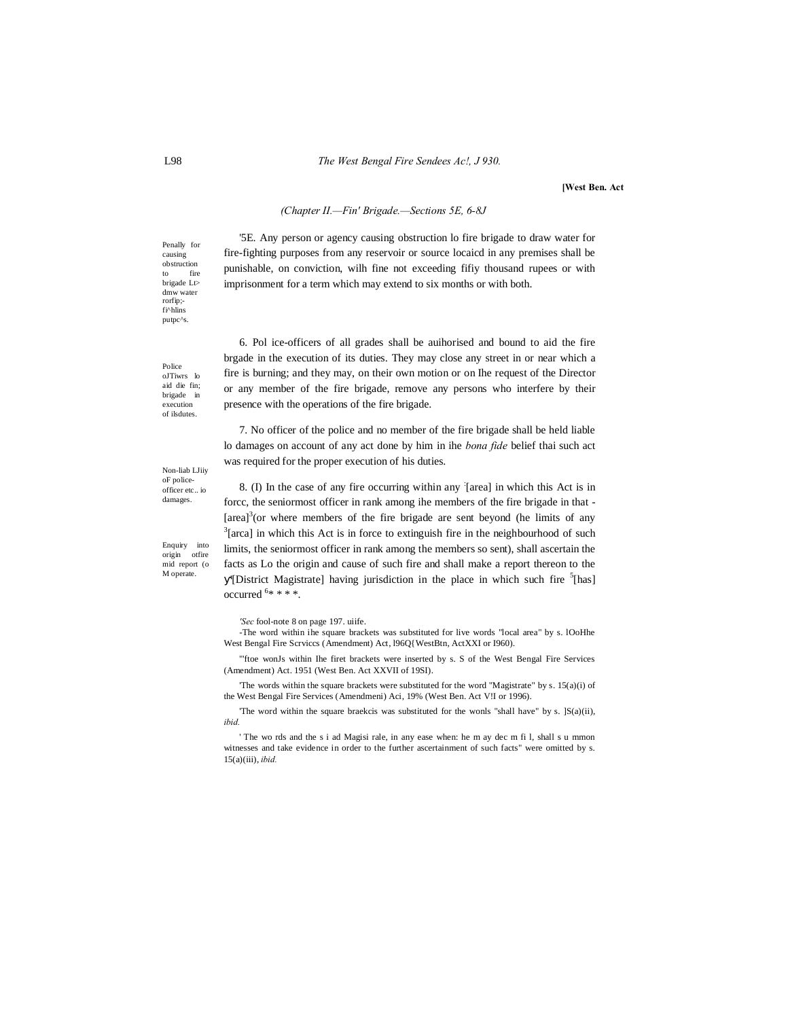#### L98 *The West Bengal Fire Sendees Ac!, J 930.*

**[West Ben. Act**

## *(Chapter II.—Fin' Brigade.—Sections 5E, 6-8J*

'5E. Any person or agency causing obstruction lo fire brigade to draw water for fire-fighting purposes from any reservoir or source locaicd in any premises shall be punishable, on conviction, wilh fine not exceeding fifiy thousand rupees or with imprisonment for a term which may extend to six months or with both.

6. Pol ice-officers of all grades shall be auihorised and bound to aid the fire brgade in the execution of its duties. They may close any street in or near which a fire is burning; and they may, on their own motion or on Ihe request of the Director or any member of the fire brigade, remove any persons who interfere by their presence with the operations of the fire brigade.

7. No officer of the police and no member of the fire brigade shall be held liable lo damages on account of any act done by him in ihe *bona fide* belief thai such act was required for the proper execution of his duties.

8. (I) In the case of any fire occurring within any : [area] in which this Act is in forcc, the seniormost officer in rank among ihe members of the fire brigade in that - [area]<sup>3</sup>(or where members of the fire brigade are sent beyond (he limits of any  $3$ <sup>1</sup> areal in which this Act is in force to extinguish fire in the pointhoughod of such  $3$ [arca] in which this Act is in force to extinguish fire in the neighbourhood of such limits, the seniormost officer in rank among the members so sent), shall ascertain the facts as Lo the origin and cause of such fire and shall make a report thereon to the '[District Magistrate] having jurisdiction in the place in which such fire <sup>5</sup>[has] occurred 6 \* \* \* \*.

*'Sec* fool-note 8 on page 197. uiife.

-The word within ihe square brackets was substituted for live words "local area" by s. lOoHhe West Bengal Fire Scrviccs (Amendment) Act, l96Q{WestBtn, ActXXI or I960).

'"ftoe wonJs within Ihe firet brackets were inserted by s. S of the West Bengal Fire Services (Amendment) Act. 1951 (West Ben. Act XXVII of 19SI).

'The words within the square brackets were substituted for the word "Magistrate" by s. 15(a)(i) of the West Bengal Fire Services (Amendmeni) Aci, 19% (West Ben. Act V!I or 1996).

The word within the square braekcis was substituted for the wonls "shall have" by s.  $|S(a)(ii),\rangle$ *ibid.*

' The wo rds and the s i ad Magisi rale, in any ease when: he m ay dec m fi l, shall s u mmon witnesses and take evidence in order to the further ascertainment of such facts" were omitted by s. 15(a)(iii), *ibid.*

Penally for causing obstruction to fire brigade Lt> dmw water rorfip;- fi^hlins putpc^s.

Police oJTiwrs lo aid die fin; brigade in execution of ilsdutes.

Non-liab LJiiy oF policeofficer etc.. io damages.

Enquiry into origin otfire mid report (o M operate.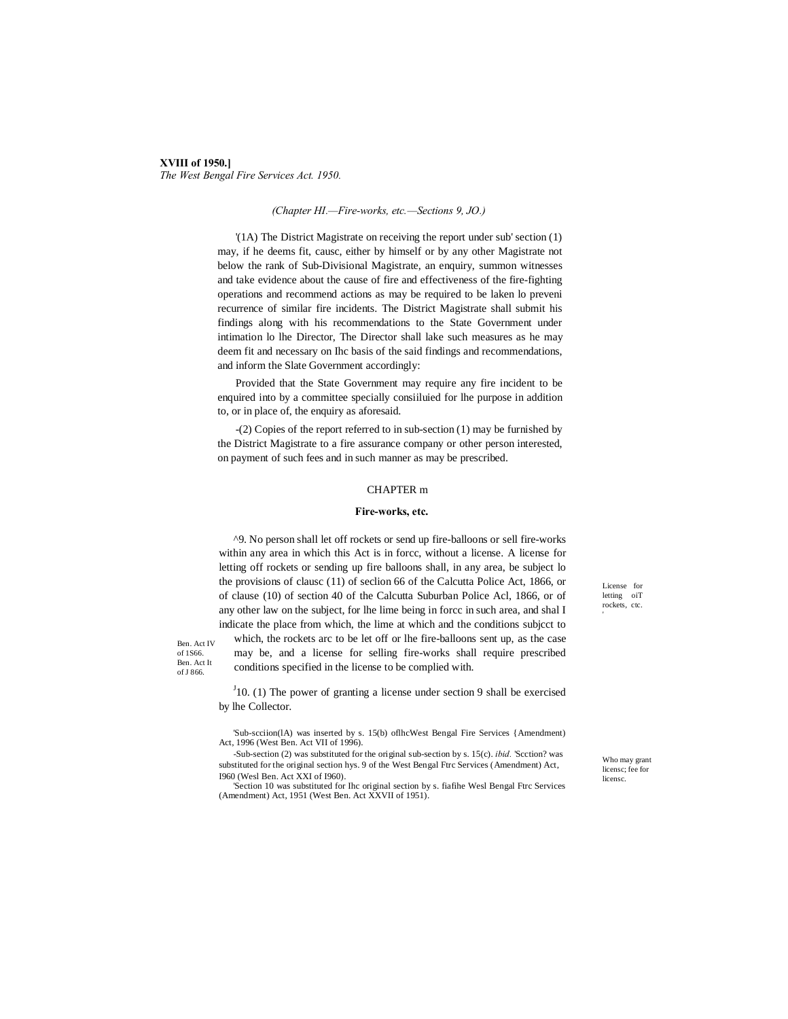## **XVIII of 1950.]** *The West Bengal Fire Services Act. 1950.*

#### *(Chapter HI.—Fire-works, etc.—Sections 9, JO.)*

'(1A) The District Magistrate on receiving the report under sub' section (1) may, if he deems fit, causc, either by himself or by any other Magistrate not below the rank of Sub-Divisional Magistrate, an enquiry, summon witnesses and take evidence about the cause of fire and effectiveness of the fire-fighting operations and recommend actions as may be required to be laken lo preveni recurrence of similar fire incidents. The District Magistrate shall submit his findings along with his recommendations to the State Government under intimation lo lhe Director, The Director shall lake such measures as he may deem fit and necessary on Ihc basis of the said findings and recommendations, and inform the Slate Government accordingly:

Provided that the State Government may require any fire incident to be enquired into by a committee specially consiiluied for lhe purpose in addition to, or in place of, the enquiry as aforesaid.

-(2) Copies of the report referred to in sub-section (1) may be furnished by the District Magistrate to a fire assurance company or other person interested, on payment of such fees and in such manner as may be prescribed.

#### CHAPTER m

#### **Fire-works, etc.**

^9. No person shall let off rockets or send up fire-balloons or sell fire-works within any area in which this Act is in forcc, without a license. A license for letting off rockets or sending up fire balloons shall, in any area, be subject lo the provisions of clausc (11) of seclion 66 of the Calcutta Police Act, 1866, or of clause (10) of section 40 of the Calcutta Suburban Police Acl, 1866, or of any other law on the subject, for lhe lime being in forcc in such area, and shal I indicate the place from which, the lime at which and the conditions subjcct to

Ben. Act IV of 1S66. Ben. Act It of J 866.

which, the rockets arc to be let off or lhe fire-balloons sent up, as the case may be, and a license for selling fire-works shall require prescribed conditions specified in the license to be complied with.

 $J_1$ 10. (1) The power of granting a license under section 9 shall be exercised by lhe Collector.

'Sub-scciion(lA) was inserted by s. 15(b) oflhcWest Bengal Fire Services {Amendment) Act, 1996 (West Ben. Act VII of 1996).

-Sub-section (2) was substituted for the original sub-section by s. 15(c). *ibid.* 'Scction? was substituted for the original section hys. 9 of the West Bengal Ftrc Services (Amendment) Act, I960 (Wesl Ben. Act XXI of I960).

'Section 10 was substituted for Ihc original section by s. fiafihe Wesl Bengal Ftrc Services (Amendment) Act, 1951 (West Ben. Act XXVII of 1951).

License for letting oiT rockets, ctc.

Who may grant licensc; fee for licensc.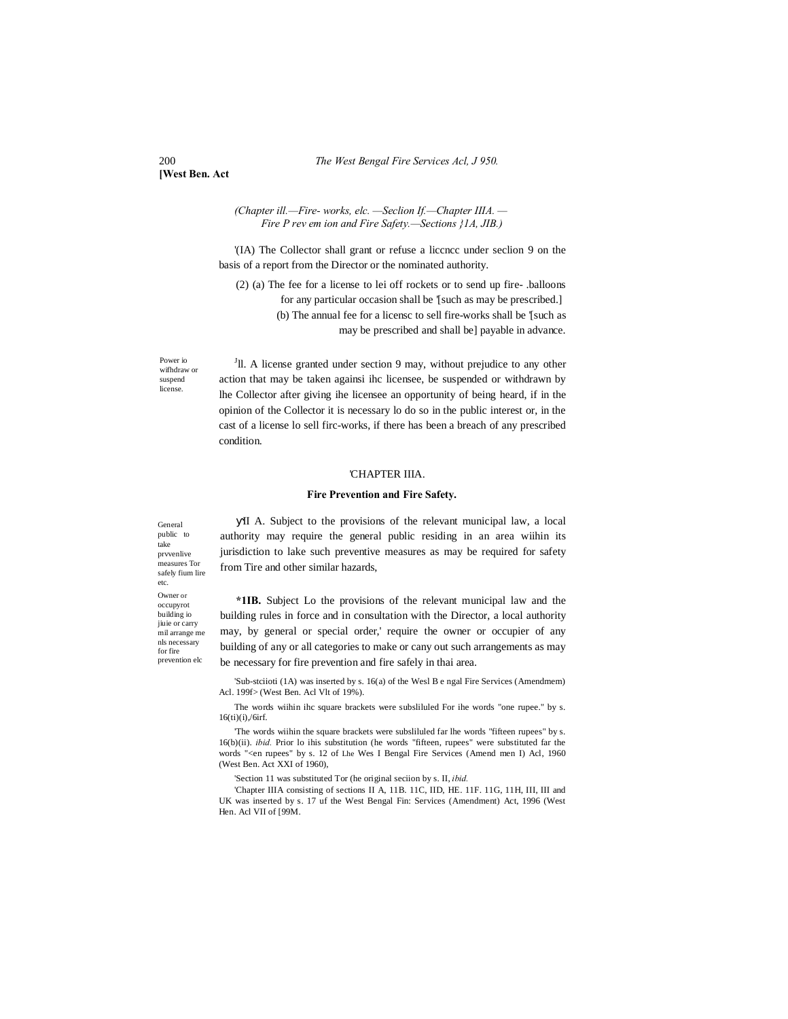**[West Ben. Act**

#### *(Chapter ill.—Fire- works, elc. —Seclion If.—Chapter IIIA. — Fire P rev em ion and Fire Safety.—Sections }1A, JIB.)*

'(IA) The Collector shall grant or refuse a liccncc under seclion 9 on the basis of a report from the Director or the nominated authority.

(2) (a) The fee for a license to lei off rockets or to send up fire- .balloons for any particular occasion shall be '[such as may be prescribed.] (b) The annual fee for a licensc to sell fire-works shall be '[such as may be prescribed and shall be] payable in advance.

Power io wifhdraw or suspend license.

<sup>J</sup>ll. A license granted under section 9 may, without prejudice to any other action that may be taken againsi ihc licensee, be suspended or withdrawn by lhe Collector after giving ihe licensee an opportunity of being heard, if in the opinion of the Collector it is necessary lo do so in the public interest or, in the cast of a license lo sell firc-works, if there has been a breach of any prescribed condition.

## 'CHAPTER IIIA.

#### **Fire Prevention and Fire Safety.**

II A. Subject to the provisions of the relevant municipal law, a local authority may require the general public residing in an area wiihin its jurisdiction to lake such preventive measures as may be required for safety from Tire and other similar hazards,

**\*1IB.** Subject Lo the provisions of the relevant municipal law and the building rules in force and in consultation with the Director, a local authority may, by general or special order,' require the owner or occupier of any building of any or all categories to make or cany out such arrangements as may be necessary for fire prevention and fire safely in thai area.

'Sub-stciioti (1A) was inserted by s. 16(a) of the Wesl B e ngal Fire Services (Amendmem) Acl. 199f> (West Ben. Acl Vlt of 19%).

The words wiihin ihc square brackets were subsliluled For ihe words "one rupee." by s.  $16(ii)(i)/6irf.$ 

'The words wiihin the square brackets were subsliluled far lhe words "fifteen rupees" by s. 16(b)(ii). *ibid.* Prior lo ihis substitution (he words "fifteen, rupees" were substituted far the words "<en rupees" by s. 12 of Lhe Wes I Bengal Fire Services (Amend men I) Acl, 1960 (West Ben. Act XXI of 1960),

'Section 11 was substituted Tor (he original seciion by s. II, *ibid.*

'Chapter IIIA consisting of sections II A, 11B. 11C, IID, HE. 11F. 11G, 11H, III, III and UK was inserted by s. 17 uf the West Bengal Fin: Services (Amendment) Act, 1996 (West Hen. Acl VII of [99M.

public to take prvvenlive measures Tor safely fium lire etc. Owner or occupyrot building io jiuie or carry mil arrange me nls necessary for fire prevention elc

General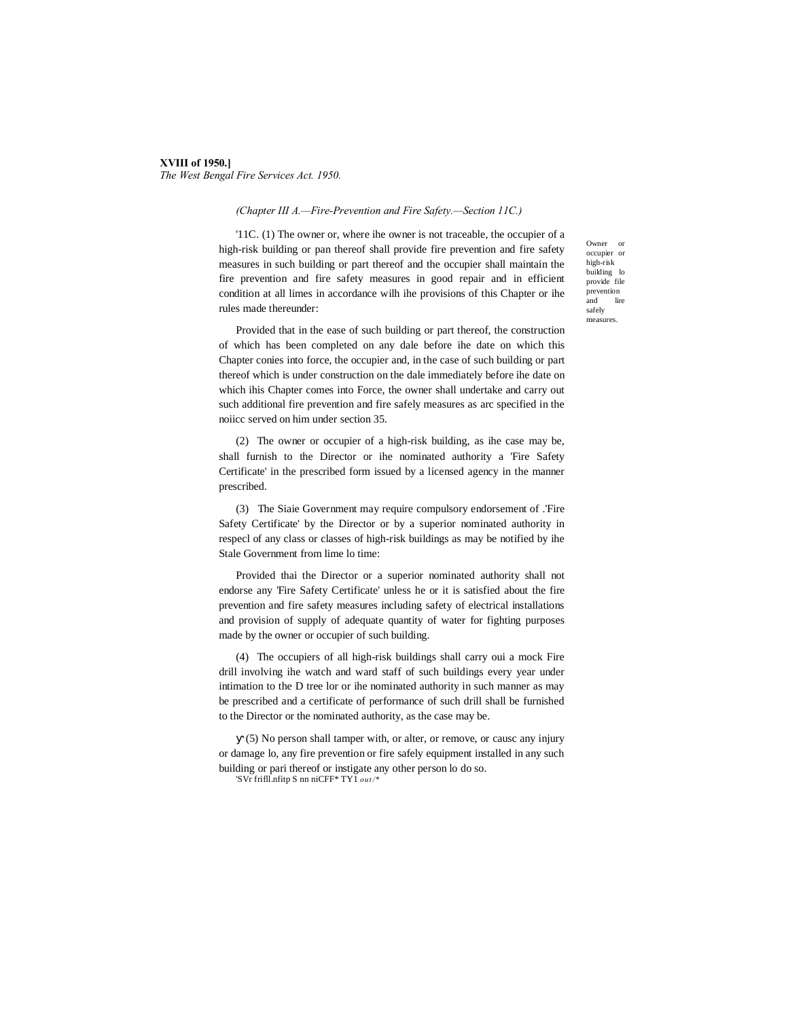#### **XVIII of 1950.]** *The West Bengal Fire Services Act. 1950.*

#### *(Chapter III A.—Fire-Prevention and Fire Safety.—Section 11C.)*

'11C. (1) The owner or, where ihe owner is not traceable, the occupier of a high-risk building or pan thereof shall provide fire prevention and fire safety measures in such building or part thereof and the occupier shall maintain the fire prevention and fire safety measures in good repair and in efficient condition at all limes in accordance wilh ihe provisions of this Chapter or ihe rules made thereunder:

Owner or occupier or high-risk building lo provide file prevention and lire safely measures.

Provided that in the ease of such building or part thereof, the construction of which has been completed on any dale before ihe date on which this Chapter conies into force, the occupier and, in the case of such building or part thereof which is under construction on the dale immediately before ihe date on which ihis Chapter comes into Force, the owner shall undertake and carry out such additional fire prevention and fire safely measures as arc specified in the noiicc served on him under section 35.

(2) The owner or occupier of a high-risk building, as ihe case may be, shall furnish to the Director or ihe nominated authority a 'Fire Safety Certificate' in the prescribed form issued by a licensed agency in the manner prescribed.

(3) The Siaie Government may require compulsory endorsement of .'Fire Safety Certificate' by the Director or by a superior nominated authority in respecl of any class or classes of high-risk buildings as may be notified by ihe Stale Government from lime lo time:

Provided thai the Director or a superior nominated authority shall not endorse any 'Fire Safety Certificate' unless he or it is satisfied about the fire prevention and fire safety measures including safety of electrical installations and provision of supply of adequate quantity of water for fighting purposes made by the owner or occupier of such building.

(4) The occupiers of all high-risk buildings shall carry oui a mock Fire drill involving ihe watch and ward staff of such buildings every year under intimation to the D tree lor or ihe nominated authority in such manner as may be prescribed and a certificate of performance of such drill shall be furnished to the Director or the nominated authority, as the case may be.

(5) No person shall tamper with, or alter, or remove, or causc any injury or damage lo, any fire prevention or fire safely equipment installed in any such building or pari thereof or instigate any other person lo do so.

'SVr frifll.nfitp S nn niCFF\* TY1 *out /\**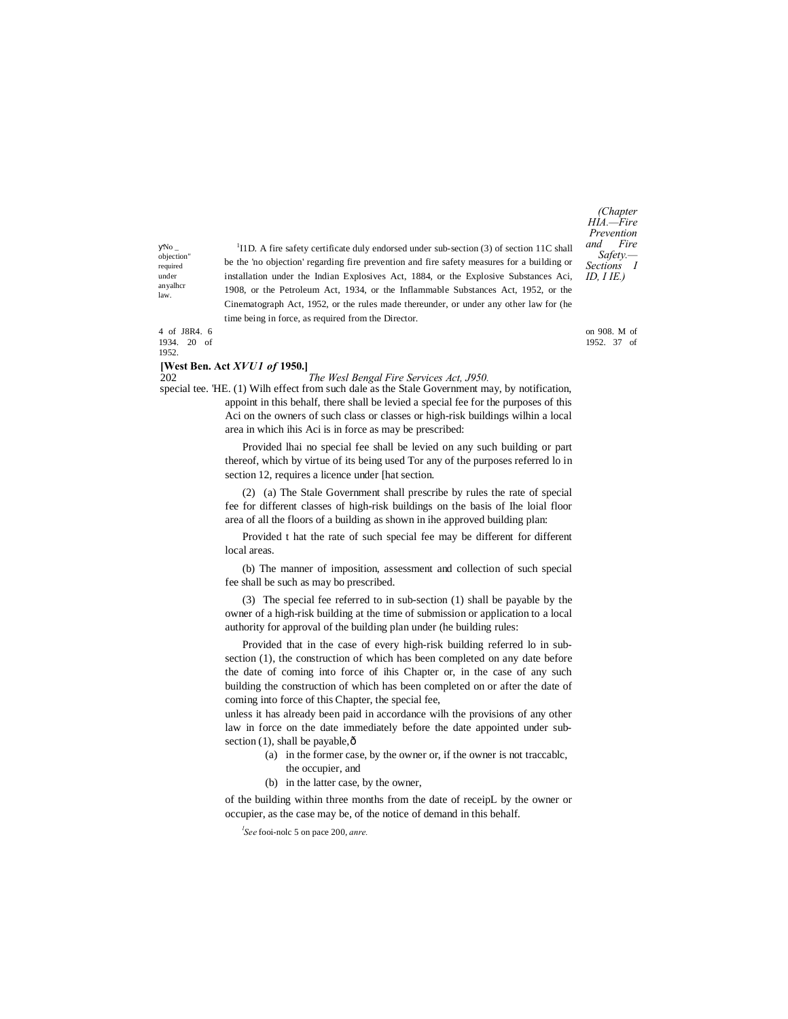No \_ objection" required under anyalhcr law.

<sup>1</sup>I1D. A fire safety certificate duly endorsed under sub-section (3) of section 11C shall be the 'no objection' regarding fire prevention and fire safety measures for a building or installation under the Indian Explosives Act, 1884, or the Explosive Substances Aci, 1908, or the Petroleum Act, 1934, or the Inflammable Substances Act, 1952, or the Cinematograph Act, 1952, or the rules made thereunder, or under any other law for (he time being in force, as required from the Director.

*(Chapter HIA.—Fire Prevention and Fire Safety.— Sections I ID, I IE.)*

4 of J8R4. 6 on 908. M of 1934. 20 of 1952. 37 of 1952.

#### **[West Ben. Act** *XVU1 of* **1950.]**

#### 202 *The Wesl Bengal Fire Services Act, J950.*

special tee. 'HE. (1) Wilh effect from such dale as the Stale Government may, by notification, appoint in this behalf, there shall be levied a special fee for the purposes of this Aci on the owners of such class or classes or high-risk buildings wilhin a local area in which ihis Aci is in force as may be prescribed:

> Provided lhai no special fee shall be levied on any such building or part thereof, which by virtue of its being used Tor any of the purposes referred lo in section 12, requires a licence under [hat section.

> (2) (a) The Stale Government shall prescribe by rules the rate of special fee for different classes of high-risk buildings on the basis of Ihe loial floor area of all the floors of a building as shown in ihe approved building plan:

> Provided t hat the rate of such special fee may be different for different local areas.

> (b) The manner of imposition, assessment and collection of such special fee shall be such as may bo prescribed.

> (3) The special fee referred to in sub-section (1) shall be payable by the owner of a high-risk building at the time of submission or application to a local authority for approval of the building plan under (he building rules:

> Provided that in the case of every high-risk building referred lo in subsection (1), the construction of which has been completed on any date before the date of coming into force of ihis Chapter or, in the case of any such building the construction of which has been completed on or after the date of coming into force of this Chapter, the special fee,

> unless it has already been paid in accordance wilh the provisions of any other law in force on the date immediately before the date appointed under subsection  $(1)$ , shall be payable, $\hat{o}$

- (a) in the former case, by the owner or, if the owner is not traccablc, the occupier, and
	-
- (b) in the latter case, by the owner,

of the building within three months from the date of receipL by the owner or occupier, as the case may be, of the notice of demand in this behalf.

*l See* fooi-nolc 5 on pace 200, *anre.*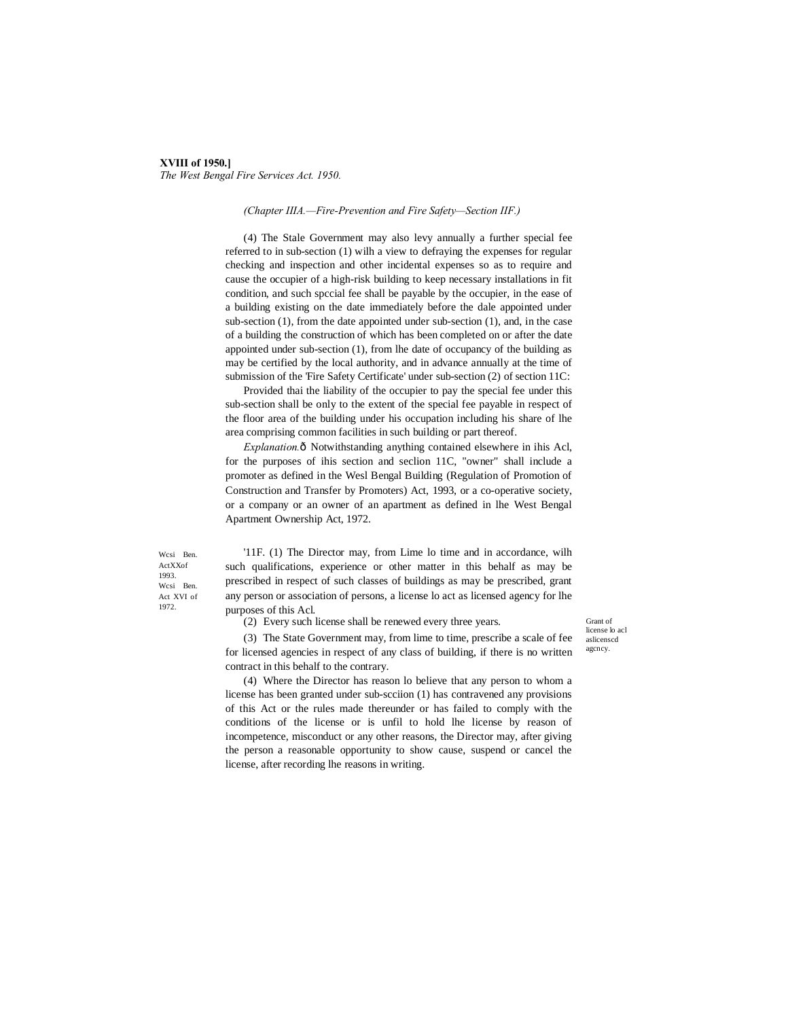## **XVIII of 1950.]** *The West Bengal Fire Services Act. 1950.*

#### *(Chapter IIIA.—Fire-Prevention and Fire Safety—Section IIF.)*

(4) The Stale Government may also levy annually a further special fee referred to in sub-section (1) wilh a view to defraying the expenses for regular checking and inspection and other incidental expenses so as to require and cause the occupier of a high-risk building to keep necessary installations in fit condition, and such spccial fee shall be payable by the occupier, in the ease of a building existing on the date immediately before the dale appointed under sub-section (1), from the date appointed under sub-section (1), and, in the case of a building the construction of which has been completed on or after the date appointed under sub-section (1), from lhe date of occupancy of the building as may be certified by the local authority, and in advance annually at the time of submission of the 'Fire Safety Certificate' under sub-section (2) of section 11C:

Provided thai the liability of the occupier to pay the special fee under this sub-section shall be only to the extent of the special fee payable in respect of the floor area of the building under his occupation including his share of lhe area comprising common facilities in such building or part thereof.

Explanation.ô Notwithstanding anything contained elsewhere in ihis Acl, for the purposes of ihis section and seclion 11C, "owner" shall include a promoter as defined in the Wesl Bengal Building (Regulation of Promotion of Construction and Transfer by Promoters) Act, 1993, or a co-operative society, or a company or an owner of an apartment as defined in lhe West Bengal Apartment Ownership Act, 1972.

Wcsi Ben. ActXXof 1993. Wcsi Ben. Act XVI of 1972.

'11F. (1) The Director may, from Lime lo time and in accordance, wilh such qualifications, experience or other matter in this behalf as may be prescribed in respect of such classes of buildings as may be prescribed, grant any person or association of persons, a license lo act as licensed agency for lhe purposes of this Acl.

(2) Every such license shall be renewed every three years.

Grant of license lo acl aslicenscd agcncy.

(3) The State Government may, from lime to time, prescribe a scale of fee for licensed agencies in respect of any class of building, if there is no written contract in this behalf to the contrary. (4) Where the Director has reason lo believe that any person to whom a

license has been granted under sub-scciion (1) has contravened any provisions of this Act or the rules made thereunder or has failed to comply with the conditions of the license or is unfil to hold lhe license by reason of incompetence, misconduct or any other reasons, the Director may, after giving the person a reasonable opportunity to show cause, suspend or cancel the license, after recording lhe reasons in writing.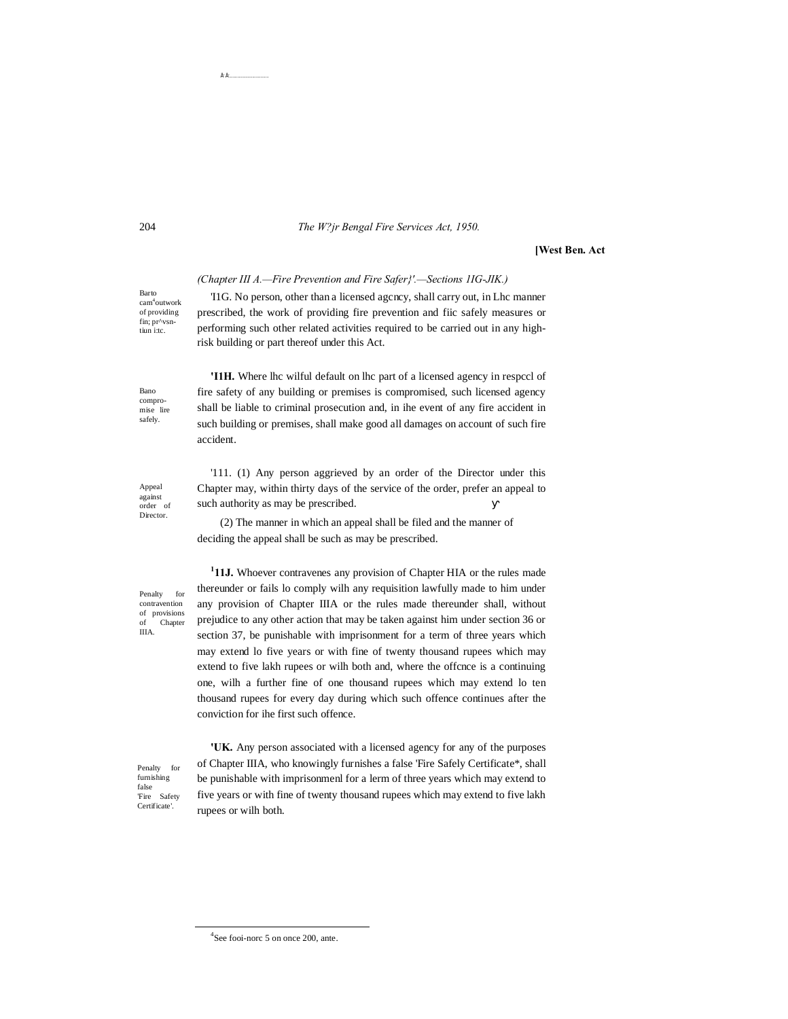#### 204 *The W?jr Bengal Fire Services Act, 1950.*

#### **[West Ben. Act**

#### *(Chapter III A.—Fire Prevention and Fire Safer}'.—Sections 1IG-JIK.)*

Barto cam4 outwork of providing fin; pr^vsntiun i:tc.

'I1G. No person, other than a licensed agcncy, shall carry out, in Lhc manner prescribed, the work of providing fire prevention and fiic safely measures or performing such other related activities required to be carried out in any highrisk building or part thereof under this Act.

**'I1H.** Where lhc wilful default on lhc part of a licensed agency in respccl of fire safety of any building or premises is compromised, such licensed agency

Bano compromise lire safely.

Appeal against order of Director.

shall be liable to criminal prosecution and, in ihe event of any fire accident in such building or premises, shall make good all damages on account of such fire accident.

'111. (1) Any person aggrieved by an order of the Director under this Chapter may, within thirty days of the service of the order, prefer an appeal to such authority as may be prescribed.

(2) The manner in which an appeal shall be filed and the manner of deciding the appeal shall be such as may be prescribed.

Penalty for contravention of provisions of Chapter IIIA.

<sup>1</sup>11J. Whoever contravenes any provision of Chapter HIA or the rules made thereunder or fails lo comply wilh any requisition lawfully made to him under any provision of Chapter IIIA or the rules made thereunder shall, without prejudice to any other action that may be taken against him under section 36 or section 37, be punishable with imprisonment for a term of three years which may extend lo five years or with fine of twenty thousand rupees which may extend to five lakh rupees or wilh both and, where the offcnce is a continuing one, wilh a further fine of one thousand rupees which may extend lo ten thousand rupees for every day during which such offence continues after the conviction for ihe first such offence.

Penalty for furnishing false 'Fire Safety Certificate'.

**'UK.** Any person associated with a licensed agency for any of the purposes of Chapter IIIA, who knowingly furnishes a false 'Fire Safely Certificate\*, shall be punishable with imprisonmenl for a lerm of three years which may extend to five years or with fine of twenty thousand rupees which may extend to five lakh rupees or wilh both.

 $\dot{\mathbf{E}}^{\dagger}\dot{\mathbf{E}}^{\dagger}$ 

 $\frac{1}{4}$  $4$ See fooi-norc 5 on once 200, ante.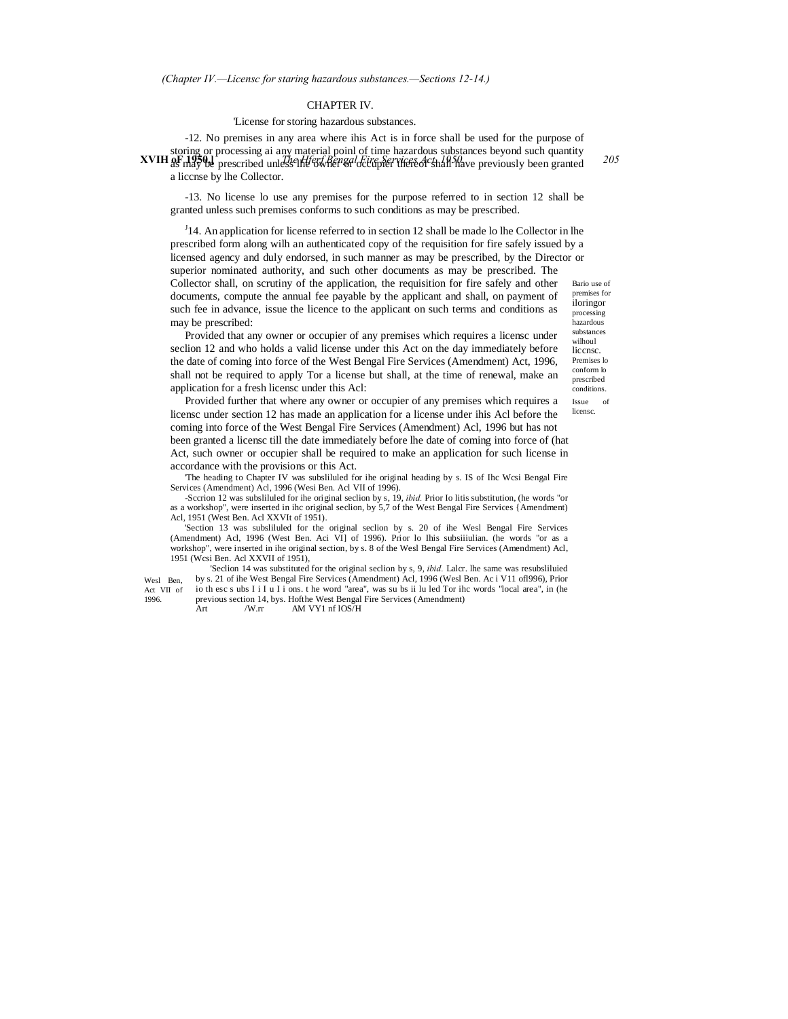#### CHAPTER IV.

#### 'License for storing hazardous substances.

XVIH of nay be prescribed unless the experience of the of that have previously been granted<sup>205</sup> -12. No premises in any area where ihis Act is in force shall be used for the purpose of storing or processing ai any material poinl of time hazardous substances beyond such quantity a liccnse by lhe Collector.

-13. No license lo use any premises for the purpose referred to in section 12 shall be granted unless such premises conforms to such conditions as may be prescribed.

Bario use of  $J<sup>J</sup>14$ . An application for license referred to in section 12 shall be made lo lhe Collector in lhe prescribed form along wilh an authenticated copy of the requisition for fire safely issued by a licensed agency and duly endorsed, in such manner as may be prescribed, by the Director or superior nominated authority, and such other documents as may be prescribed. The Collector shall, on scrutiny of the application, the requisition for fire safely and other documents, compute the annual fee payable by the applicant and shall, on payment of such fee in advance, issue the licence to the applicant on such terms and conditions as

may be prescribed: Provided that any owner or occupier of any premises which requires a licensc under seclion 12 and who holds a valid license under this Act on the day immediately before the date of coming into force of the West Bengal Fire Services (Amendment) Act, 1996, shall not be required to apply Tor a license but shall, at the time of renewal, make an application for a fresh licensc under this Acl:

premises for iloringor processing hazardous substances wilhoul liccnsc. Premises lo conform lo prescribed conditions.

Issue of licensc.

Provided further that where any owner or occupier of any premises which requires a licensc under section 12 has made an application for a license under ihis Acl before the coming into force of the West Bengal Fire Services (Amendment) Acl, 1996 but has not been granted a licensc till the date immediately before lhe date of coming into force of (hat Act, such owner or occupier shall be required to make an application for such license in accordance with the provisions or this Act.

'The heading to Chapter IV was subsliluled for ihe original heading by s. IS of Ihc Wcsi Bengal Fire Services (Amendment) Acl, 1996 (Wesi Ben. Acl VII of 1996).

-Sccrion 12 was subsliluled for ihe original seclion by s, 19, *ibid.* Prior Io litis substitution, (he words "or as a workshop", were inserted in ihc original seclion, by 5,7 of the West Bengal Fire Services {Amendment) Acl, 1951 (West Ben. Acl XXVIt of 1951).

'Section 13 was subsliluled for the original seclion by s. 20 of ihe Wesl Bengal Fire Services (Amendment) Acl, 1996 (West Ben. Aci VI] of 1996). Prior lo Ihis subsiiiulian. (he words "or as a workshop", were inserted in ihe original section, by s. 8 of the Wesl Bengal Fire Services (Amendment) Acl, 1951 (Wcsi Ben. Acl XXVII of 1951),

'Seclion 14 was substituted for the original seclion by s, 9, *ibid.* Lalcr. lhe same was resubsliluied by s. 21 of ihe West Bengal Fire Services (Amendment) Acl, 1996 (Wesl Ben. Ac i V11 ofl996), Prior io th esc s ubs I i I u I i ons. t he word "area", was su bs ii lu led Tor ihc words "local area", in (he

Wesl Ben Act VII of 1996.

previous section 14, bys. Hofthe West Bengal Fire Services (Amendment)<br>Art /W.rr AM VY1 nf lOS/H Art /W.rr AM VY1 nf lOS/H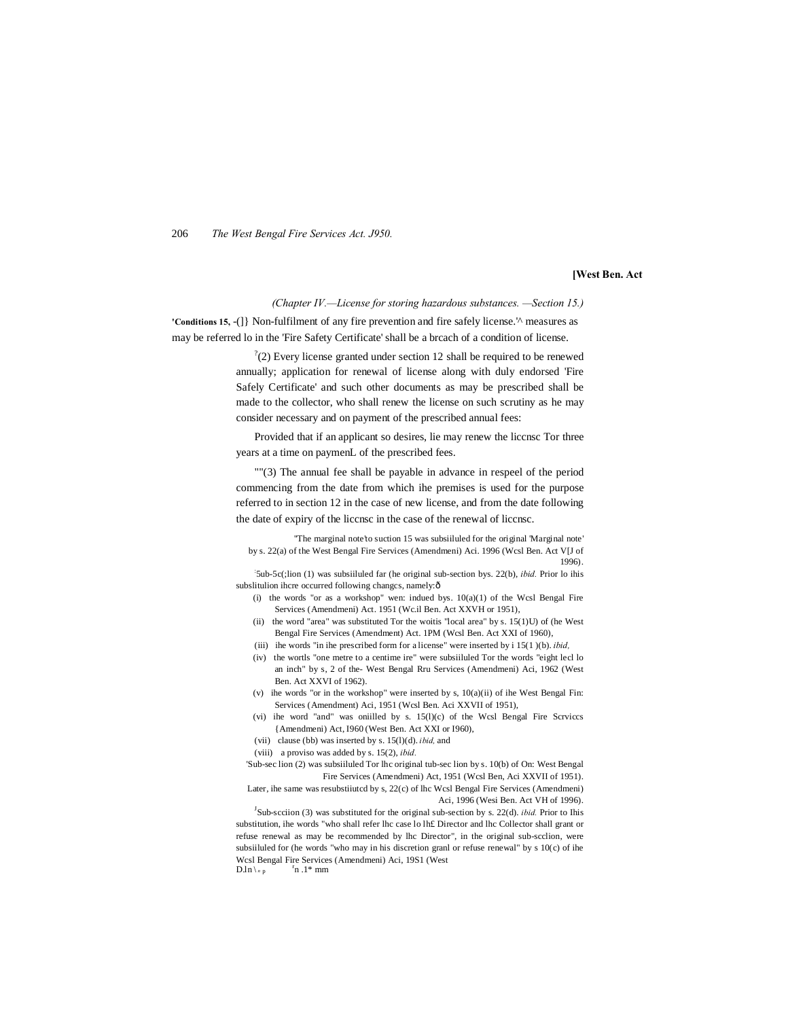206 *The West Bengal Fire Services Act. J950.*

#### **[West Ben. Act**

*(Chapter IV.—License for storing hazardous substances. —Section 15.)*

**'Conditions 15,** -(]} Non-fulfilment of any fire prevention and fire safely license.'^ measures as may be referred lo in the 'Fire Safety Certificate' shall be a brcach of a condition of license.

> $^2(2)$  Every license granted under section 12 shall be required to be renewed annually; application for renewal of license along with duly endorsed 'Fire Safely Certificate' and such other documents as may be prescribed shall be made to the collector, who shall renew the license on such scrutiny as he may consider necessary and on payment of the prescribed annual fees:

> Provided that if an applicant so desires, lie may renew the liccnsc Tor three years at a time on paymenL of the prescribed fees.

> ""(3) The annual fee shall be payable in advance in respeel of the period commencing from the date from which ihe premises is used for the purpose referred to in section 12 in the case of new license, and from the date following the date of expiry of the liccnsc in the case of the renewal of liccnsc.

''The marginal note'to suction 15 was subsiiluled for the original 'Marginal note' by s. 22(a) of the West Bengal Fire Services (Amendmeni) Aci. 1996 (Wcsl Ben. Act V[J of 1996).

: 5ub-5c(;lion (1) was subsiiluled far (he original sub-section bys. 22(b), *ibid.* Prior lo ihis subslitulion ihcre occurred following changes, namely: ô

- (i) the words "or as a workshop" wen: indued bys.  $10(a)(1)$  of the Wcsl Bengal Fire Services (Amendmeni) Act. 1951 (Wc.il Ben. Act XXVH or 1951),
- (ii) the word "area" was substituted Tor the woitis "local area" by s.  $15(1)$ U) of (he West Bengal Fire Services (Amendment) Act. 1PM (Wcsl Ben. Act XXI of 1960),
- (iii) ihe words "in ihe prescribed form for a license" were inserted by i 15(1 )(b). *ibid,*
- (iv) the wortls "one metre to a centime ire" were subsiiluled Tor the words "eight lecl lo an inch" by s, 2 of the- West Bengal Rru Services (Amendmeni) Aci, 1962 (West Ben. Act XXVI of 1962).
- (v) ihe words "or in the workshop" were inserted by s,  $10(a)(ii)$  of ihe West Bengal Fin: Services (Amendment) Aci, 1951 (Wcsl Ben. Aci XXVII of 1951),
- (vi) ihe word "and" was oniilled by s. 15(l)(c) of the Wcsl Bengal Fire Scrviccs {Amendmeni) Act, I960 (West Ben. Act XXI or I960),
- (vii) clause (bb) was inserted by s. 15(l)(d). *ibid,* and
- (viii) a proviso was added by s. 15(2), *ibid.*

'Sub-sec lion (2) was subsiiluled Tor lhc original tub-sec lion by s. 10(b) of On: West Bengal Fire Services (Amendmeni) Act, 1951 (Wcsl Ben, Aci XXVII of 1951). Later, ihe same was resubstiiutcd by s, 22(c) of lhc Wcsl Bengal Fire Services (Amendmeni)

Aci, 1996 (Wesi Ben. Act VH of 1996).

 $J<sup>J</sup>$ Sub-scciion (3) was substituted for the original sub-section by s. 22(d). *ibid*. Prior to Ihis substitution, ihe words "who shall refer lhc case lo lh£ Director and lhc Collector shall grant or refuse renewal as may be recommended by lhc Director", in the original sub-scclion, were subsiiluled for (he words "who may in his discretion granl or refuse renewal" by s 10(c) of ihe Wcsl Bengal Fire Services (Amendmeni) Aci, 19S1 (West  $D.ln \, \mathcal{b}$  p  $\mathrm{r}_{n}$ .1\* mm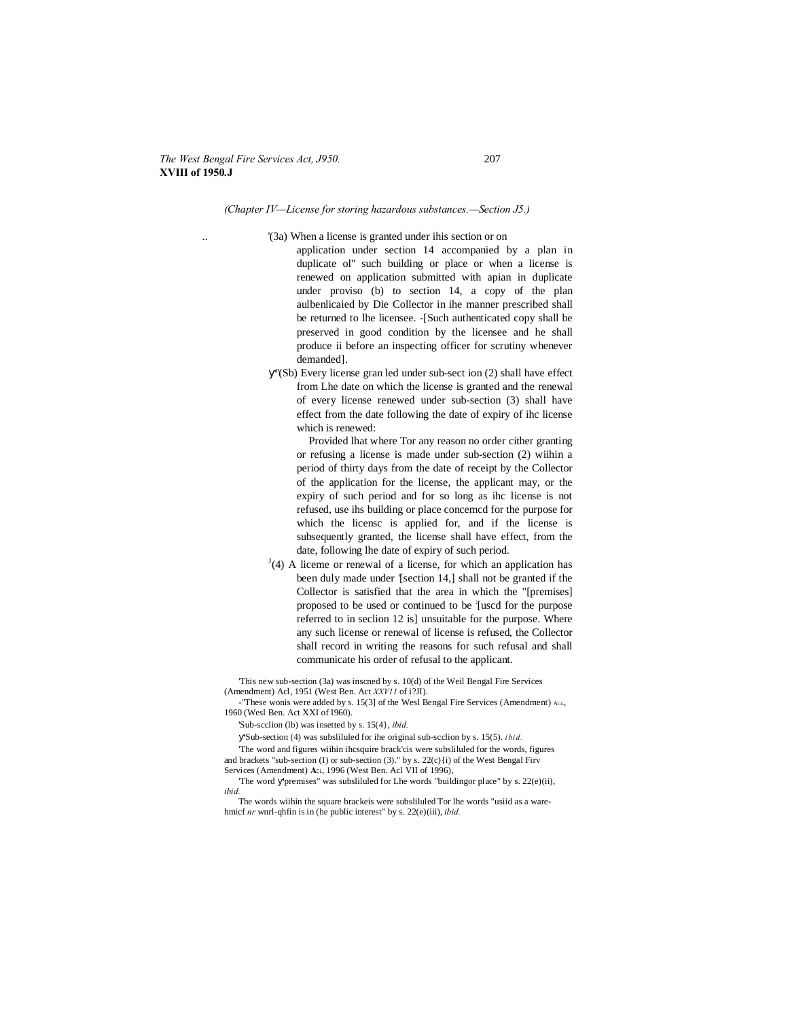#### *The West Bengal Fire Services Act, J950.* 207 **XVIII of 1950.J**

## *(Chapter IV—License for storing hazardous substances.—Section J5.)*

- '(3a) When a license is granted under ihis section or on
	- application under section 14 accompanied by a plan in duplicate ol" such building or place or when a license is renewed on application submitted with apian in duplicate under proviso (b) to section 14, a copy of the plan aulbenlicaied by Die Collector in ihe manner prescribed shall be returned to lhe licensee. -[Such authenticated copy shall be preserved in good condition by the licensee and he shall produce ii before an inspecting officer for scrutiny whenever demanded].
	- ''(Sb) Every license gran led under sub-sect ion (2) shall have effect from Lhe date on which the license is granted and the renewal of every license renewed under sub-section (3) shall have effect from the date following the date of expiry of ihc license which is renewed:

Provided lhat where Tor any reason no order cither granting or refusing a license is made under sub-section (2) wiihin a period of thirty days from the date of receipt by the Collector of the application for the license, the applicant may, or the expiry of such period and for so long as ihc license is not refused, use ihs building or place concemcd for the purpose for which the licensc is applied for, and if the license is subsequently granted, the license shall have effect, from the date, following lhe date of expiry of such period.

 $J(4)$  A liceme or renewal of a license, for which an application has been duly made under '[section 14,] shall not be granted if the Collector is satisfied that the area in which the "[premises] proposed to be used or continued to be : [uscd for the purpose referred to in seclion 12 is] unsuitable for the purpose. Where any such license or renewal of license is refused, the Collector shall record in writing the reasons for such refusal and shall communicate his order of refusal to the applicant.

'This new sub-section (3a) was inscned by s. 10(d) of the Weil Bengal Fire Services (Amendment) Acl, 1951 (West Ben. Act *XXV11* of i?JI).

-"These wonis were added by s. 15(3] of the Wesl Bengal Fire Services (Amendment) Act., 1960 (Wesl Ben. Act XXI of I960).

'Sub-scclion (lb) was insetted by s. 15(4}, *ibid.*

'Sub-section (4) was subsliluled for ihe original sub-scclion by s. 15(5). *i bid.*

'The word and figures wiihin ihcsquire brack'cis were subsliluled for the words, figures and brackets "sub-section (I) or sub-section (3)." by s. 22(c){i) of the West Bengal Firv Services (Amendment) **A**CL, 1996 (West Ben. Acl VII of 1996),

The word 'premises" was subsliluled for Lhe words "buildingor place" by s. 22(e)(ii), *ibid.*

The words wiihin the square brackeis were subsliluled Tor lhe words "usiid as a warehmicf *nr* wnrl-qhfin is in (he public interest" by s. 22(e)(iii), *ibid.*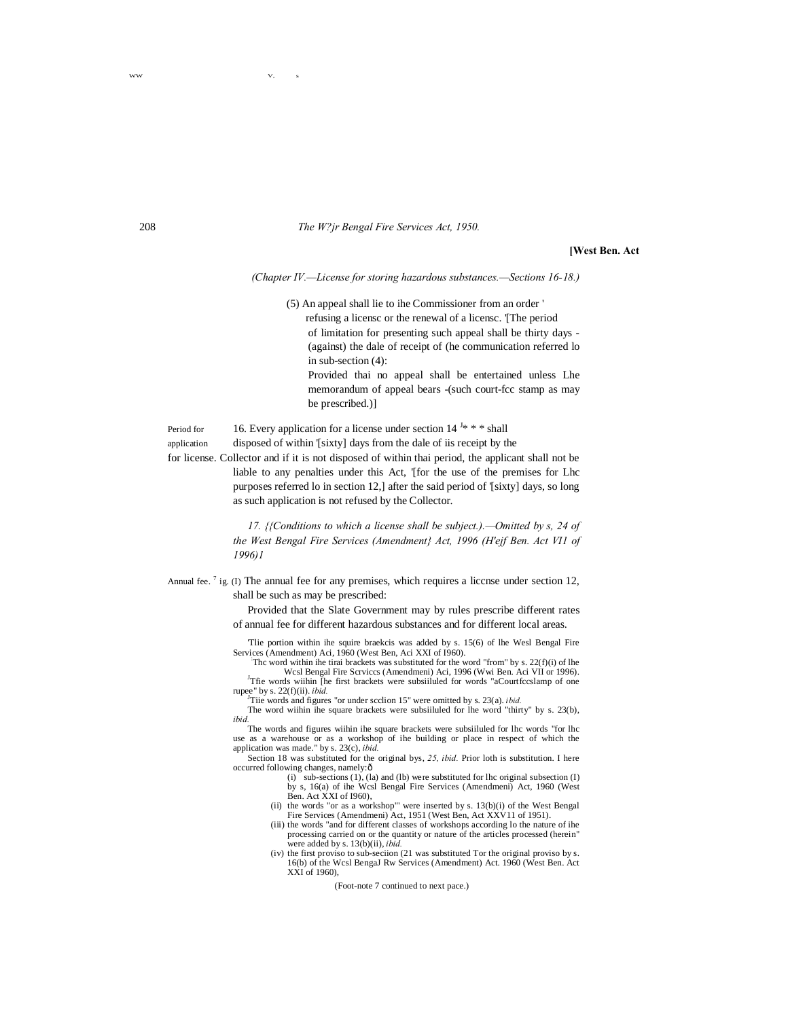#### 208 *The W?jr Bengal Fire Services Act, 1950.*

**[West Ben. Act**

*(Chapter IV.—License for storing hazardous substances.—Sections 16-18.)*

(5) An appeal shall lie to ihe Commissioner from an order ' refusing a licensc or the renewal of a licensc. '[The period of limitation for presenting such appeal shall be thirty days - (against) the dale of receipt of (he communication referred lo in sub-section (4): Provided thai no appeal shall be entertained unless Lhe memorandum of appeal bears -(such court-fcc stamp as may be prescribed.)]

Period for 16. Every application for a license under section  $14^{J_*}$  \* \* shall

application disposed of within '[sixty] days from the dale of iis receipt by the

for license. Collector and if it is not disposed of within thai period, the applicant shall not be liable to any penalties under this Act, '[for the use of the premises for Lhc purposes referred lo in section 12,] after the said period of '[sixty] days, so long as such application is not refused by the Collector.

> *17. {{Conditions to which a license shall be subject.).—Omitted by s, 24 of the West Bengal Fire Services (Amendment} Act, 1996 (H'ejf Ben. Act VI1 of 1996)1*

Annual fee.<sup>7</sup> ig. (I) The annual fee for any premises, which requires a liccnse under section 12, shall be such as may be prescribed:

> Provided that the Slate Government may by rules prescribe different rates of annual fee for different hazardous substances and for different local areas.

> 'Tlie portion within ihe squire braekcis was added by s. 15(6) of lhe Wesl Bengal Fire Services (Amendment) Aci, 1960 (West Ben, Aci XXI of 1960).

Thc word within ihe tirai brackets was substituted for the word "from" by s. 22(f)(i) of lhe Wcsl Bengal Fire Scrviccs (Amendmeni) Aci, 1996 (Wwi Ben. Aci VII or 1996). <sup>J</sup>Tfie words wiihin [he first brackets were subsiiluled for words "aCourtfccslamp of one

rupee" by s. 22(f)(ii). *ibid.*<br><sup>J</sup>Tiie words and figures "or under scclion 15" were omitted by s. 23(a). *ibid.* 

The word wiihin ihe square brackets were subsiiluled for lhe word "thirty" by s. 23(b), *ibid.*

The words and figures wiihin ihe square brackets were subsiiluled for lhc words "for lhc use as a warehouse or as a workshop of ihe building or place in respect of which the

application was made." by s. 23(c), *ibid.* Section 18 was substituted for the original bys, *25, ibid.* Prior loth is substitution. I here occurred following changes, namely: $\delta$ 

- (i) sub-sections (1), (la) and (lb) were substituted for lhc original subsection (I) by s, 16(a) of ihe Wcsl Bengal Fire Services (Amendmeni) Act, 1960 (West Ben. Act XXI of I960),
- (ii) the words "or as a workshop"' were inserted by s.  $13(b)(i)$  of the West Bengal Fire Services (Amendmeni) Act, 1951 (West Ben, Act XXV11 of 1951).
- (iii) the words "and for different classes of workshops according lo the nature of ihe processing carried on or the quantity or nature of the articles processed (herein" were added by s. 13(b)(ii), *ibid.*
- (iv) the first proviso to sub-seciion (21 was substituted Tor the original proviso by s. 16(b) of the Wcsl BengaJ Rw Services (Amendment) Act. 1960 (West Ben. Act XXI of 1960),

(Foot-note 7 continued to next pace.)

WW V, s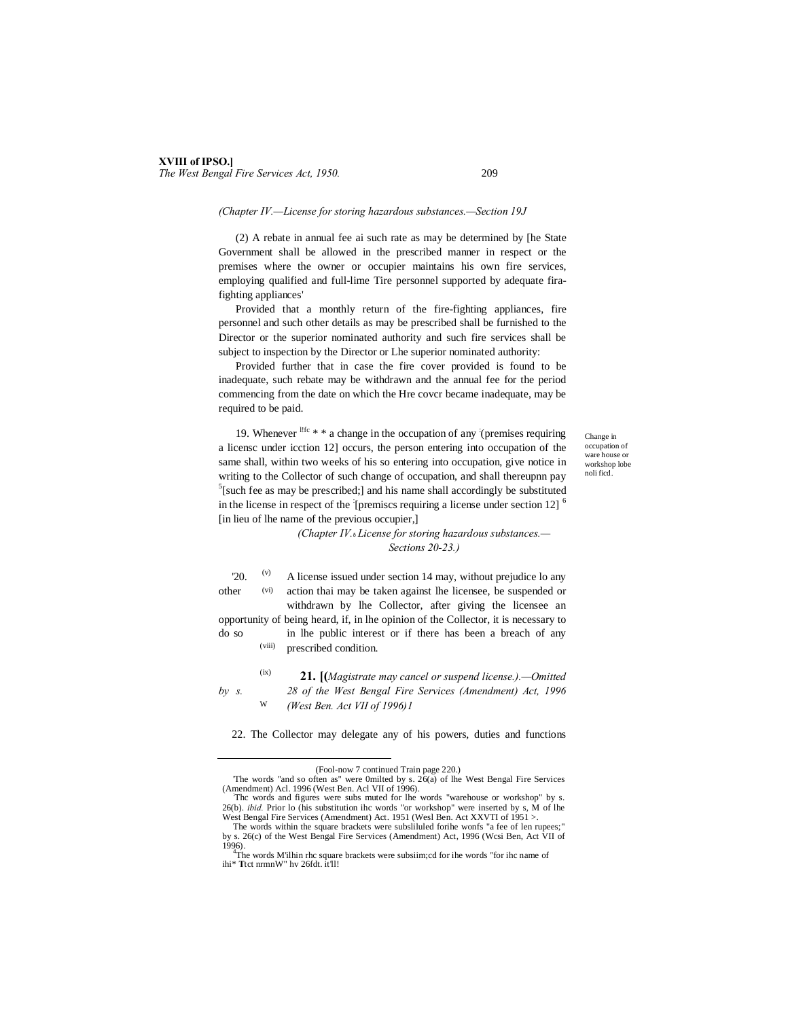## **XVIII of IPSO.]** *The West Bengal Fire Services Act, 1950.* 209

## *(Chapter IV.—License for storing hazardous substances.—Section 19J*

(2) A rebate in annual fee ai such rate as may be determined by [he State Government shall be allowed in the prescribed manner in respect or the premises where the owner or occupier maintains his own fire services, employing qualified and full-lime Tire personnel supported by adequate firafighting appliances'

Provided that a monthly return of the fire-fighting appliances, fire personnel and such other details as may be prescribed shall be furnished to the Director or the superior nominated authority and such fire services shall be subject to inspection by the Director or Lhe superior nominated authority:

Provided further that in case the fire cover provided is found to be inadequate, such rebate may be withdrawn and the annual fee for the period commencing from the date on which the Hre covcr became inadequate, may be required to be paid.

19. Whenever  $\frac{1}{16}$  \* \* a change in the occupation of any (premises requiring a licensc under icction 12] occurs, the person entering into occupation of the same shall, within two weeks of his so entering into occupation, give notice in writing to the Collector of such change of occupation, and shall thereupnn pay  $5$ [such fee as may be prescribed;] and his name shall accordingly be substituted in the license in respect of the [premiscs requiring a license under section 12]  $<sup>6</sup>$ </sup> [in lieu of lhe name of the previous occupier,]

Change in occupation of ware house or workshop lobe noli ficd.

*(Chapter IV.*—*License for storing hazardous substances.— Sections 20-23.)*

(v) (vi)  $\degree$  20.  $\degree$  A license issued under section 14 may, without prejudice lo any other action thai may be taken against lhe licensee, be suspended or withdrawn by lhe Collector, after giving the licensee an

(viii) opportunity of being heard, if, in lhe opinion of the Collector, it is necessary to do so in lhe public interest or if there has been a breach of any prescribed condition.

W

(ix) **21. [(***Magistrate may cancel or suspend license.).—Omitted by s. 28 of the West Bengal Fire Services (Amendment) Act, 1996 (West Ben. Act VII of 1996)1*

22. The Collector may delegate any of his powers, duties and functions

 <sup>(</sup>Fool-now 7 continued Train page 220.)

<sup>&#</sup>x27;The words "and so often as" were 0milted by s. 26(a) of lhe West Bengal Fire Services  $(Amendment)$  Acl. 1996 (West Ben. Acl VII of 1996).

Thc words and figures were subs muted for lhe words "warehouse or workshop" by s. 26(b). *ibid.* Prior lo (his substitution ihc words "or workshop" were inserted by s, M of lhe West Bengal Fire Services (Amendment) Act. 1951 (Wesl Ben. Act XXVTI of 1951 >.

The words within the square brackets were subslituted for the wonfs "a fee of len rupees;" by s. 26(c) of the West Bengal Fire Services (Amendment) Act, 1996 (Wcsi Ben, Act VII of 1996)

The words M'ilhin rhc square brackets were subsiim;cd for ihe words "for ihc name of ihi\* **T**tct nrmnW" hv 26fdt. it'll!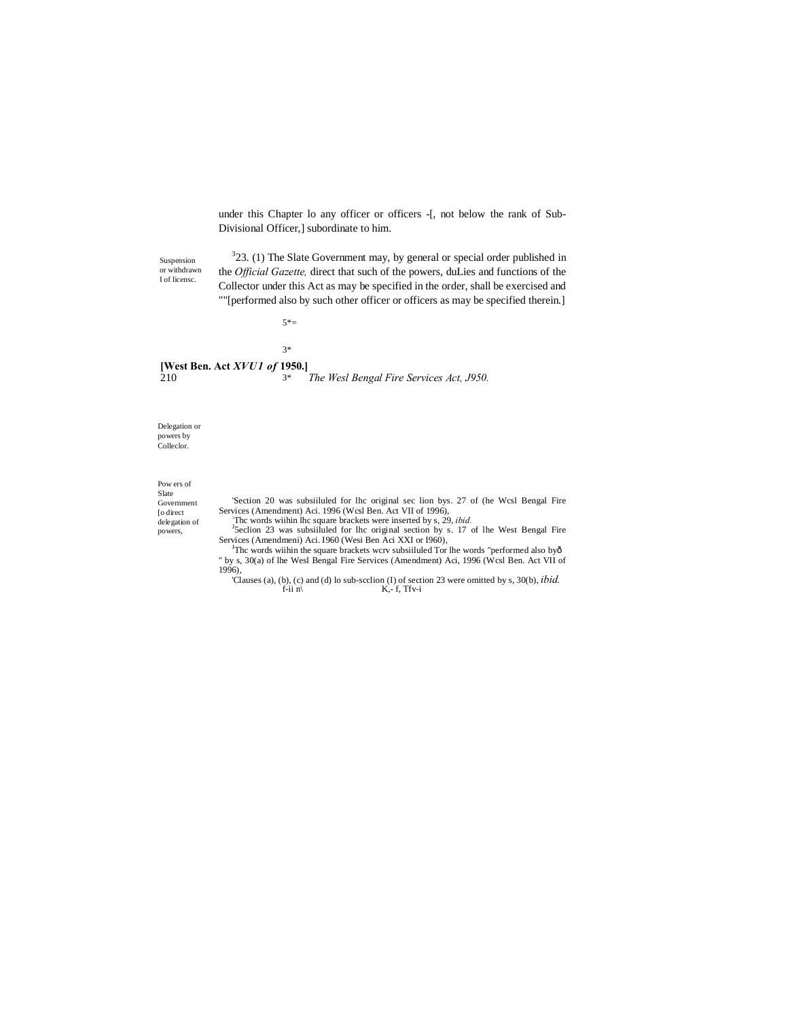under this Chapter lo any officer or officers -[, not below the rank of Sub-Divisional Officer,] subordinate to him.

Suspension or withdrawn I of licensc.

 $323$ . (1) The Slate Government may, by general or special order published in the *Official Gazette,* direct that such of the powers, duLies and functions of the Collector under this Act as may be specified in the order, shall be exercised and ""[performed also by such other officer or officers as may be specified therein.]

5\*=

3\*

**[West Ben. Act** *XVU1 of* **1950.]** 210 *The Wesl Bengal Fire Services Act, J950.* 3\*

Delegation or powers by Colleclor.

## Pow ers of Slate

Government [o direct delegation of powers,

'Section 20 was subsiiluled for lhc original sec lion bys. 27 of (he Wcsl Bengal Fire Services (Amendment) Aci. 1996 (Wcsl Ben. Act VII of 1996),  $\frac{1}{2}$ . The was determined by  $\frac{1}{2}$ .

The words wiihin lhe square brackets were inserted by s, 29, *ibid.* <sup>1</sup>Seclion 23 was subsiiluled for lhc original section by s. 17 of lhe West Bengal Fire Services (Amendmeni) Aci. 1960 (Wesi Ben Aci XXI or 1960),

The words wiihin the square brackets wcrv subsiiluled Tor lhe words "performed also byô " by s, 30(a) of lhe Wesl Bengal Fire Services (Amendment) Aci, 1996 (Wcsl Ben. Act VII of 1996),

Clauses (a), (b), (c) and (d) lo sub-scclion (I) of section 23 were omitted by s, 30(b), *ibid.*  $K_r$ -f,  $Tfv-i$  $K$ ,- f, Tfv-i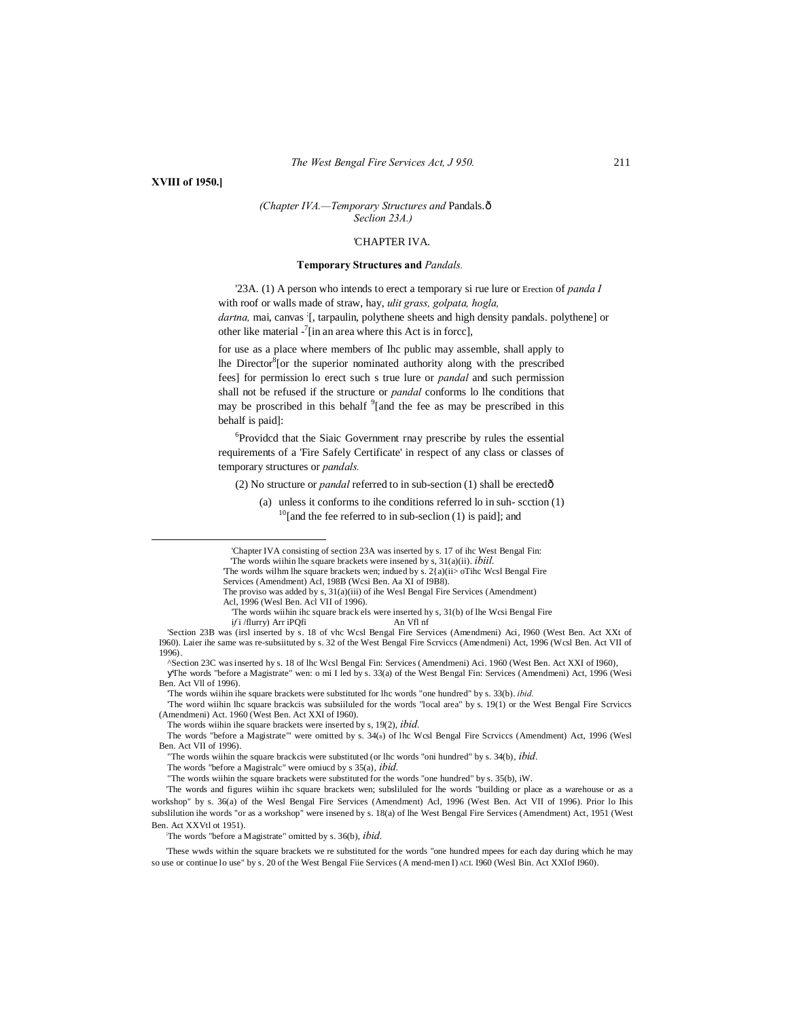#### **XVIII of 1950.]**

#### *(Chapter IVA.—Temporary Structures and* Pandals.— *Seclion 23A.)*

#### 'CHAPTER IVA.

#### **Temporary Structures and** *Pandals.*

'23A. (1) A person who intends to erect a temporary si rue lure or Erection of *panda I* with roof or walls made of straw, hay, *ulit grass, golpata, hogla,* dartna, mai, canvas [, tarpaulin, polythene sheets and high density pandals. polythene] or other like material  $\frac{7}{1}$  in an area where this Act is in force],

for use as a place where members of Ihc public may assemble, shall apply to lhe Director<sup>8</sup> [or the superior nominated authority along with the prescribed fees] for permission lo erect such s true lure or *pandal* and such permission shall not be refused if the structure or *pandal* conforms lo lhe conditions that may be proscribed in this behalf <sup>9</sup>[and the fee as may be prescribed in this behalf is paid]:

6 Providcd that the Siaic Government rnay prescribe by rules the essential requirements of a 'Fire Safely Certificate' in respect of any class or classes of temporary structures or *pandals.*

(2) No structure or *pandal* referred to in sub-section (1) shall be erected—

(a) unless it conforms to ihe conditions referred lo in suh- scction (1)  $^{10}$ [and the fee referred to in sub-seclion (1) is paid]; and

 <sup>&#</sup>x27;Chapter IVA consisting of section 23A was inserted by s. 17 of ihc West Bengal Fin:

<sup>&#</sup>x27;The words wiihin lhe square brackets were insened by s, 31(a)(ii). *ibiil.*

The words wilhm lhe square brackets wen; indued by s. 2{a)(ii> oTihc Wcsl Bengal Fire

Services (Amendment) Acl, 198B (Wcsi Ben. Aa XI of I9B8).

The proviso was added by s, 31(a)(iii) of ihe Wesl Bengal Fire Services (Amendment) Acl, 1996 (Wesl Ben. Acl VII of 1996).

The words wiihin ihc square brack els were inserted hy s,  $31(b)$  of lhe Wcsi Bengal Fire if i flurry) Arr iPOfi

if i /flurry) Arr iPQfi

<sup>&#</sup>x27;Section 23B was (irsl inserted by s. 18 of vhc Wcsl Bengal Fire Services (Amendmeni) Aci, I960 (West Ben. Act XXt of I960). Laier ihe same was re-subsiituted by s. 32 of the West Bengal Fire Scrviccs (Amendmeni) Act, 1996 (Wcsl Ben. Act VII of 1996).

<sup>^</sup>Section 23C was inserted hy s. 18 of lhc Wcsl Bengal Fin: Services (Amendmeni) Aci. 1960 (West Ben. Act XXI of I960), The words "before a Magistrate" wen: o mi I led by s. 33(a) of the West Bengal Fin: Services (Amendmeni) Act, 1996 (Wesi Ben. Act Vll of 1996).

<sup>&#</sup>x27;The words wiihin ihe square brackets were substituted for lhc words "one hundred" by s. 33(b). *ibid.*

<sup>&#</sup>x27;The word wiihin lhc square brackcis was subsiiluled for the words "local area" by s. 19(1) or the West Bengal Fire Scrviccs (Amendmeni) Act. 1960 (West Ben. Act XXI of I960).

The words wiihin ihe square brackets were inserted by s, 19(2), *ibid.*

The words "before a Magistrate"' were omitted by s. 34(B) of lhc Wcsl Bengal Fire Scrviccs (Amendment) Act, 1996 (Wesl Ben. Act VII of 1996).

<sup>&</sup>quot;The words wiihin the square brackcis were substituted (or lhc words "oni hundred" by s. 34(b), *ibid.*

The words "before a Magistralc" were omiucd by s 35(a), *ibid.*

<sup>&</sup>quot;The words wiihin the square brackets were substituted for the words "one hundred" by s. 35(b), iW.

<sup>&#</sup>x27;The words and figures wiihin ihc square brackets wen; subsliluled for lhe words "building or place as a warehouse or as a workshop" by s. 36(a) of the Wesl Bengal Fire Services (Amendment) Acl, 1996 (West Ben. Act VII of 1996). Prior lo Ihis subslilution ihe words "or as a workshop" were insened by s. 18(a) of lhe West Bengal Fire Services (Amendment) Act, 1951 (West Ben. Act XXVtl ot 1951).

The words "before a Magistrate" omitted by s. 36(b), *ibid.*

<sup>&#</sup>x27;These wwds within the square brackets we re substituted for the words "one hundred mpees for each day during which he may so use or continue lo use" by s. 20 of the West Bengal Fiie Services (A mend-men I) ACL I960 (Wesl Bin. Act XXIof I960).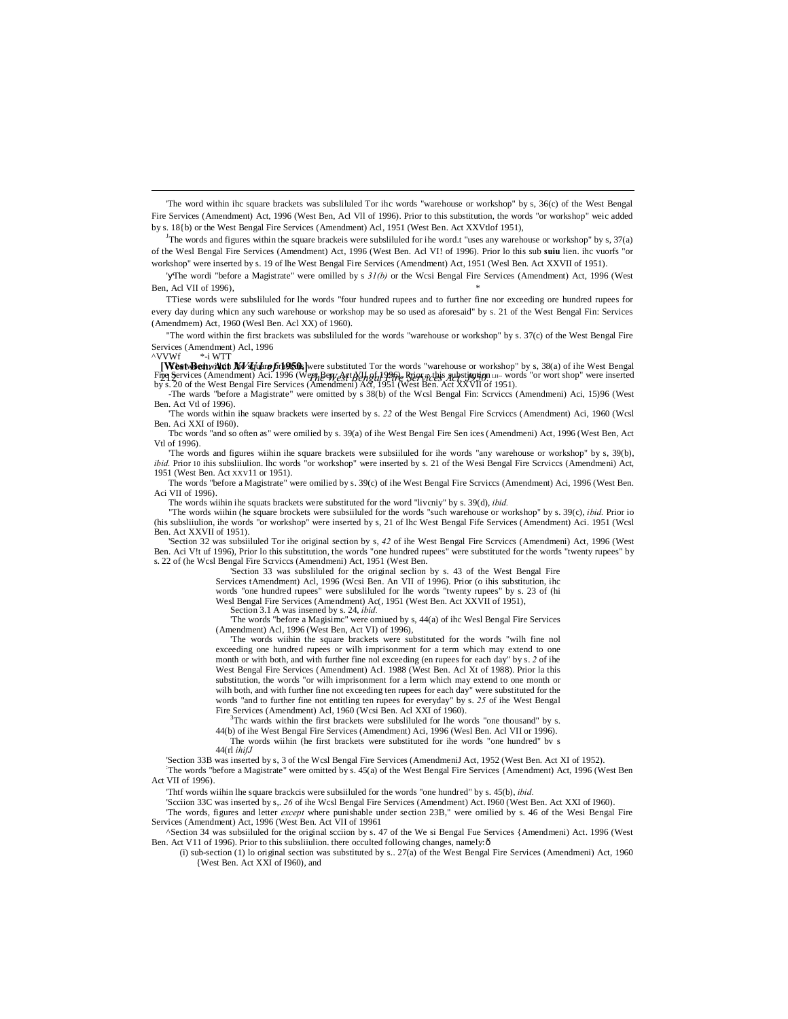'The word within ihc square brackets was subsliluled Tor ihc words "warehouse or workshop" by s, 36(c) of the West Bengal Fire Services (Amendment) Act, 1996 (West Ben, Acl Vll of 1996). Prior to this substitution, the words "or workshop" weic added by s. 18{b) or the West Bengal Fire Services (Amendment) Acl, 1951 (West Ben. Act XXVtlof 1951),

The words and figures within the square brackeis were subsliluled for ihe word.t "uses any warehouse or workshop" by s,  $37(a)$ of the Wesl Bengal Fire Services (Amendment) Act, 1996 (West Ben. Acl VI! of 1996). Prior lo this sub **suiu** lien. ihc vuorfs "or workshop" were inserted by s. 19 of lhe West Bengal Fire Services (Amendment) Act, 1951 (Wesl Ben. Act XXVII of 1951).

' The wordi "before a Magistrate" were omilled by s *31(b)* or the Wcsi Bengal Fire Services (Amendment) Act, 1996 (West Ben, Acl VII of  $1996$ ).

TTiese words were subsliluled for lhe words "four hundred rupees and to further fine nor exceeding ore hundred rupees for every day during whicn any such warehouse or workshop may be so used as aforesaid" by s. 21 of the West Bengal Fin: Services (Amendmem) Act, 1960 (Wesl Ben. Acl XX) of 1960).

"The word within the first brackets was subsliluled for the words "warehouse or workshop" by s. 37(c) of the West Bengal Fire Services (Amendment) Acl, 1996<br>
NVWf
<sup>\*</sup>-i WTT  $*$ -i WTT

**[West Benwill the** *XV* **square 6 rh950.**] were substituted Tor the words "warehouse or workshop" by s, 38(a) of ihe West Bengal Fing Services (Amendment) Aci. 1996 (Werh Benz Art NJh of 1996). Rries nebis substingsion LH- words "or wort shop" were inserted<br>by s. 20 of the West Bengal Fire Services (Amendment) Act, 1951 (West Ben. Act XXVII of 1951

-The wards "before a Magistrate" were omitted by s 38(b) of the Wcsl Bengal Fin: Scrviccs (Amendmeni) Aci, 15)96 (West Ben. Act Vtl of 1996).

'The words within ihe squaw brackets were inserted by s. *22* of the West Bengal Fire Scrviccs (Amendment) Aci, 1960 (Wcsl Ben. Aci XXI of I960).

Tbc words "and so often as" were omilied by s. 39(a) of ihe West Bengal Fire Sen ices (Amendmeni) Act, 1996 (West Ben, Act Vtl of 1996).

'The words and figures wiihin ihe square brackets were subsiiluled for ihe words "any warehouse or workshop" by s, 39(b), *ibid.* Prior 10 ihis subsliiulion. lhc words "or workshop" were inserted by s. 21 of the Wesi Bengal Fire Scrviccs (Amendmeni) Act, 1951 (West Ben. Act XXV11 or 1951).

The words "before a Magistrate" were omilied by s. 39(c) of ihe West Bengal Fire Scrviccs (Amendment) Aci, 1996 (West Ben. Aci VII of 1996).

The words wiihin ihe squats brackets were substituted for the word "livcniy" by s. 39(d), *ibid.*

"The words wiihin (he square brockets were subsiiluled for the words "such warehouse or workshop" by s. 39(c), *ibid.* Prior io (his subsliiulion, ihe words "or workshop" were inserted by s, 21 of lhc West Bengal Fife Services (Amendment) Aci. 1951 (Wcsl Ben. Act XXVII of 1951).

'Section 32 was subsiiluled Tor ihe original section by s, *42* of ihe West Bengal Fire Scrviccs (Amendmeni) Act, 1996 (West Ben. Aci V!t uf 1996), Prior lo this substitution, the words "one hundred rupees" were substituted for the words "twenty rupees" by s. 22 of (he Wcsl Bengal Fire Scrviccs (Amendmeni) Act, 1951 (West Ben.

'Section 33 was subsliluled for the original seclion by s. 43 of the West Bengal Fire Services tAmendment) Acl, 1996 (Wcsi Ben. An VII of 1996). Prior (o ihis substitution, ihc

words "one hundred rupees" were subsliluled for lhe words "twenty rupees" by s. 23 of (hi Wesl Bengal Fire Services (Amendment) Ac(, 1951 (West Ben. Act XXVII of 1951),

Section 3.1 A was insened by s. 24, *ibid.*

'The words "before a Magisimc" were omiued by s, 44(a) of ihc Wesl Bengal Fire Services (Amendment) Acl, 1996 (West Ben, Act VI) of 1996),

'The words wiihin the square brackets were substituted for the words "wilh fine nol exceeding one hundred rupees or wilh imprisonment for a term which may extend to one month or with both, and with further fine nol exceeding (en rupees for each day" by s. *2* of ihe West Bengal Fire Services (Amendment) Acl. 1988 (West Ben. Acl Xt of 1988). Prior la this substitution, the words "or wilh imprisonment for a lerm which may extend to one month or wilh both, and with further fine not exceeding ten rupees for each day" were substituted for the words "and to further fine not entitling ten rupees for everyday" by s. *25* of ihe West Bengal Fire Services (Amendment) Acl, 1960 (Wcsi Ben. Acl XXI of 1960). <sup>3</sup>

The wards within the first brackets were subslituted for the words "one thousand" by s.

44(b) of ihe West Bengal Fire Services (Amendment) Aci, 1996 (Wesl Ben. Acl VII or 1996). The words wiihin (he first brackets were substituted for ihe words "one hundred" bv s 44(rl *ihifJ*

'Section 33B was inserted by s, 3 of the Wcsl Bengal Fire Services (AmendmeniJ Act, 1952 (West Ben. Act XI of 1952). : The words "before a Magistrate" were omitted by s. 45(a) of the West Bengal Fire Services {Amendment) Act, 1996 (West Ben Act VII of 1996).

'Thtf words wiihin lhe square brackcis were subsiiluled for the words "one hundred" by s. 45(b), *ibid.*

'Scciion 33C was inserted by s,. *26* of ihe Wcsl Bengal Fire Services (Amendment) Act. I960 (West Ben. Act XXI of I960). 'The words, figures and letter *except* where punishable under section 23B," were omilied by s. 46 of the Wesi Bengal Fire Services (Amendment) Act, 1996 (West Ben. Act VII of 19961

^Section 34 was subsiiluled for the original scciion by s. 47 of the We si Bengal Fue Services {Amendmeni) Act. 1996 (West Ben. Act V11 of 1996). Prior to this subsliiulion. there occulted following changes, namely: ô

(i) sub-section (1) lo original section was substituted by s.. 27(a) of the West Bengal Fire Services (Amendmeni) Act, 1960 {West Ben. Act XXI of I960), and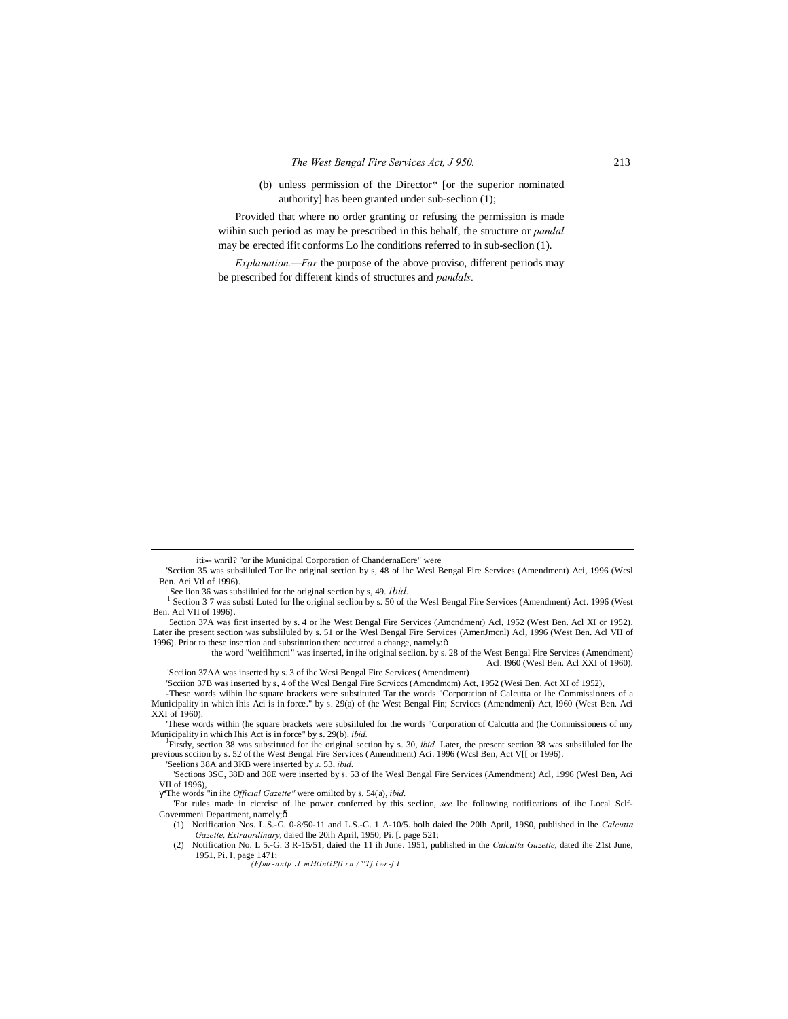(b) unless permission of the Director\* [or the superior nominated authority] has been granted under sub-seclion (1);

Provided that where no order granting or refusing the permission is made wiihin such period as may be prescribed in this behalf, the structure or *pandal* may be erected ifit conforms Lo lhe conditions referred to in sub-seclion (1).

*Explanation.—Far* the purpose of the above proviso, different periods may be prescribed for different kinds of structures and *pandals.*

5ection 37A was first inserted by s. 4 or lhe West Bengal Fire Services (Amcndmenr) Acl, 1952 (West Ben. Acl XI or 1952), Later ihe present section was subsliluled by s. 51 or lhe Wesl Bengal Fire Services (AmenJmcnl) Acl, 1996 (West Ben. Acl VII of 1996). Prior to these insertion and substitution there occurred a change, namely: $\delta$ 

the word "weifihmcni" was inserted, in ihe original seclion. by s. 28 of the West Bengal Fire Services (Amendment) Acl. I960 (Wesl Ben. Acl XXI of 1960). 'Scciion 37AA was inserted by s. 3 of ihc Wcsi Bengal Fire Services (Amendment)

'Scciion 37B was inserted by s, 4 of the Wcsl Bengal Fire Scrviccs (Amcndmcm) Act, 1952 (Wesi Ben. Act XI of 1952),

'These words within (he square brackets were subsiiluled for the words "Corporation of Calcutta and (he Commissioners of nny Municipality in which Ihis Act is in force" by s. 29(b). *ibid.* 

Firsdy, section 38 was substituted for ihe original section by s. 30, *ibid.* Later, the present section 38 was subsiiluled for lhe previous scciion by s. 52 of the West Bengal Fire Services (Amendment) Aci. 1996 (Wcsl Ben, Act V[[ or 1996). 'Seelions 38A and 3KB were inserted by *s.* 53, *ibid.*

'The words "in ihe *Official Gazette"* were omiltcd by s. 54(a), *ibid.*

iti»- wnril? "or ihe Municipal Corporation of ChandernaEore" were

<sup>&#</sup>x27;Scciion 35 was subsiiluled Tor lhe original section by s, 48 of lhc Wcsl Bengal Fire Services (Amendment) Aci, 1996 (Wcsl Ben. Aci Vtl of 1996).<br>See lion 36 was subsilluled for the original section by s, 49. *ibid.* 

Section 37 was substi Luted for lhe original section by s. 50 of the Wesl Bengal Fire Services (Amendment) Act. 1996 (West Ben. Acl VII of 1996).

<sup>-</sup>These words wiihin lhc square brackets were substituted Tar the words "Corporation of Calcutta or lhe Commissioners of a Municipality in which ihis Aci is in force." by s. 29(a) of (he West Bengal Fin; Scrviccs (Amendmeni) Act, I960 (West Ben. Aci XXI of 1960).

<sup>&#</sup>x27;Sections 3SC, 38D and 38E were inserted by s. 53 of Ihe Wesl Bengal Fire Services (Amendment) Acl, 1996 (Wesl Ben, Aci VII of 1996),

<sup>&#</sup>x27;For rules made in cicrcisc of lhe power conferred by this seclion, *see* lhe following notifications of ihc Local Sclf-Govemmeni Department, namely;—

<sup>(1)</sup> Notification Nos. L.S.-G. 0-8/50-11 and L.S.-G. 1 A-10/5. bolh daied Ihe 20lh April, 19S0, published in lhe *Calcutta Gazette, Extraordinary,* daied lhe 20ih April, 1950, Pi. [. page 521;

<sup>(2)</sup> Notification No. L 5.-G. 3 R-15/51, daied the 11 ih June. 1951, published in the *Calcutta Gazette,* dated ihe 21st June, 1951, Pi. I, page 1471;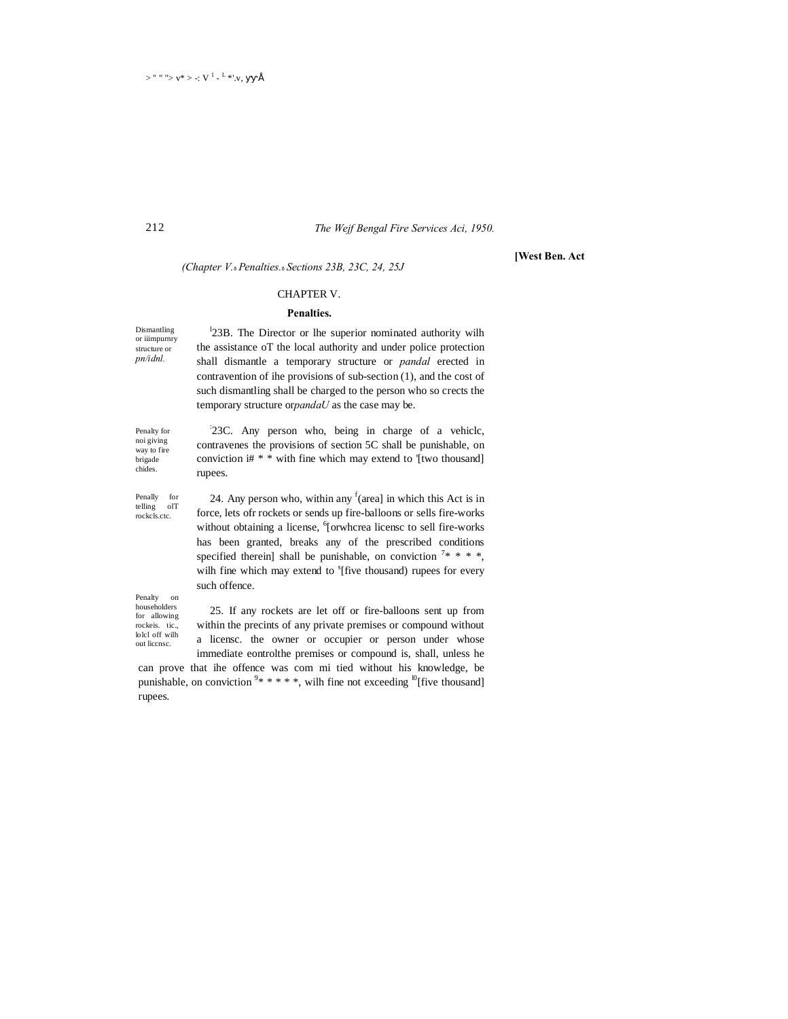## *The Wejf Bengal Fire Services Aci, 1950.*

*(Chapter V.*—*Penalties.*—*Sections 23B, 23C, 24, 25J*

#### CHAPTER V.

#### **Penalties.**

Dismantling or iiimpurnry structure or *pn/idnl.*

212

<sup>1</sup>23B. The Director or lhe superior nominated authority wilh the assistance oT the local authority and under police protection shall dismantle a temporary structure or *pandal* erected in contravention of ihe provisions of sub-section (1), and the cost of such dismantling shall be charged to the person who so crects the temporary structure or*pandaU* as the case may be.

Penalty for noi giving way to fire brigade chides.

Penally for telling olT rockcls.ctc.

: 23C. Any person who, being in charge of a vehiclc, contravenes the provisions of section 5C shall be punishable, on conviction i# \* \* with fine which may extend to '[two thousand] rupees.

24. Any person who, within any  $f(\text{area})$  in which this Act is in force, lets ofr rockets or sends up fire-balloons or sells fire-works without obtaining a license, <sup>6</sup>[orwhcrea licensc to sell fire-works has been granted, breaks any of the prescribed conditions specified therein] shall be punishable, on conviction  $7***$ , wilh fine which may extend to <sup>s</sup>[five thousand) rupees for every such offence.

Penalty on householders for allowing rockeis. tic., lolcl off wilh out liccnsc.

25. If any rockets are let off or fire-balloons sent up from within the precints of any private premises or compound without a licensc. the owner or occupier or person under whose immediate eontrolthe premises or compound is, shall, unless he

can prove that ihe offence was com mi tied without his knowledge, be punishable, on conviction  $9* ** * *$ , wilh fine not exceeding <sup>10</sup>[five thousand] rupees.

#### **[West Ben. Act**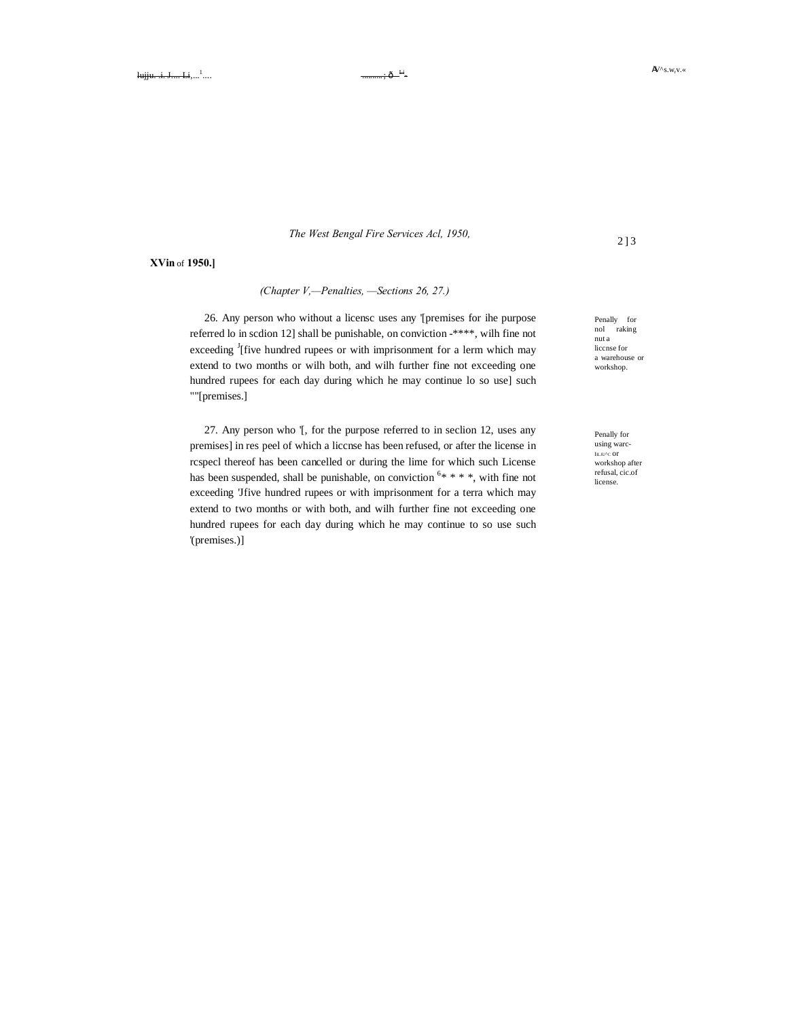*The West Bengal Fire Services Acl, 1950,*

**XVin** of **1950.]**

## *(Chapter V,—Penalties, —Sections 26, 27.)*

26. Any person who without a licensc uses any '[premises for ihe purpose referred lo in scdion 12] shall be punishable, on conviction -\*\*\*\*, wilh fine not exceeding <sup>J</sup>[five hundred rupees or with imprisonment for a lerm which may extend to two months or wilh both, and wilh further fine not exceeding one hundred rupees for each day during which he may continue lo so use] such ""[premises.]

27. Any person who '[, for the purpose referred to in seclion 12, uses any premises] in res peel of which a liccnse has been refused, or after the license in rcspecl thereof has been cancelled or during the lime for which such License has been suspended, shall be punishable, on conviction  $6$ \* \* \* \*, with fine not exceeding 'Jfive hundred rupees or with imprisonment for a terra which may extend to two months or with both, and wilh further fine not exceeding one hundred rupees for each day during which he may continue to so use such '(premises.)]

Penally for nol raking nut a liccnse for a warehouse or workshop.

Penally for using warc-I∎<mark>.u∿c or</mark><br>workshop after refusal, cic.of license.

2 ] 3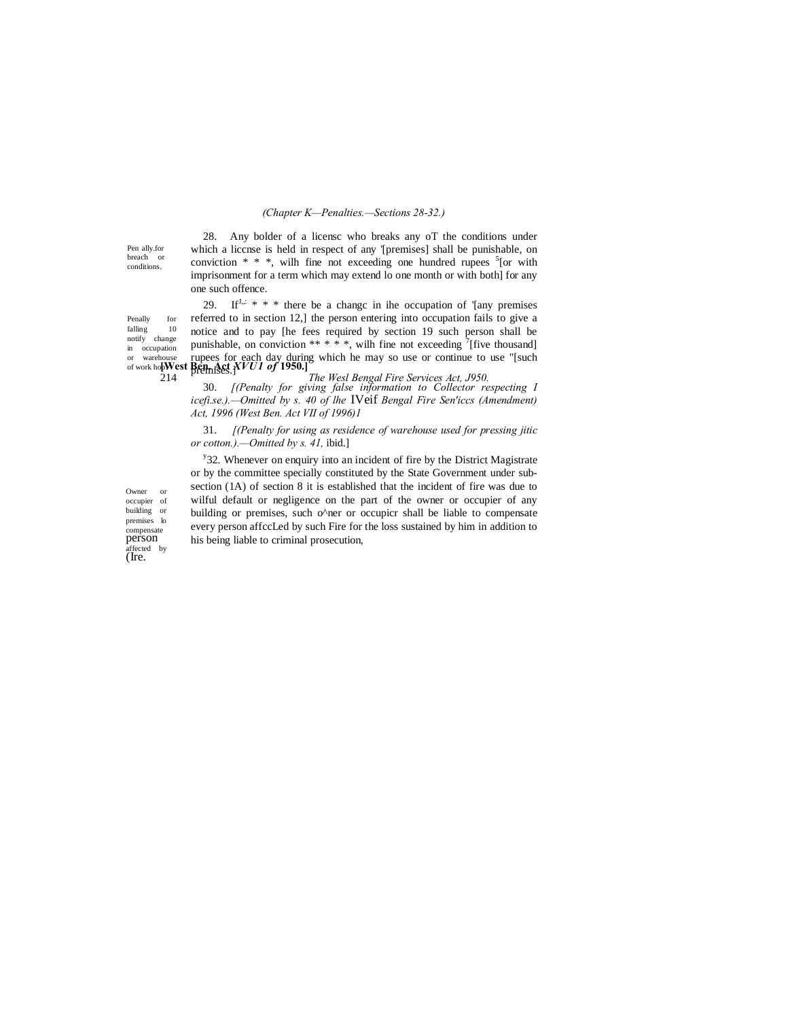#### *(Chapter K—Penalties.—Sections 28-32.)*

Pen ally.for breach or conditions.

 $\operatorname{falling}$ notify change

28. Any bolder of a licensc who breaks any oT the conditions under which a liccnse is held in respect of any '[premises] shall be punishable, on conviction  $* * *$ , wilh fine not exceeding one hundred rupees  $5$  [or with imprisonment for a term which may extend lo one month or with both] for any one such offence.

or warehouse rupees for each day during which he may so use or continue to use "[such of work hop **West Ren. Act**  $XVUI$  of 1950.] Penally for<br>falling 10 in occupation 29. If  $I_n$ ,  $* * *$  there be a change in ihe occupation of '[any premises referred to in section 12,] the person entering into occupation fails to give a notice and to pay [he fees required by section 19 such person shall be punishable, on conviction \*\* \* \*, wilh fine not exceeding  $\left[7\right]$  [five thousand] premises.]

214 *The Wesl Bengal Fire Services Act, J950.* 30. *[(Penalty for giving false information to Collector respecting I icefi.se.).—Omitted by s. 40 of lhe* IVeif *Bengal Fire Sen'iccs (Amendment) Act, 1996 (West Ben. Act VII of 1996)1*

31. *[(Penalty for using as residence of warehouse used for pressing jitic or cotton.).—Omitted by s. 41,* ibid.]

<sup>y</sup>32. Whenever on enquiry into an incident of fire by the District Magistrate or by the committee specially constituted by the State Government under subsection (1A) of section 8 it is established that the incident of fire was due to wilful default or negligence on the part of the owner or occupier of any building or premises, such o^ner or occupicr shall be liable to compensate every person affccLed by such Fire for the loss sustained by him in addition to his being liable to criminal prosecution,

Owner or occupier of building or premises lo compensate person affected by (Ire.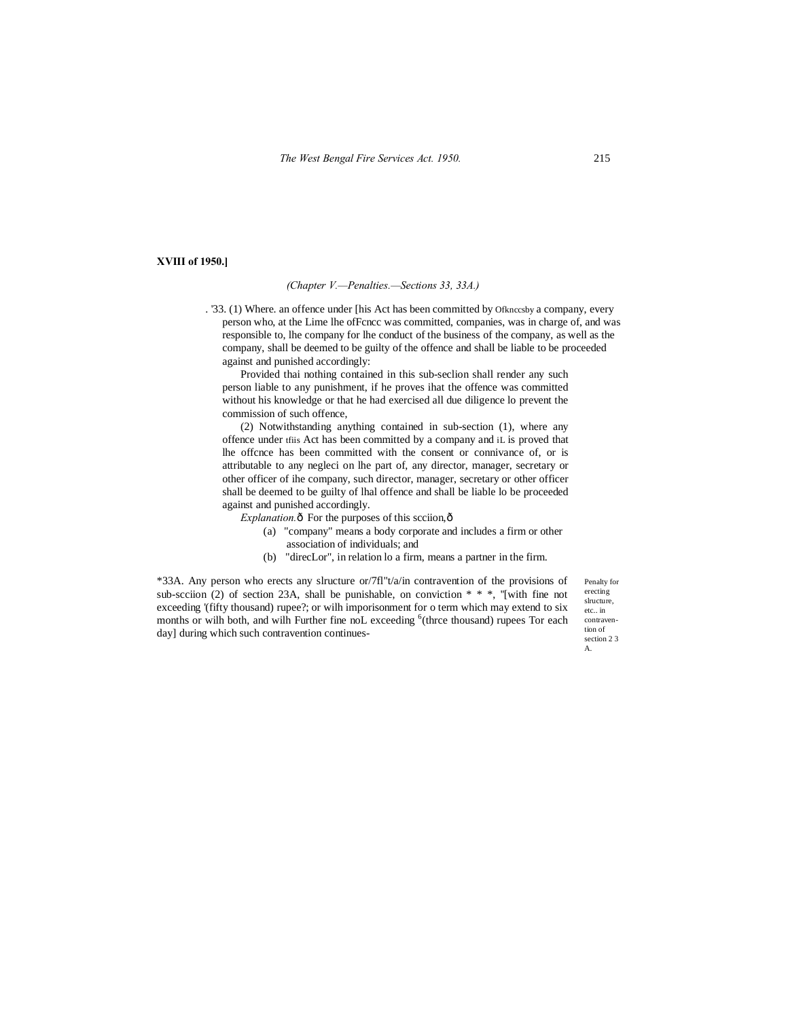#### **XVIII of 1950.]**

#### *(Chapter V.—Penalties.—Sections 33, 33A.)*

. '33. (1) Where. an offence under [his Act has been committed by Ofknccsby a company, every person who, at the Lime lhe ofFcncc was committed, companies, was in charge of, and was responsible to, lhe company for lhe conduct of the business of the company, as well as the company, shall be deemed to be guilty of the offence and shall be liable to be proceeded against and punished accordingly:

Provided thai nothing contained in this sub-seclion shall render any such person liable to any punishment, if he proves ihat the offence was committed without his knowledge or that he had exercised all due diligence lo prevent the commission of such offence,

(2) Notwithstanding anything contained in sub-section (1), where any offence under tfiis Act has been committed by a company and iL is proved that lhe offcnce has been committed with the consent or connivance of, or is attributable to any negleci on lhe part of, any director, manager, secretary or other officer of ihe company, such director, manager, secretary or other officer shall be deemed to be guilty of lhal offence and shall be liable lo be proceeded against and punished accordingly.

*Explanation.* $\hat{o}$  For the purposes of this scciion, $\hat{o}$ 

- (a) "company" means a body corporate and includes a firm or other association of individuals; and
- (b) "direcLor", in relation lo a firm, means a partner in the firm.

\*33A. Any person who erects any slructure or/7fl"t/a/in contravention of the provisions of sub-scciion (2) of section 23A, shall be punishable, on conviction  $* * *$ , "[with fine not exceeding '(fifty thousand) rupee?; or wilh imporisonment for o term which may extend to six months or wilh both, and wilh Further fine noL exceeding <sup>6</sup>(thrce thousand) rupees Tor each day] during which such contravention continues-

Penalty for erecting slructure. etc. in contravention of section 2 3 A.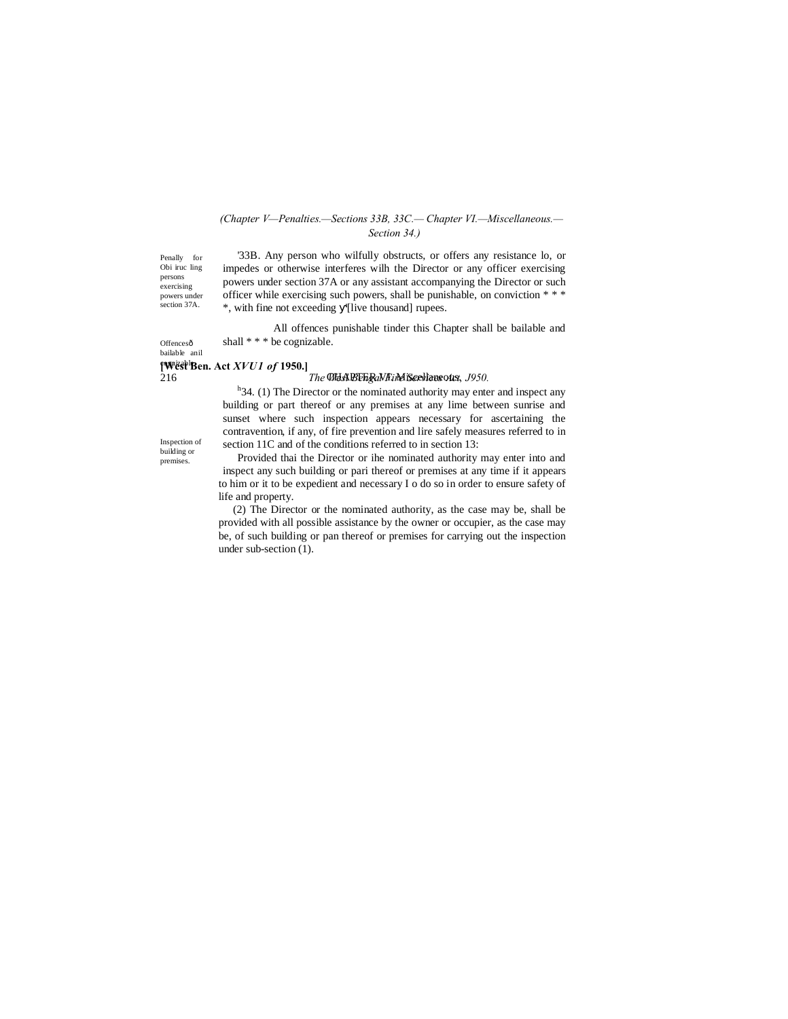## *(Chapter V—Penalties.—Sections 33B, 33C.— Chapter VI.—Miscellaneous.— Section 34.)*

Penally for Obi iruc ling persons exercising powers under section 37A.

Offencesô bailable anil

'33B. Any person who wilfully obstructs, or offers any resistance lo, or impedes or otherwise interferes wilh the Director or any officer exercising powers under section 37A or any assistant accompanying the Director or such officer while exercising such powers, shall be punishable, on conviction \* \* \* \*, with fine not exceeding '[live thousand] rupees.

All offences punishable tinder this Chapter shall be bailable and shall \* \* \* be cognizable.

## **[West Ben. Act** *XVU1 of* **1950.]** cognizable.

#### 216 **The West Bengal Fire Service Act on Service** Act 1950.

 $h$ <sup>h</sup> 34. (1) The Director or the nominated authority may enter and inspect any building or part thereof or any premises at any lime between sunrise and sunset where such inspection appears necessary for ascertaining the contravention, if any, of fire prevention and lire safely measures referred to in section 11C and of the conditions referred to in section 13:

Inspection of building or premises.

Provided thai the Director or ihe nominated authority may enter into and inspect any such building or pari thereof or premises at any time if it appears to him or it to be expedient and necessary I o do so in order to ensure safety of life and property.

(2) The Director or the nominated authority, as the case may be, shall be provided with all possible assistance by the owner or occupier, as the case may be, of such building or pan thereof or premises for carrying out the inspection under sub-section (1).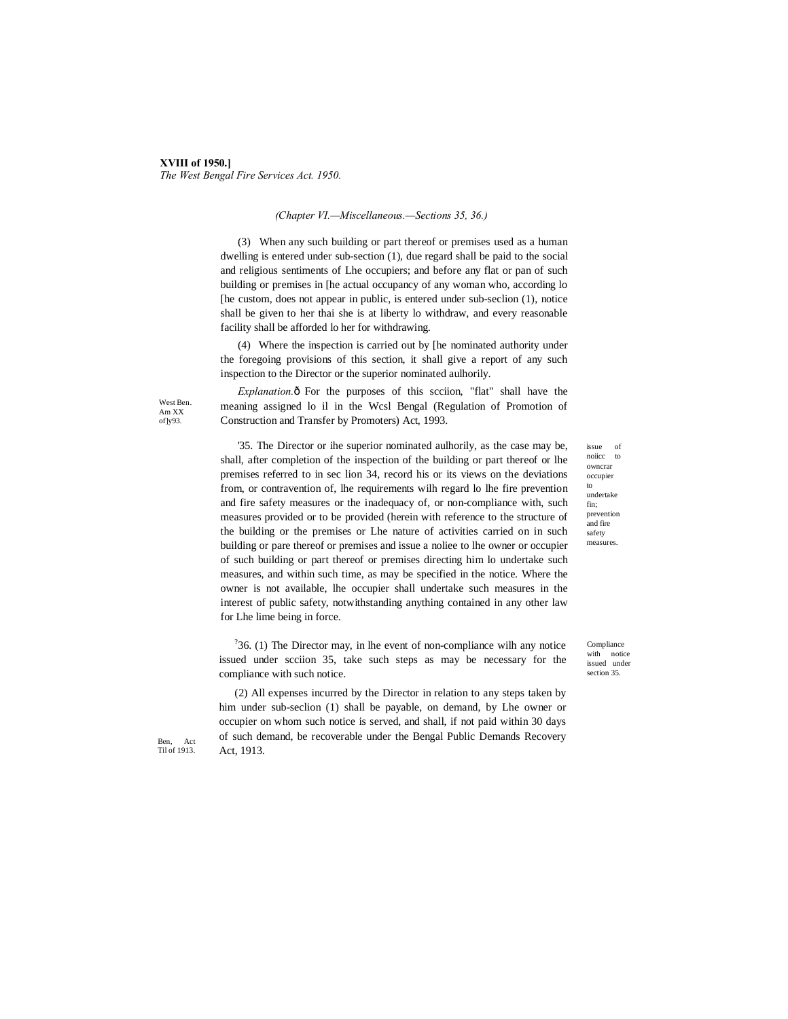## **XVIII of 1950.]** *The West Bengal Fire Services Act. 1950.*

#### *(Chapter VI.—Miscellaneous.—Sections 35, 36.)*

(3) When any such building or part thereof or premises used as a human dwelling is entered under sub-section (1), due regard shall be paid to the social and religious sentiments of Lhe occupiers; and before any flat or pan of such building or premises in [he actual occupancy of any woman who, according lo [he custom, does not appear in public, is entered under sub-seclion (1), notice shall be given to her thai she is at liberty lo withdraw, and every reasonable facility shall be afforded lo her for withdrawing.

(4) Where the inspection is carried out by [he nominated authority under the foregoing provisions of this section, it shall give a report of any such inspection to the Director or the superior nominated aulhorily.

West Ben. Am XX of]y93.

*Explanation.* $\hat{o}$  For the purposes of this scciion, "flat" shall have the meaning assigned lo il in the Wcsl Bengal (Regulation of Promotion of Construction and Transfer by Promoters) Act, 1993.

'35. The Director or ihe superior nominated aulhorily, as the case may be, shall, after completion of the inspection of the building or part thereof or lhe premises referred to in sec lion 34, record his or its views on the deviations from, or contravention of, lhe requirements wilh regard lo lhe fire prevention and fire safety measures or the inadequacy of, or non-compliance with, such measures provided or to be provided (herein with reference to the structure of the building or the premises or Lhe nature of activities carried on in such building or pare thereof or premises and issue a noliee to lhe owner or occupier of such building or part thereof or premises directing him lo undertake such measures, and within such time, as may be specified in the notice. Where the owner is not available, lhe occupier shall undertake such measures in the interest of public safety, notwithstanding anything contained in any other law for Lhe lime being in force.

 $36.$  (1) The Director may, in lhe event of non-compliance wilh any notice issued under scciion 35, take such steps as may be necessary for the compliance with such notice.

(2) All expenses incurred by the Director in relation to any steps taken by him under sub-seclion (1) shall be payable, on demand, by Lhe owner or occupier on whom such notice is served, and shall, if not paid within 30 days of such demand, be recoverable under the Bengal Public Demands Recovery Act, 1913.

issue of noiicc to owncrar occupier to undertake fin; prevention and fire safety measures.

Compliance with notice issued under section 35.

Ben, Act Til of 1913.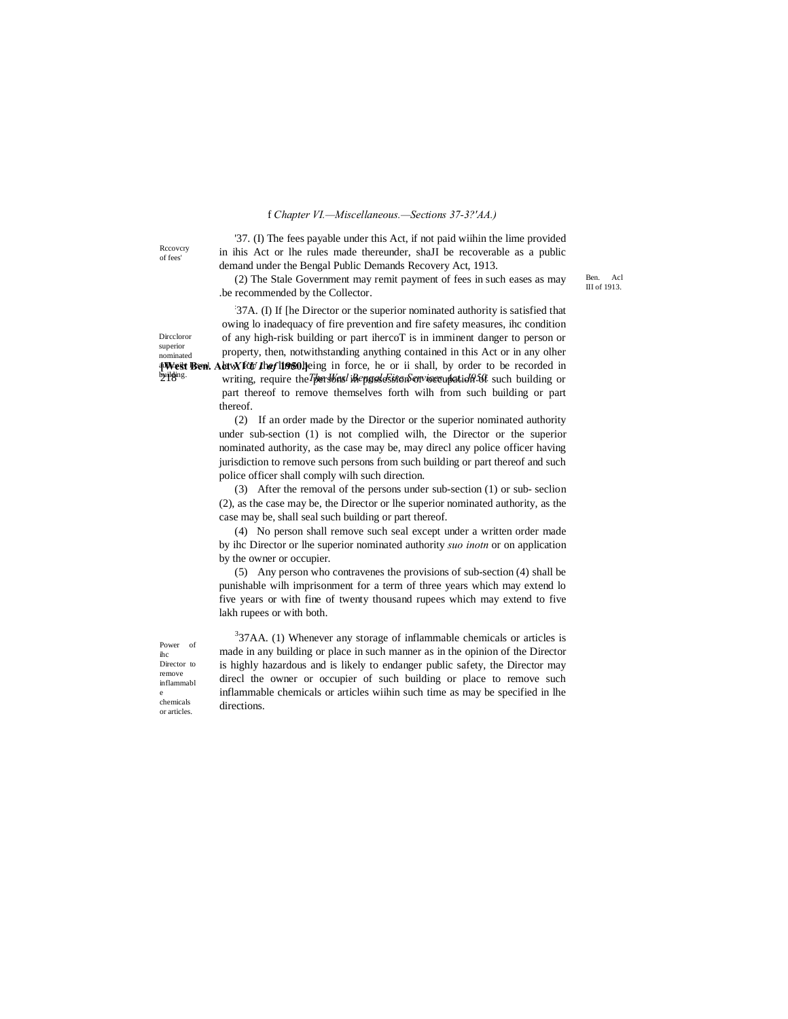#### f *Chapter VI.—Miscellaneous.—Sections 37-3?'AA.)*

Rccovcry of fees'

Dirccloror superior nominated aWest Ben. building.

'37. (I) The fees payable under this Act, if not paid wiihin the lime provided in ihis Act or lhe rules made thereunder, shaJI be recoverable as a public demand under the Bengal Public Demands Recovery Act, 1913.

(2) The Stale Government may remit payment of fees in such eases as may .be recommended by the Collector.

Ben. Acl III of 1913.

**[West Ben. Alaw for the flicts 1960** leing in force, he or ii shall, by order to be recorded in 2<sup>1</sup> *Ph<sup>iging.</sup>* writing, require the *Thers Viasel Bile pgsde Sine no envises un atticle 30ft* such building or : 37A. (I) If [he Director or the superior nominated authority is satisfied that owing lo inadequacy of fire prevention and fire safety measures, ihc condition of any high-risk building or part ihercoT is in imminent danger to person or property, then, notwithstanding anything contained in this Act or in any olher part thereof to remove themselves forth wilh from such building or part thereof.

(2) If an order made by the Director or the superior nominated authority under sub-section (1) is not complied wilh, the Director or the superior nominated authority, as the case may be, may direcl any police officer having jurisdiction to remove such persons from such building or part thereof and such police officer shall comply wilh such direction.

(3) After the removal of the persons under sub-section (1) or sub- seclion (2), as the case may be, the Director or lhe superior nominated authority, as the case may be, shall seal such building or part thereof.

(4) No person shall remove such seal except under a written order made by ihc Director or lhe superior nominated authority *suo inotn* or on application by the owner or occupier.

(5) Any person who contravenes the provisions of sub-section (4) shall be punishable wilh imprisonment for a term of three years which may extend lo five years or with fine of twenty thousand rupees which may extend to five lakh rupees or with both.

ihc Director<sub>to</sub> remove inflammabl e chemicals or articles.

 $337AA$ . (1) Whenever any storage of inflammable chemicals or articles is made in any building or place in such manner as in the opinion of the Director is highly hazardous and is likely to endanger public safety, the Director may direcl the owner or occupier of such building or place to remove such inflammable chemicals or articles wiihin such time as may be specified in lhe directions.

Power of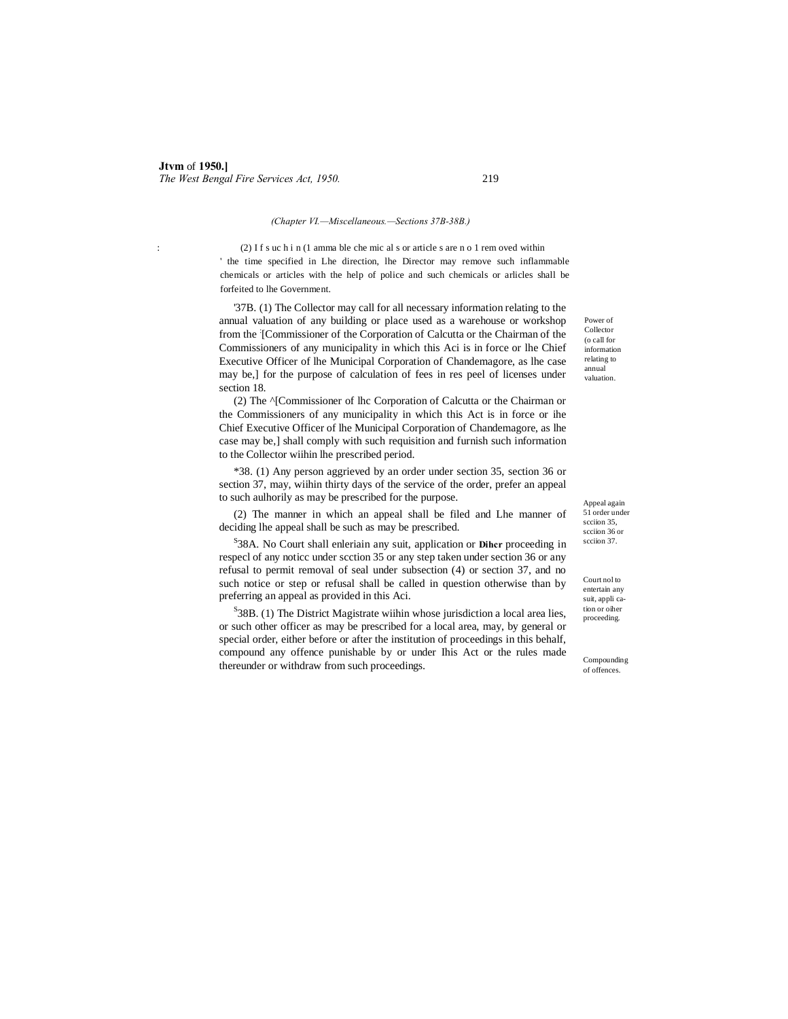#### *(Chapter VI.—Miscellaneous.—Sections 37B-38B.)*

: (2) I f s uc h i n (1 amma ble che mic al s or article s are n o 1 rem oved within ' the time specified in Lhe direction, lhe Director may remove such inflammable chemicals or articles with the help of police and such chemicals or arlicles shall be forfeited to lhe Government.

'37B. (1) The Collector may call for all necessary information relating to the annual valuation of any building or place used as a warehouse or workshop from the [Commissioner of the Corporation of Calcutta or the Chairman of the Commissioners of any municipality in which this Aci is in force or lhe Chief Executive Officer of lhe Municipal Corporation of Chandemagore, as lhe case may be,] for the purpose of calculation of fees in res peel of licenses under section 18.

(2) The ^[Commissioner of lhc Corporation of Calcutta or the Chairman or the Commissioners of any municipality in which this Act is in force or ihe Chief Executive Officer of lhe Municipal Corporation of Chandemagore, as lhe case may be,] shall comply with such requisition and furnish such information to the Collector wiihin lhe prescribed period.

\*38. (1) Any person aggrieved by an order under section 35, section 36 or section 37, may, wiihin thirty days of the service of the order, prefer an appeal to such aulhorily as may be prescribed for the purpose.

(2) The manner in which an appeal shall be filed and Lhe manner of deciding lhe appeal shall be such as may be prescribed.

S 38A. No Court shall enleriain any suit, application or **Dihcr** proceeding in respecl of any noticc under scction 35 or any step taken under section 36 or any refusal to permit removal of seal under subsection (4) or section 37, and no such notice or step or refusal shall be called in question otherwise than by preferring an appeal as provided in this Aci.

 ${}^{S}$ 38B. (1) The District Magistrate wiihin whose jurisdiction a local area lies, or such other officer as may be prescribed for a local area, may, by general or special order, either before or after the institution of proceedings in this behalf, compound any offence punishable by or under Ihis Act or the rules made thereunder or withdraw from such proceedings.

Power of Collector (o call for information relating to annual valuation.

Appeal again 51 order under scciion 35. scciion 36 or scciion 37.

Court nol to entertain any suit, appli cation or oiher proceeding.

Compounding of offences.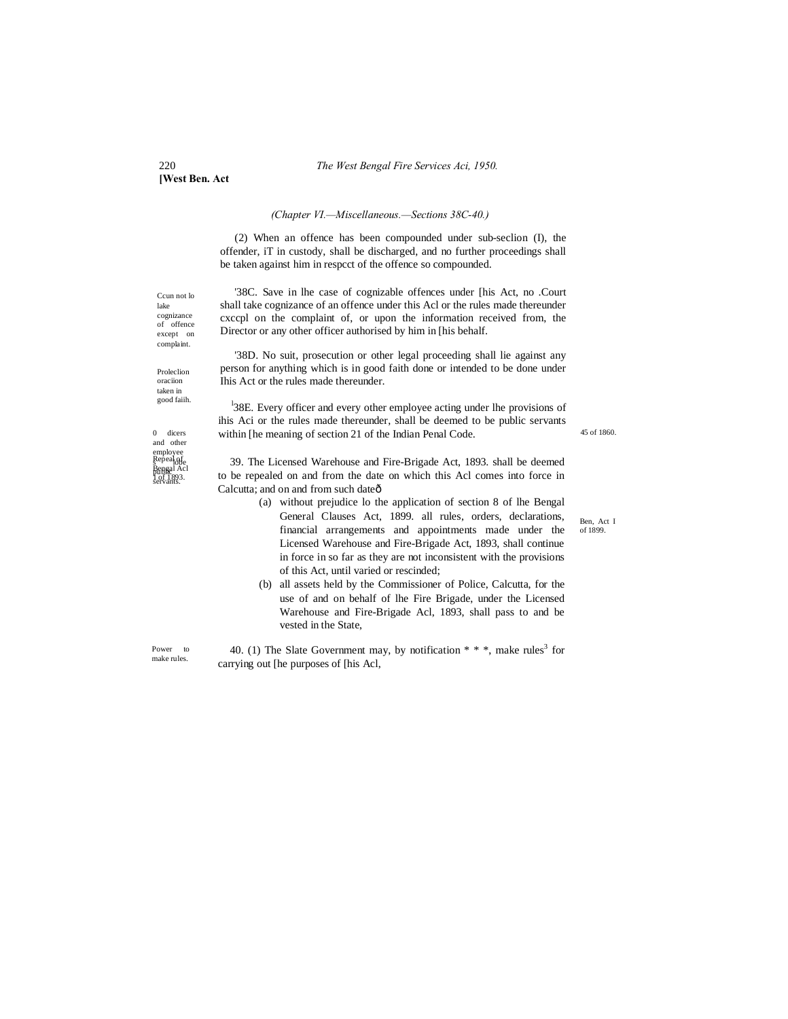#### 220 *The West Bengal Fire Services Aci, 1950.*

**[West Ben. Act**

#### *(Chapter VI.—Miscellaneous.—Sections 38C-40.)*

(2) When an offence has been compounded under sub-seclion (I), the offender, iT in custody, shall be discharged, and no further proceedings shall be taken against him in respcct of the offence so compounded.

'38C. Save in lhe case of cognizable offences under [his Act, no .Court shall take cognizance of an offence under this Acl or the rules made thereunder cxccpl on the complaint of, or upon the information received from, the Director or any other officer authorised by him in [his behalf.

'38D. No suit, prosecution or other legal proceeding shall lie against any person for anything which is in good faith done or intended to be done under Ihis Act or the rules made thereunder.

<sup>1</sup>38E. Every officer and every other employee acting under lhe provisions of ihis Aci or the rules made thereunder, shall be deemed to be public servants within [he meaning of section 21 of the Indian Penal Code.

39. The Licensed Warehouse and Fire-Brigade Act, 1893. shall be deemed to be repealed on and from the date on which this Acl comes into force in Calcutta; and on and from such dateô

- (a) without prejudice lo the application of section 8 of lhe Bengal General Clauses Act, 1899. all rules, orders, declarations, financial arrangements and appointments made under the Licensed Warehouse and Fire-Brigade Act, 1893, shall continue in force in so far as they are not inconsistent with the provisions of this Act, until varied or rescinded;
- (b) all assets held by the Commissioner of Police, Calcutta, for the use of and on behalf of lhe Fire Brigade, under the Licensed Warehouse and Fire-Brigade Acl, 1893, shall pass to and be vested in the State,

40. (1) The Slate Government may, by notification  $**$ , make rules<sup>3</sup> for carrying out [he purposes of [his Acl,

Ben, Act I of 1899.

45 of 1860.

Ccun not lo lake cognizance of offence except on complaint.

Proleclion oraciion taken in good faiih.

0 dicers and other employee<br>Repeal of<br>Bengal Acl servants. 1 of 1893. Repeal<sub>offe</sub><br>Rengal Acl

Power to make rules.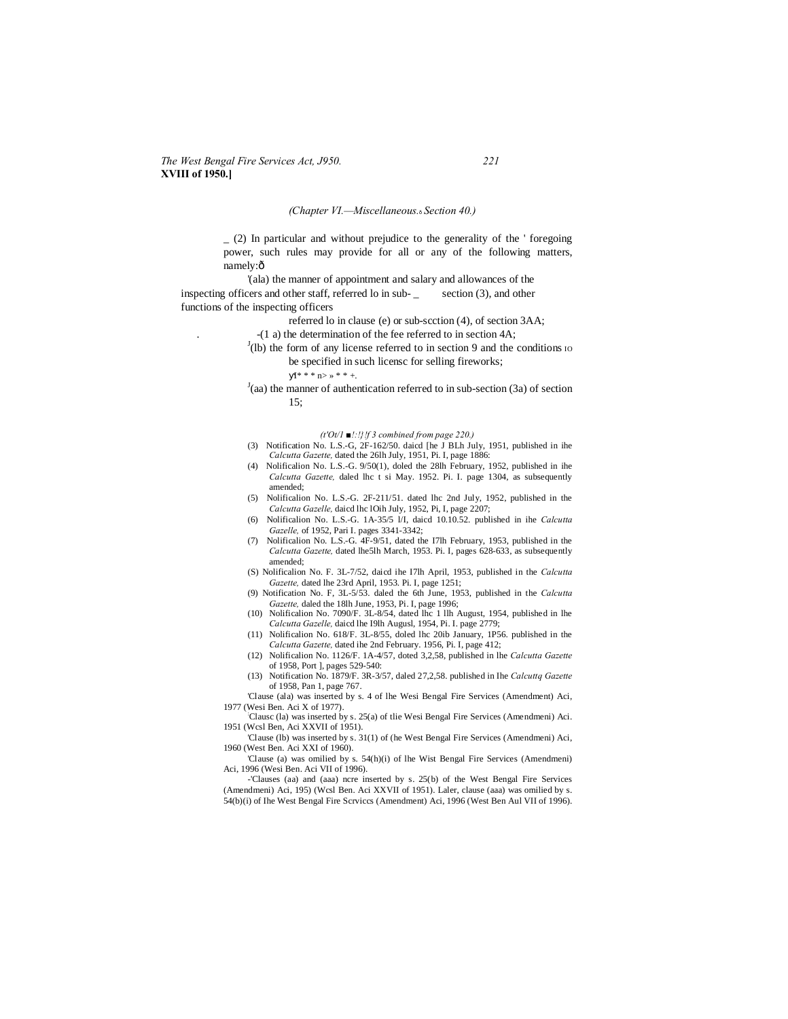## *The West Bengal Fire Services Act, J950. 221* **XVIII of 1950.]**

#### *(Chapter VI.—Miscellaneous.*—*Section 40.)*

 $(2)$  In particular and without prejudice to the generality of the ' foregoing power, such rules may provide for all or any of the following matters, namely:ô

'(ala) the manner of appointment and salary and allowances of the inspecting officers and other staff, referred lo in sub- \_ section (3), and other functions of the inspecting officers

referred lo in clause (e) or sub-scction (4), of section 3AA;

- . -(1 a) the determination of the fee referred to in section 4A;
- $J$ (lb) the form of any license referred to in section 9 and the conditions io be specified in such licensc for selling fireworks;

 $I^* * * n > * * * +$ .

 $J$ (aa) the manner of authentication referred to in sub-section (3a) of section 15;

*(t'Ot/1 ■!:!}!f 3 combined from page 220.)*

- (3) Notification No. L.S.-G, 2F-162/50. daicd [he J BLh July, 1951, published in ihe *Calcutta Gazette,* dated the 26lh July, 1951, Pi. I, page 1886:
- (4) Nolificalion No. L.S.-G. 9/50(1), doled the 28lh February, 1952, published in ihe *Calcutta Gazette,* daled lhc t si May. 1952. Pi. I. page 1304, as subsequently amended;
- (5) Nolificalion No. L.S.-G. 2F-211/51. dated lhc 2nd July, 1952, published in the *Calcutta Gazelle,* daicd lhc lOih July, 1952, Pi, I, page 2207;
- (6) Nolificalion No. L.S.-G. 1A-35/5 l/I, daicd 10.10.52. published in ihe *Calcutta Gazelle,* of 1952, Pari I. pages 3341-3342;
- (7) Nolificalion No. L.S.-G. 4F-9/51, dated the I7lh February, 1953, published in the *Calcutta Gazette,* dated lhe5lh March, 1953. Pi. I, pages 628-633, as subsequently amended;
- (S) Nolificalion No. F. 3L-7/52, daicd ihe I7lh April, 1953, published in the *Calcutta Gazette,* dated lhe 23rd April, 1953. Pi. I, page 1251;
- (9) Notification No. F, 3L-5/53. daled the 6th June, 1953, published in the *Calcutta Gazette,* daled the 18lh June, 1953, Pi. I, page 1996;
- (10) Nolificalion No. 7090/F. 3L-8/54, dated lhc 1 llh August, 1954, published in lhe *Calcutta Gazelle,* daicd lhe I9lh Augusl, 1954, Pi. I. page 2779;
- (11) Nolificalion No. 618/F. 3L-8/55, doled lhc 20ib January, 1P56. published in the *Calcutta Gazette,* dated ihe 2nd February. 1956, Pi. I, page 412;
- (12) Nolificalion No. 1126/F. 1A-4/57, doted 3,2,58, published in lhe *Calcutta Gazette*  of 1958, Port ], pages 529-540:
- (13) Notification No. 1879/F. 3R-3/57, daled 27,2,58. published in Ihe *Calcuttq Gazette*  of 1958, Pan 1, page 767.

'Clause (ala) was inserted by s. 4 of lhe Wesi Bengal Fire Services (Amendment) Aci, 1977 (Wesi Ben. Aci X of 1977).

Clausc (la) was inserted by s. 25(a) of tlie Wesi Bengal Fire Services (Amendmeni) Aci. 1951 (Wcsl Ben, Aci XXVII of 1951).

'Clause (lb) was inserted by s. 31(1) of (he West Bengal Fire Services (Amendmeni) Aci, 1960 (West Ben. Aci XXI of 1960).

'Clause (a) was omilied by s. 54(h)(i) of lhe Wist Bengal Fire Services (Amendmeni) Aci, 1996 (Wesi Ben. Aci VII of 1996).

-'Clauses (aa) and (aaa) ncre inserted by s. 25(b) of the West Bengal Fire Services (Amendmeni) Aci, 195) (Wcsl Ben. Aci XXVII of 1951). Laler, clause (aaa) was omilied by s. 54(b)(i) of Ihe West Bengal Fire Scrviccs (Amendment) Aci, 1996 (West Ben Aul VII of 1996).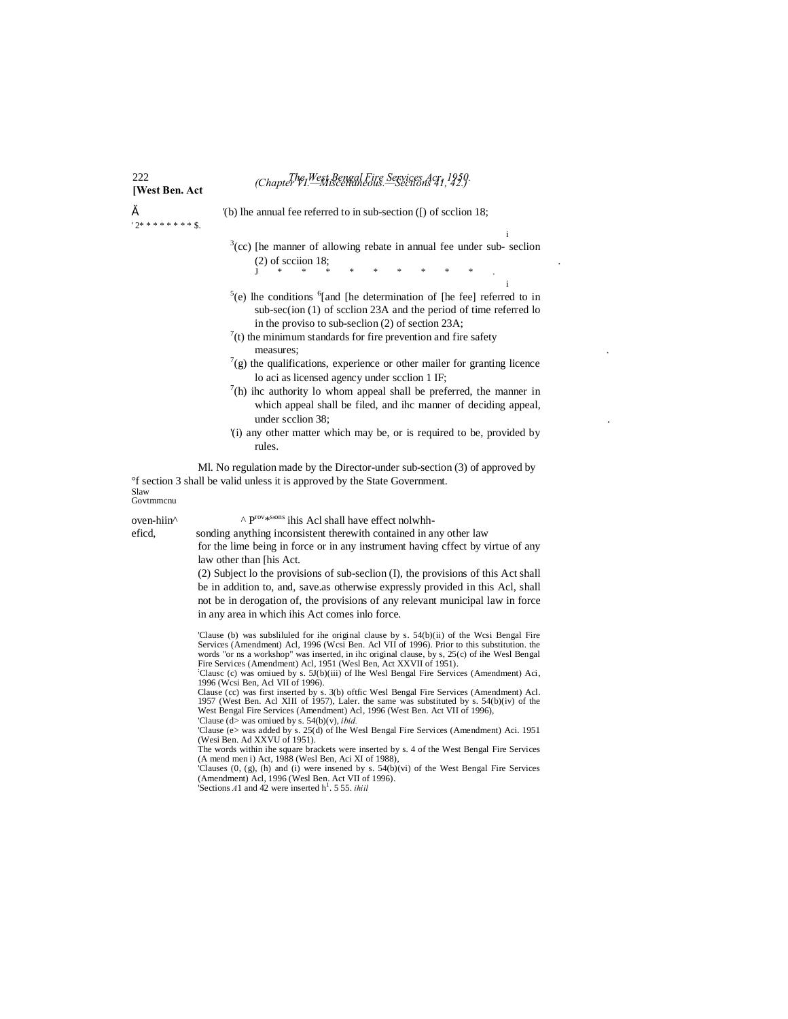# 222 *The West Bengal Fire Services Acr, 1950.* **[West Ben. Act** *(Chapter VI.—Miscellaneous.—Sections 41, 42.)*

' 2\* \* \* \* \* \* \* \* \$.

" '(b) lhe annual fee referred to in sub-section ([) of scclion 18;

- i  $3$ (cc) [he manner of allowing rebate in annual fee under sub- seclion (2) of scciion 18;<br>  $J \qquad * \qquad * \qquad * \qquad * \qquad * \qquad * \qquad * \qquad * \qquad .$
- i  $5(e)$  lhe conditions  $6$ [and [he determination of [he fee] referred to in sub-sec(ion (1) of scclion 23A and the period of time referred lo in the proviso to sub-seclion (2) of section 23A;
- $^{7}$ (t) the minimum standards for fire prevention and fire safety measures;
- $7$ (g) the qualifications, experience or other mailer for granting licence lo aci as licensed agency under scclion 1 IF;
- $^{7}$ (h) ihc authority lo whom appeal shall be preferred, the manner in which appeal shall be filed, and ihc manner of deciding appeal, under scclion 38;
- '(i) any other matter which may be, or is required to be, provided by rules.

Ml. No regulation made by the Director-under sub-section (3) of approved by °f section 3 shall be valid unless it is approved by the State Government.

Slaw Govtmmcnu

oven-hiin<sup>^</sup>  $\wedge$  P<sup>rov\*sons</sup> ihis Acl shall have effect nolwhh-

eficd, sonding anything inconsistent therewith contained in any other law for the lime being in force or in any instrument having cffect by virtue of any

> law other than [his Act. (2) Subject lo the provisions of sub-seclion (I), the provisions of this Act shall be in addition to, and, save.as otherwise expressly provided in this Acl, shall not be in derogation of, the provisions of any relevant municipal law in force

in any area in which ihis Act comes inlo force.

'Clause (b) was subsliluled for ihe original clause by s. 54(b)(ii) of the Wcsi Bengal Fire Services (Amendment) Acl, 1996 (Wcsi Ben. Acl VII of 1996). Prior to this substitution. the words "or ns a workshop" was inserted, in ihc original clause, by s, 25(c) of ihe Wesl Bengal Fire Services (Amendment) Acl, 1951 (Wesl Ben, Act XXVII of 1951).

: Clausc (c) was omiued by s. 5J(b)(iii) of lhe Wesl Bengal Fire Services (Amendment) Aci, 1996 (Wcsi Ben, Acl VII of 1996).

Clause (cc) was first inserted by s. 3(b) oftfic Wesl Bengal Fire Services (Amendment) Acl. 1957 (West Ben. Acl XIII of 1957), Laler. the same was substituted by s. 54(b)(iv) of the West Bengal Fire Services (Amendment) Acl, 1996 (West Ben. Act VII of 1996),

'Clause (d> was omiued by s. 54(b)(v), *ibid.* 'Clause (e> was added by s. 25(d) of lhe Wesl Bengal Fire Services (Amendment) Aci. 1951 (Wesi Ben. Ad XXVU of 1951).

The words within ihe square brackets were inserted by s. 4 of the West Bengal Fire Services

(A mend men i) Act, 1988 (Wesl Ben, Aci XI of 1988),<br>Clauses (0, (g), (h) and (i) were insened by s. 54(b)(vi) of the West Bengal Fire Services<br>(Amendment) Act, 1996 (Wesl Ben. Act VII of 1996).<br>'Sections A1 and 42 were i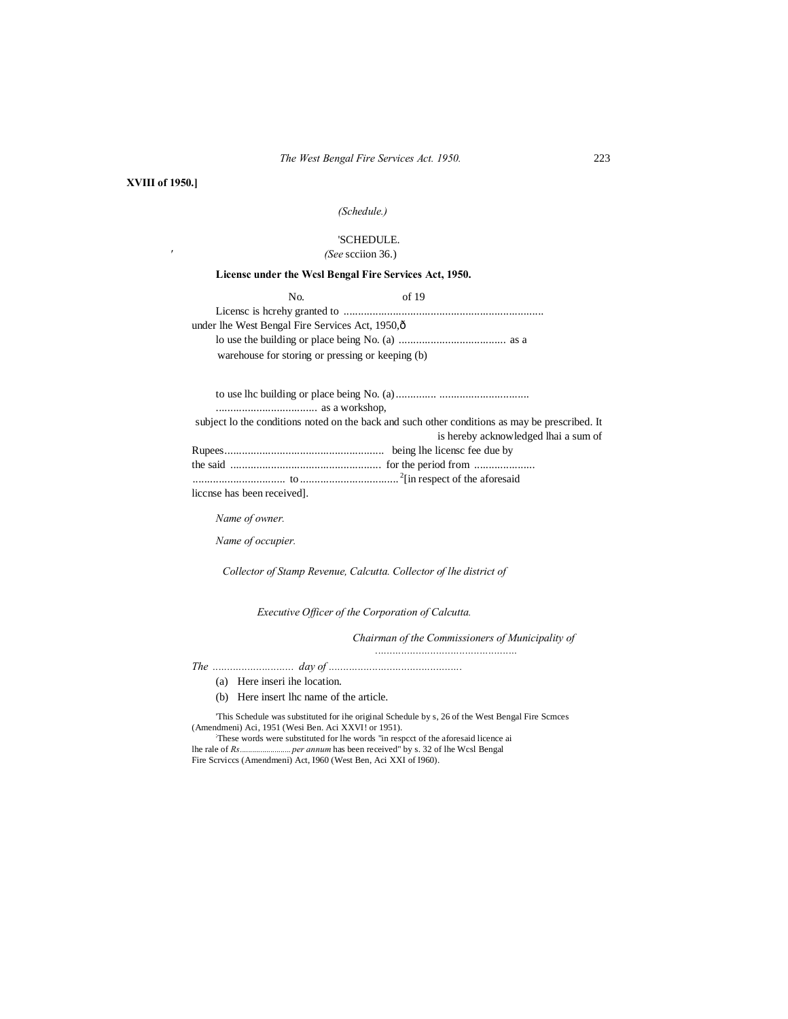#### **XVIII of 1950.]**

*'*

## *(Schedule.)*

## 'SCHEDULE.

*(See* scciion 36.)

#### **Licensc under the Wcsl Bengal Fire Services Act, 1950.**

| No.                                              | of 19 |  |
|--------------------------------------------------|-------|--|
|                                                  |       |  |
| under lhe West Bengal Fire Services Act, 1950,ô  |       |  |
|                                                  |       |  |
| warehouse for storing or pressing or keeping (b) |       |  |

to use lhc building or place being No. (a).............. ...............................

................................... as a workshop,

|                            | subject to the conditions noted on the back and such other conditions as may be prescribed. It |
|----------------------------|------------------------------------------------------------------------------------------------|
|                            | is hereby acknowledged lhai a sum of                                                           |
|                            |                                                                                                |
|                            |                                                                                                |
|                            |                                                                                                |
| liccnse has been received. |                                                                                                |

*Name of owner.*

*Name of occupier.*

*Collector of Stamp Revenue, Calcutta. Collector of lhe district of*

*Executive Officer of the Corporation of Calcutta.*

*Chairman of the Commissioners of Municipality of*

*.................................................*

*The ............................ day of ..............................................*

- (a) Here inseri ihe location.
- (b) Here insert lhc name of the article.

'This Schedule was substituted for ihe original Schedule by s, 26 of the West Bengal Fire Scmces (Amendmeni) Aci, 1951 (Wesi Ben. Aci XXVI! or 1951).

These words were substituted for lhe words "in respcct of the aforesaid licence ai lhe rale of *Rs.........................per annum* has been received" by s. 32 of lhe Wcsl Bengal

Fire Scrviccs (Amendmeni) Act, I960 (West Ben, Aci XXI of I960).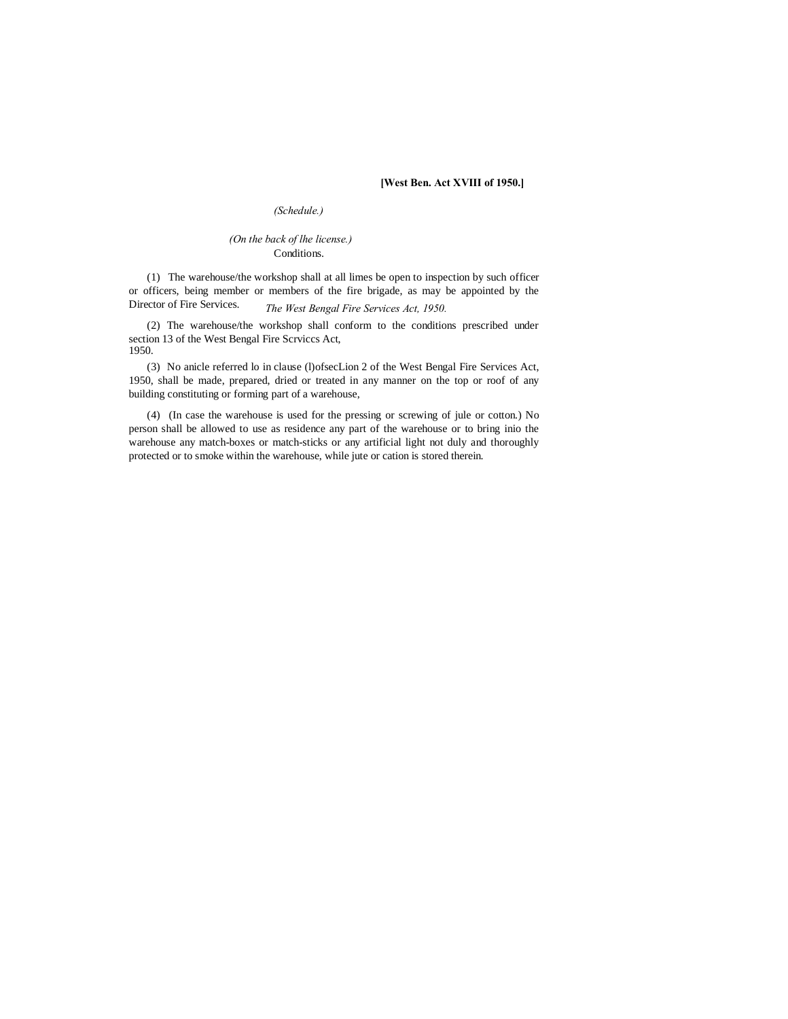#### **[West Ben. Act XVIII of 1950.]**

## *(Schedule.)*

### *(On the back of lhe license.)* Conditions.

*The West Bengal Fire Services Act, 1950.* (1) The warehouse/the workshop shall at all limes be open to inspection by such officer or officers, being member or members of the fire brigade, as may be appointed by the Director of Fire Services.

(2) The warehouse/the workshop shall conform to the conditions prescribed under section 13 of the West Bengal Fire Scrviccs Act, 1950.

(3) No anicle referred lo in clause (l)ofsecLion 2 of the West Bengal Fire Services Act, 1950, shall be made, prepared, dried or treated in any manner on the top or roof of any building constituting or forming part of a warehouse,

(4) (In case the warehouse is used for the pressing or screwing of jule or cotton.) No person shall be allowed to use as residence any part of the warehouse or to bring inio the warehouse any match-boxes or match-sticks or any artificial light not duly and thoroughly protected or to smoke within the warehouse, while jute or cation is stored therein.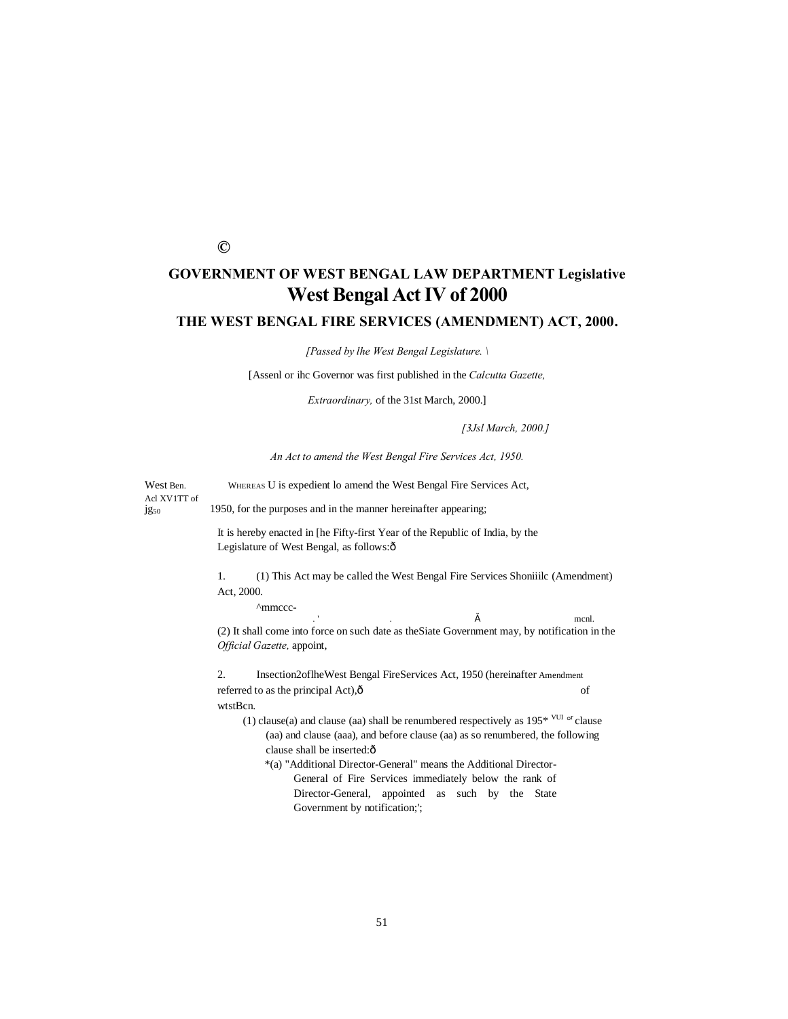## **©**

## **GOVERNMENT OF WEST BENGAL LAW DEPARTMENT Legislative West Bengal Act IV of 2000**

## **THE WEST BENGAL FIRE SERVICES (AMENDMENT) ACT, 2000.**

*[Passed by lhe West Bengal Legislature. \*

[Assenl or ihc Governor was first published in the *Calcutta Gazette,*

*Extraordinary,* of the 31st March, 2000.]

*[3Jsl March, 2000.]*

*An Act to amend the West Bengal Fire Services Act, 1950.*

West Ben. WHEREAS U is expedient lo amend the West Bengal Fire Services Act, Acl XV1TT of jg<sub>50</sub> 1950, for the purposes and in the manner hereinafter appearing;

> It is hereby enacted in [he Fifty-first Year of the Republic of India, by the Legislature of West Bengal, as follows: ô

1. (1) This Act may be called the West Bengal Fire Services Shoniiilc (Amendment) Act, 2000.

^mmccc-

.  $\delta$  mcnl. (2) It shall come into force on such date as theSiate Government may, by notification in the *Official Gazette,* appoint,

2. Insection2oflheWest Bengal FireServices Act, 1950 (hereinafter Amendment referred to as the principal Act), $\hat{o}$  of wtstBcn.

- (1) clause(a) and clause (aa) shall be renumbered respectively as  $195*$  <sup>VUI</sup> <sup>or</sup> clause (aa) and clause (aaa), and before clause (aa) as so renumbered, the following clause shall be inserted: $ô$ 
	- \*(a) "Additional Director-General" means the Additional Director-General of Fire Services immediately below the rank of Director-General, appointed as such by the State Government by notification;';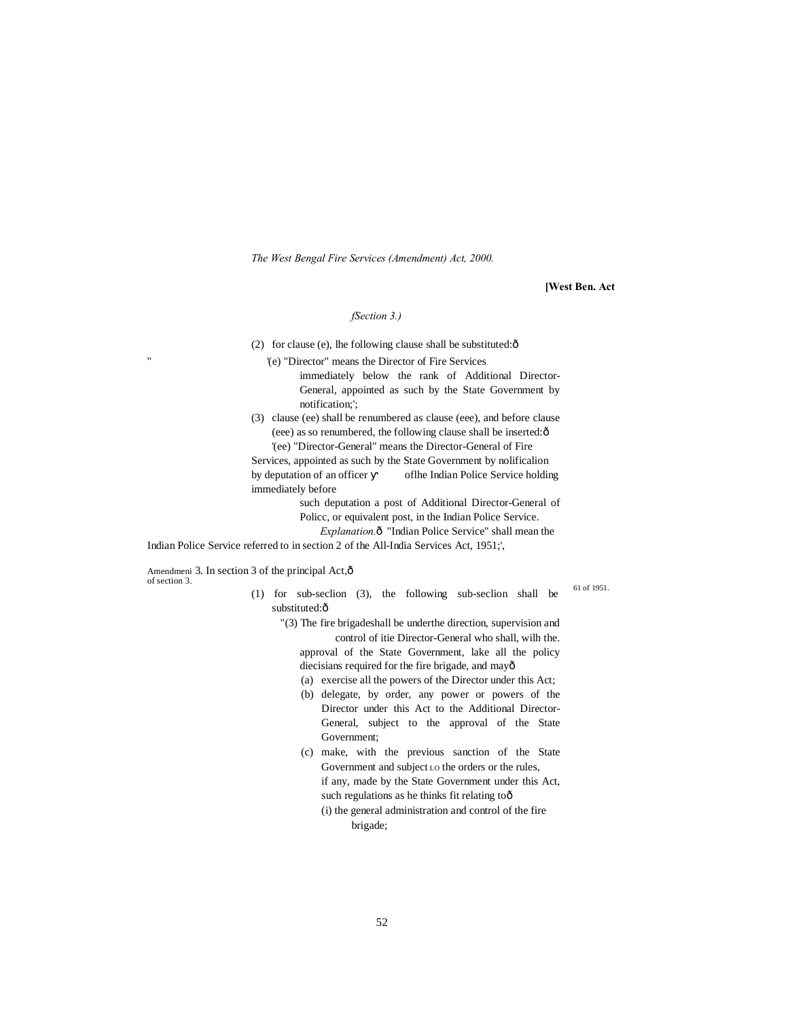*The West Bengal Fire Services (Amendment) Act, 2000.*

#### **[West Ben. Act**

#### *fSection 3.)*

(2) for clause (e), lhe following clause shall be substituted: $\hat{o}$ 

'(e) "Director" means the Director of Fire Services

- immediately below the rank of Additional Director-General, appointed as such by the State Government by notification;';
- (3) clause (ee) shall be renumbered as clause (eee), and before clause (eee) as so renumbered, the following clause shall be inserted: $\hat{o}$ '(ee) "Director-General" means the Director-General of Fire

Services, appointed as such by the State Government by nolificalion by deputation of an officer oflhe Indian Police Service holding immediately before

> such deputation a post of Additional Director-General of Policc, or equivalent post, in the Indian Police Service.

*Explanation.* $\delta$  "Indian Police Service" shall mean the

Indian Police Service referred to in section 2 of the All-India Services Act, 1951;',

Amendmeni 3. In section 3 of the principal Act, $\hat{o}$ of section 3.

''

- (1) for sub-seclion (3), the following sub-seclion shall be substituted:ô
	- "(3) The fire brigadeshall be underthe direction, supervision and control of itie Director-General who shall, wilh the. approval of the State Government, lake all the policy diecisians required for the fire brigade, and mayô
		- (a) exercise all the powers of the Director under this Act;
		- (b) delegate, by order, any power or powers of the Director under this Act to the Additional Director-General, subject to the approval of the State Government;
		- (c) make, with the previous sanction of the State Government and subject LO the orders or the rules, if any, made by the State Government under this Act, such regulations as he thinks fit relating too
			- (i) the general administration and control of the fire brigade;

61 of 1951.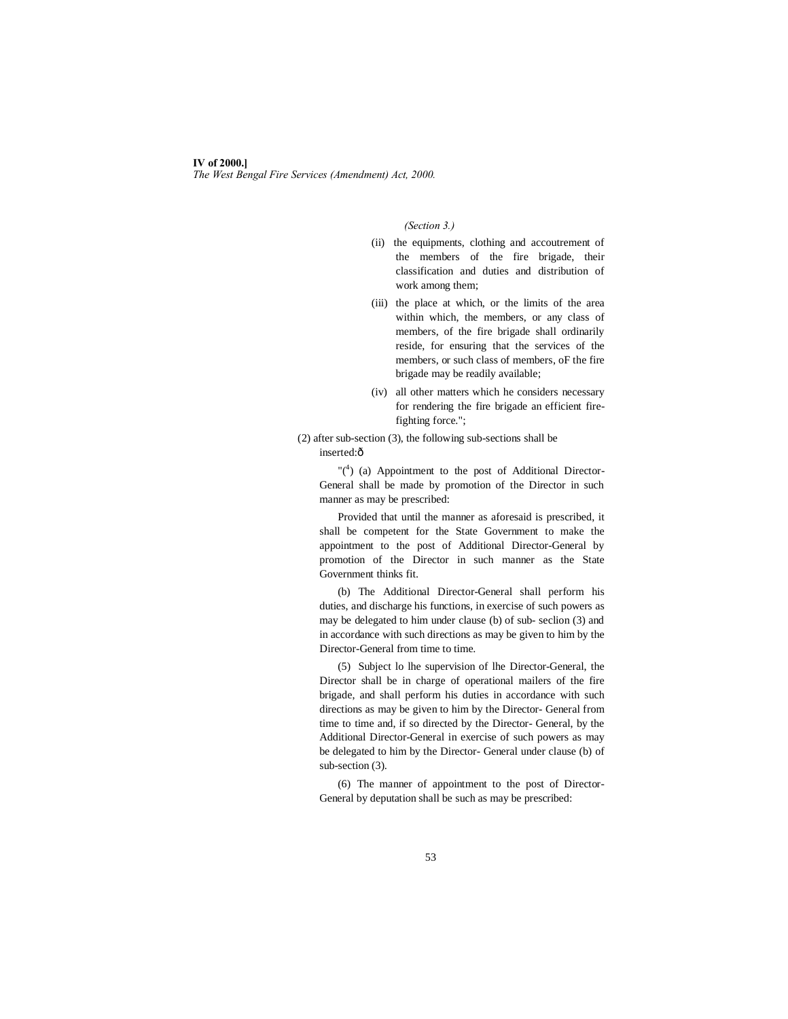#### **IV of 2000.]**

*The West Bengal Fire Services (Amendment) Act, 2000.*

*(Section 3.)*

- (ii) the equipments, clothing and accoutrement of the members of the fire brigade, their classification and duties and distribution of work among them;
- (iii) the place at which, or the limits of the area within which, the members, or any class of members, of the fire brigade shall ordinarily reside, for ensuring that the services of the members, or such class of members, oF the fire brigade may be readily available;
- (iv) all other matters which he considers necessary for rendering the fire brigade an efficient firefighting force.";
- (2) after sub-section (3), the following sub-sections shall be inserted:ô

"( $4$ ) (a) Appointment to the post of Additional Director-General shall be made by promotion of the Director in such manner as may be prescribed:

Provided that until the manner as aforesaid is prescribed, it shall be competent for the State Government to make the appointment to the post of Additional Director-General by promotion of the Director in such manner as the State Government thinks fit.

(b) The Additional Director-General shall perform his duties, and discharge his functions, in exercise of such powers as may be delegated to him under clause (b) of sub- seclion (3) and in accordance with such directions as may be given to him by the Director-General from time to time.

(5) Subject lo lhe supervision of lhe Director-General, the Director shall be in charge of operational mailers of the fire brigade, and shall perform his duties in accordance with such directions as may be given to him by the Director- General from time to time and, if so directed by the Director- General, by the Additional Director-General in exercise of such powers as may be delegated to him by the Director- General under clause (b) of sub-section (3).

(6) The manner of appointment to the post of Director-General by deputation shall be such as may be prescribed: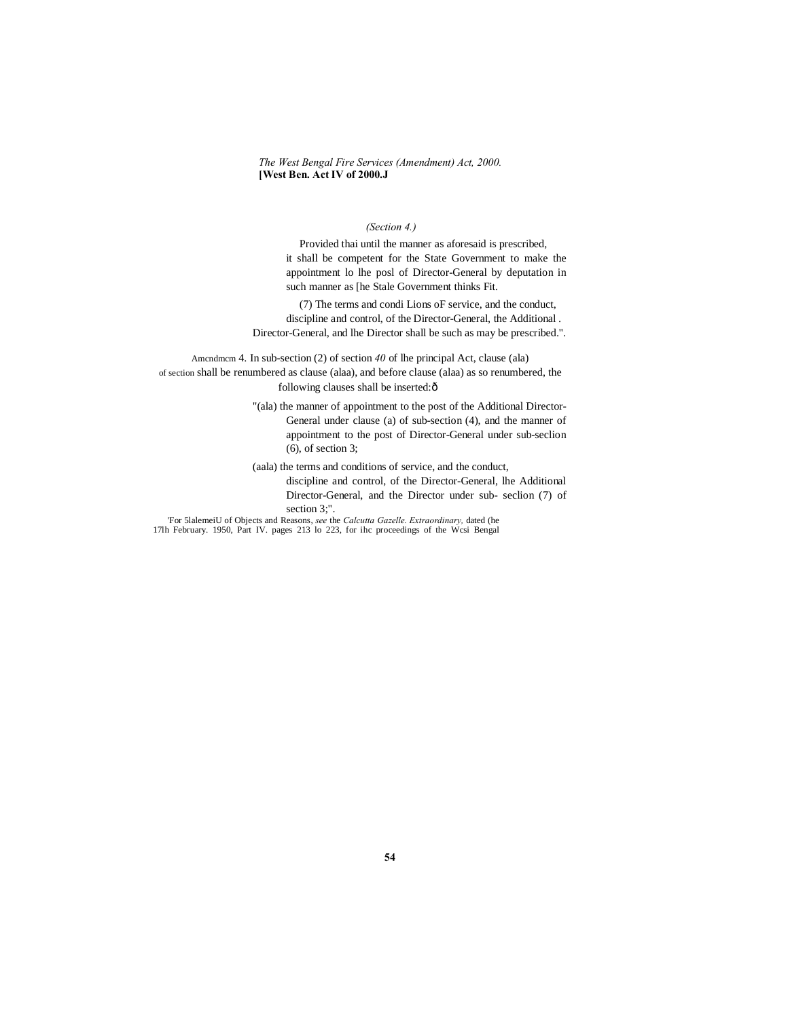## *(Section 4.)*

Provided thai until the manner as aforesaid is prescribed, it shall be competent for the State Government to make the appointment lo lhe posl of Director-General by deputation in such manner as [he Stale Government thinks Fit.

(7) The terms and condi Lions oF service, and the conduct, discipline and control, of the Director-General, the Additional . Director-General, and lhe Director shall be such as may be prescribed.".

Amcndmcm 4. In sub-section (2) of section *40* of lhe principal Act, clause (ala) of section shall be renumbered as clause (alaa), and before clause (alaa) as so renumbered, the following clauses shall be inserted: $\hat{o}$ 

> "(ala) the manner of appointment to the post of the Additional Director-General under clause (a) of sub-section (4), and the manner of appointment to the post of Director-General under sub-seclion (6), of section 3;

(aala) the terms and conditions of service, and the conduct,

discipline and control, of the Director-General, lhe Additional Director-General, and the Director under sub- seclion (7) of

section 3;".

'For 5lalemeiU of Objects and Reasons, *see* the *Calcutta Gazelle. Extraordinary,* dated (he 17lh February. 1950, Part IV. pages 213 lo 223, for ihc proceedings of the Wcsi Bengal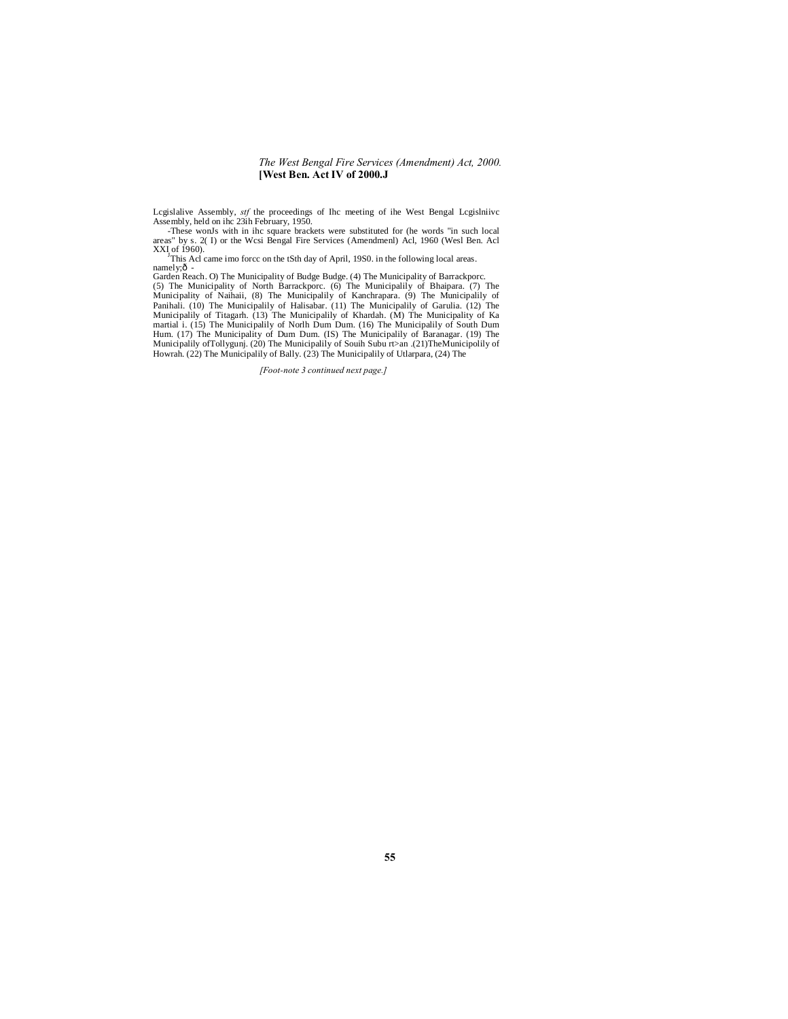Lcgislalive Assembly, *stf* the proceedings of Ihc meeting of ihe West Bengal Lcgislniivc Assembly, held on ihc 23ih February, 1950.

-These wonJs with in ihc square brackets were substituted for (he words "in such local areas" by s. 2( I) or the Wcsi Bengal Fire Services (Amendmenl) Acl, 1960 (Wesl Ben. Acl

XXI of 1960).<br>This Acl came imo forcc on the tSth day of April, 19S0. in the following local areas.<br>namely;ô -

Garden Reach. O) The Municipality of Budge Budge. (4) The Municipality of Barrackporc.<br>(5) The Municipality of North Barrackporc. (6) The Municipalily of Bhaipara. (7) The<br>Municipality of Naihaii, (8) The Municipalily of K Municipalily of Titagarh. (13) The Municipalily of Khardah. (M) The Municipality of Ka martial i. (15) The Municipalily of Norlh Dum Dum. (16) The Municipalily of South Dum<br>Hum. (17) The Municipality of Dum Dum. (IS) The Municipalily of Baranagar. (19) The<br>Municipalily ofTollygunj. (20) The Municipalily of Howrah. (22) The Municipalily of Bally. (23) The Municipalily of Utlarpara, (24) The

*[Foot-note 3 continued next page.]*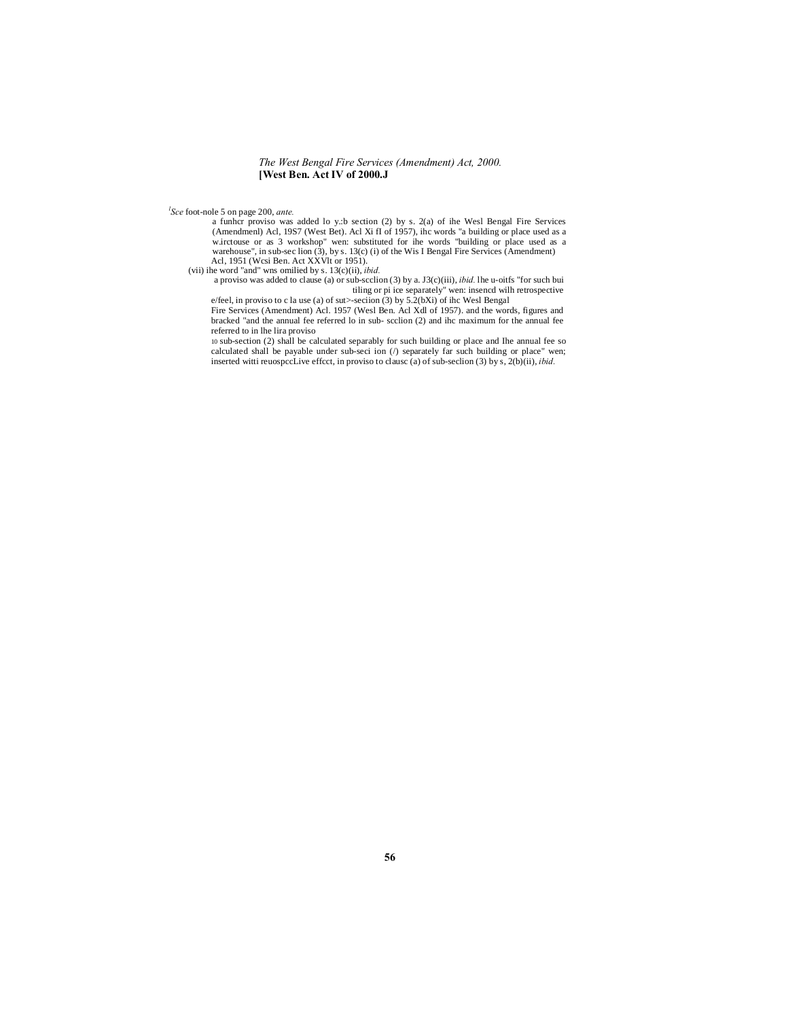*l Sce* foot-nole 5 on page 200, *ante.*

a funher proviso was added lo y.:b section (2) by s. 2(a) of ihe Wesl Bengal Fire Services<br>(Amendmenl) Acl, 19S7 (West Bet). Acl Xi fI of 1957), ihe words "a building or place used as a<br>w.irctouse or as 3 workshop" wen: su warehouse", in sub-sec lion  $(3)$ , by s. 13(c) (i) of the Wis I Bengal Fire Services (Amendment) Acl, 1951 (Wcsi Ben. Act XXVlt or 1951).

(vii) ihe word "and" wns omilied by s. 13(c)(ii), *ibid.* a proviso was added to clause (a) or sub-scclion (3) by a. J3(c)(iii), *ibid.* lhe u-oitfs "for such bui

tiling or pi ice separately" wen: insence with retrospective<br>Fire Services (of sut>section (3) by 5.2(bXi) of ihc West Bengal<br>Fire Services (Amendment) Act. 1957 (West Ben, Act Xdl of 1957), and the words, figures and<br>brac referred to in lhe lira proviso

10 sub-section (2) shall be calculated separably for such building or place and Ihe annual fee so calculated shall be payable under sub-seci ion  $($ ) separately far such building or place" wen; inserted witti reuospccLive effcct, in proviso to clausc (a) of sub-seclion (3) by s, 2(b)(ii), *ibid.*